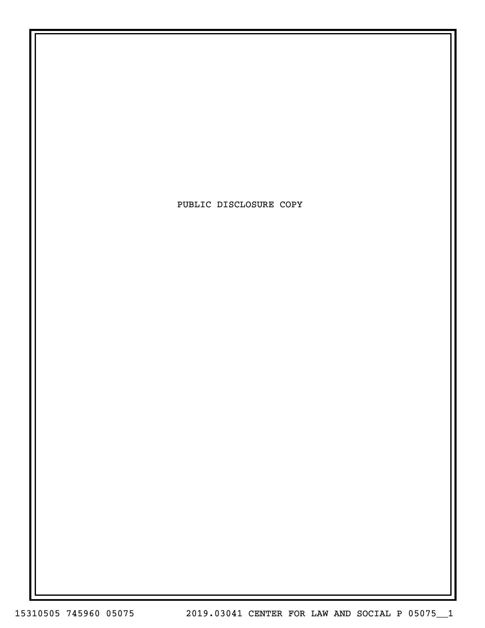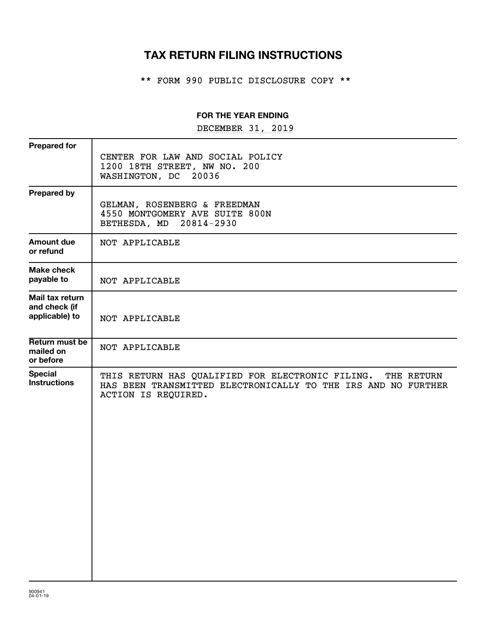# **TAX RETURN FILING INSTRUCTIONS**

\*\* FORM 990 PUBLIC DISCLOSURE COPY \*\*

# **FOR THE YEAR ENDING**

DECEMBER 31, 2019

| <b>Prepared for</b>                                |                                                                                                                                                     |
|----------------------------------------------------|-----------------------------------------------------------------------------------------------------------------------------------------------------|
|                                                    | CENTER FOR LAW AND SOCIAL POLICY<br>1200 18TH STREET, NW NO. 200<br>WASHINGTON, DC<br>20036                                                         |
| <b>Prepared by</b>                                 | GELMAN, ROSENBERG & FREEDMAN<br>4550 MONTGOMERY AVE SUITE 800N<br>BETHESDA, MD 20814-2930                                                           |
| <b>Amount due</b><br>or refund                     | NOT APPLICABLE                                                                                                                                      |
| <b>Make check</b><br>payable to                    | NOT APPLICABLE                                                                                                                                      |
| Mail tax return<br>and check (if<br>applicable) to | NOT APPLICABLE                                                                                                                                      |
| Return must be<br>mailed on<br>or before           | NOT APPLICABLE                                                                                                                                      |
| <b>Special</b><br><b>Instructions</b>              | THIS RETURN HAS QUALIFIED FOR ELECTRONIC FILING. THE RETURN<br>HAS BEEN TRANSMITTED ELECTRONICALLY TO THE IRS AND NO FURTHER<br>ACTION IS REQUIRED. |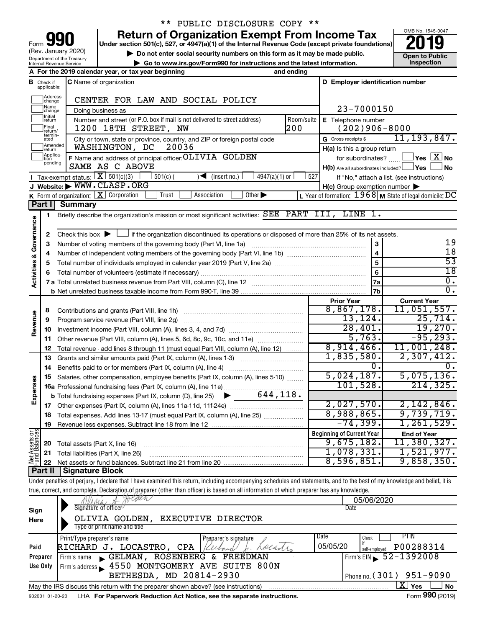| 990<br>Form                                            |
|--------------------------------------------------------|
| (Rev. January 2020)                                    |
| Department of the Treasury<br>Internal Revenue Service |

# \*\* PUBLIC DISCLOSURE COPY \*\*

**your Section 501(c), 527, or 4947(a)(1) of the Internal Revenue Code (except private foundations) 2019** 

▶ Do not enter social security numbers on this form as it may be made public.<br>
inspection and the latest information. **Dependent in the latest information** and the latest information. **| Go to www.irs.gov/Form990 for instructions and the latest information. Inspection**



|                                    |                             | A For the 2019 calendar year, or tax year beginning                                                                                         | and ending |                                                         |                                                           |
|------------------------------------|-----------------------------|---------------------------------------------------------------------------------------------------------------------------------------------|------------|---------------------------------------------------------|-----------------------------------------------------------|
| В                                  | Check if<br>applicable:     | <b>C</b> Name of organization                                                                                                               |            | D Employer identification number                        |                                                           |
|                                    | Address<br>]change          | CENTER FOR LAW AND SOCIAL POLICY                                                                                                            |            |                                                         |                                                           |
|                                    | Name<br>]change             | Doing business as                                                                                                                           |            | 23-7000150                                              |                                                           |
|                                    | Initial<br> return          | Number and street (or P.O. box if mail is not delivered to street address)                                                                  | Room/suite | E Telephone number                                      |                                                           |
|                                    | Final<br> return/           | 1200 18TH STREET, NW                                                                                                                        | 200        | $(202)906 - 8000$                                       |                                                           |
|                                    | termin-<br>ated             | City or town, state or province, country, and ZIP or foreign postal code                                                                    |            | G Gross receipts \$                                     | 11, 193, 847.                                             |
|                                    | Amended<br>Ireturn          | 20036<br>WASHINGTON, DC                                                                                                                     |            | H(a) Is this a group return                             |                                                           |
|                                    | Applica-<br>tion<br>pending | F Name and address of principal officer: OLIVIA GOLDEN                                                                                      |            |                                                         | for subordinates? $\Box$ Yes $\boxed{X}$ No               |
|                                    |                             | SAME AS C ABOVE                                                                                                                             |            | $H(b)$ Are all subordinates included? $\Box$ Yes $\Box$ | ∣No                                                       |
|                                    |                             | <b>I</b> Tax-exempt status: $X \overline{X}$ 501(c)(3)<br>$501(c)$ (<br>$\sqrt{\bullet}$ (insert no.)<br>$4947(a)(1)$ or                    | 527        |                                                         | If "No," attach a list. (see instructions)                |
|                                    |                             | J Website: WWW.CLASP.ORG                                                                                                                    |            | $H(c)$ Group exemption number $\blacktriangleright$     |                                                           |
|                                    |                             | <b>K</b> Form of organization: $\boxed{\mathbf{X}}$ Corporation<br>Association<br>Other $\blacktriangleright$<br>Trust                      |            |                                                         | L Year of formation: $1968$ M State of legal domicile: DC |
|                                    | Part I                      | <b>Summary</b>                                                                                                                              |            |                                                         |                                                           |
|                                    | 1                           | Briefly describe the organization's mission or most significant activities: SEE PART III, LINE 1.                                           |            |                                                         |                                                           |
|                                    | 2                           | Check this box $\blacktriangleright$ $\Box$ if the organization discontinued its operations or disposed of more than 25% of its net assets. |            |                                                         |                                                           |
|                                    | 3                           | Number of voting members of the governing body (Part VI, line 1a) manufacture of voting members of the governing body (Part VI, line 1a)    |            | 3                                                       | 19                                                        |
|                                    | 4                           |                                                                                                                                             |            | $\overline{\mathbf{4}}$                                 | $\overline{18}$                                           |
| <b>Activities &amp; Governance</b> | 5                           |                                                                                                                                             |            | 5                                                       | 53                                                        |
|                                    | 6                           |                                                                                                                                             |            | 6                                                       | $\overline{18}$                                           |
|                                    |                             |                                                                                                                                             |            | 7a                                                      | 0.                                                        |
|                                    |                             |                                                                                                                                             |            | 7b                                                      | $\overline{0}$ .                                          |
|                                    |                             |                                                                                                                                             |            | <b>Prior Year</b>                                       | <b>Current Year</b>                                       |
|                                    | 8                           |                                                                                                                                             |            | 8,867,178.                                              | 11,051,557.                                               |
|                                    | 9                           | Program service revenue (Part VIII, line 2g)                                                                                                |            | 13, 124.                                                | 25,714.                                                   |
| Revenue                            | 10                          |                                                                                                                                             |            | 28,401.                                                 | 19,270.                                                   |
|                                    | 11                          | Other revenue (Part VIII, column (A), lines 5, 6d, 8c, 9c, 10c, and 11e)                                                                    |            | 5,763.                                                  | $-95, 293.$                                               |
|                                    | 12                          | Total revenue - add lines 8 through 11 (must equal Part VIII, column (A), line 12)                                                          |            | 8,914,466.                                              | 11,001,248.                                               |
|                                    | 13                          | Grants and similar amounts paid (Part IX, column (A), lines 1-3)                                                                            |            | 1,835,580.                                              | 2,307,412.                                                |
|                                    | 14                          |                                                                                                                                             |            | 0.                                                      | 0.                                                        |
|                                    | 15                          | Salaries, other compensation, employee benefits (Part IX, column (A), lines 5-10)                                                           |            | 5,024,187.<br>101,528.                                  | 5,075,136.<br>214, 325.                                   |
| Expenses                           |                             | 16a Professional fundraising fees (Part IX, column (A), line 11e)<br>644,118.                                                               |            |                                                         |                                                           |
|                                    |                             | <b>b</b> Total fundraising expenses (Part IX, column (D), line 25)<br>$\blacktriangleright$ $\bot$                                          |            | 2,027,570.                                              | 2,142,846.                                                |
|                                    |                             |                                                                                                                                             |            | 8,988,865.                                              | 9,739,719.                                                |
|                                    | 18<br>19                    | Total expenses. Add lines 13-17 (must equal Part IX, column (A), line 25) <i>marronomic</i>                                                 |            | $-74,399.$                                              | 1, 261, 529.                                              |
|                                    |                             |                                                                                                                                             |            | <b>Beginning of Current Year</b>                        | <b>End of Year</b>                                        |
| Assets or                          | 20                          | Total assets (Part X, line 16)                                                                                                              |            | 9,675,182.                                              | 11,380,327.                                               |
|                                    | 21                          | Total liabilities (Part X, line 26)                                                                                                         |            | 1,078,331.                                              | 1,521,977.                                                |
| Net                                | 22                          |                                                                                                                                             |            | 8,596,851.                                              | 9,858,350.                                                |
|                                    | <b>Part II</b>              | Signature Block                                                                                                                             |            |                                                         |                                                           |

Under penalties of perjury, I declare that I have examined this return, including accompanying schedules and statements, and to the best of my knowledge and belief, it is true, correct, and complete. Declaration of preparer (other than officer) is based on all information of which preparer has any knowledge.

|                 | "We A Aolden                                                                      | 05/06/2020                             |
|-----------------|-----------------------------------------------------------------------------------|----------------------------------------|
| Sign            | Signature of officer                                                              | Date                                   |
| Here            | EXECUTIVE DIRECTOR<br>GOLDEN,<br>OLIVIA                                           |                                        |
|                 | Type or print name and title                                                      |                                        |
|                 | Print/Type preparer's name<br>Preparer's signature                                | Date<br>PIIN<br>Check                  |
| Paid            | RICHARD J. LOCASTRO,<br>deads.<br>CPA                                             | 05/05/20<br>P00288314<br>self-emploved |
| Preparer        | FREEDMAN<br>ROSENBERG &<br>GELMAN,<br>Firm's name                                 | Firm's EIN $\frac{52 - 1392008}{ }$    |
| Use Only        | 4550 MONTGOMERY AVE SUITE 800N<br>Firm's address                                  |                                        |
|                 | BETHESDA, MD 20814-2930                                                           | Phone no. $(301)$ 951-9090             |
|                 | May the IRS discuss this return with the preparer shown above? (see instructions) | ΧI<br>Yes<br><b>No</b>                 |
| 932001 01-20-20 | LHA For Paperwork Reduction Act Notice, see the separate instructions.            | Form 990 (2019)                        |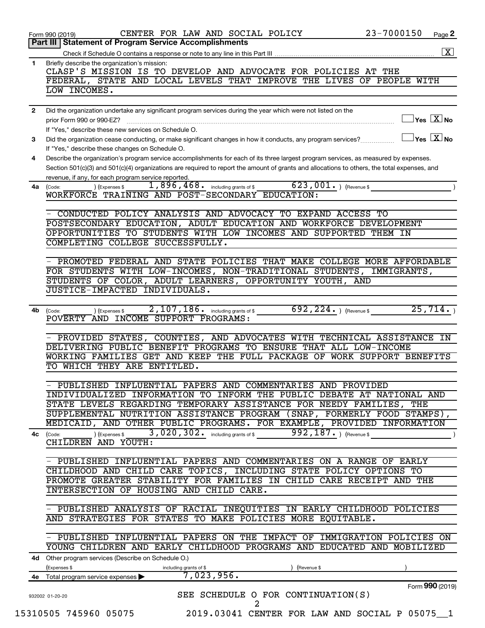| 1.           | Part III   Statement of Program Service Accomplishments                                                                                                                    |
|--------------|----------------------------------------------------------------------------------------------------------------------------------------------------------------------------|
|              | $\boxed{\textbf{X}}$                                                                                                                                                       |
|              |                                                                                                                                                                            |
|              | Briefly describe the organization's mission:<br>CLASP'S MISSION IS TO DEVELOP AND ADVOCATE FOR POLICIES AT THE                                                             |
|              | FEDERAL, STATE AND LOCAL LEVELS THAT IMPROVE THE LIVES OF PEOPLE WITH                                                                                                      |
|              | LOW INCOMES.                                                                                                                                                               |
|              |                                                                                                                                                                            |
| $\mathbf{2}$ | Did the organization undertake any significant program services during the year which were not listed on the                                                               |
|              | $\Box$ Yes $[\overline{\mathrm{X}}]$ No                                                                                                                                    |
|              | If "Yes," describe these new services on Schedule O.                                                                                                                       |
| 3            | $\Box$ Yes $[\,\mathbf{X}\,]$ No<br>Did the organization cease conducting, or make significant changes in how it conducts, any program services?                           |
|              | If "Yes," describe these changes on Schedule O.                                                                                                                            |
| 4            | Describe the organization's program service accomplishments for each of its three largest program services, as measured by expenses.                                       |
|              | Section 501(c)(3) and 501(c)(4) organizations are required to report the amount of grants and allocations to others, the total expenses, and                               |
|              | revenue, if any, for each program service reported.                                                                                                                        |
| 4a           | $623,001$ . (Revenue \$<br>1,896,468. including grants of \$<br>(Expenses \$<br>(Code:                                                                                     |
|              | WORKFORCE TRAINING AND POST-SECONDARY EDUCATION:                                                                                                                           |
|              |                                                                                                                                                                            |
|              | CONDUCTED POLICY ANALYSIS AND ADVOCACY TO EXPAND ACCESS TO                                                                                                                 |
|              | POSTSECONDARY EDUCATION, ADULT EDUCATION AND WORKFORCE DEVELOPMENT                                                                                                         |
|              | OPPORTUNITIES TO STUDENTS WITH LOW INCOMES AND SUPPORTED THEM IN                                                                                                           |
|              | COMPLETING COLLEGE SUCCESSFULLY.                                                                                                                                           |
|              |                                                                                                                                                                            |
|              | PROMOTED FEDERAL AND STATE POLICIES THAT MAKE COLLEGE MORE AFFORDABLE                                                                                                      |
|              | FOR STUDENTS WITH LOW-INCOMES, NON-TRADITIONAL STUDENTS, IMMIGRANTS,                                                                                                       |
|              | STUDENTS OF COLOR, ADULT LEARNERS, OPPORTUNITY YOUTH, AND                                                                                                                  |
|              | JUSTICE-IMPACTED INDIVIDUALS.                                                                                                                                              |
|              |                                                                                                                                                                            |
| 4b           | $692, 224.$ (Revenue \$<br>25,714.<br>2,107,186. including grants of \$<br>) (Expenses \$<br>(Code:<br>POVERTY AND INCOME SUPPORT PROGRAMS:                                |
|              | DELIVERING PUBLIC BENEFIT PROGRAMS TO ENSURE THAT ALL LOW-INCOME<br>WORKING FAMILIES GET AND KEEP THE FULL PACKAGE OF WORK SUPPORT BENEFITS<br>TO WHICH THEY ARE ENTITLED. |
|              |                                                                                                                                                                            |
|              | PUBLISHED INFLUENTIAL PAPERS AND COMMENTARIES AND PROVIDED                                                                                                                 |
|              | INDIVIDUALIZED INFORMATION TO INFORM THE PUBLIC DEBATE AT NATIONAL AND                                                                                                     |
|              | STATE LEVELS REGARDING TEMPORARY ASSISTANCE FOR NEEDY FAMILIES, THE                                                                                                        |
|              | SUPPLEMENTAL NUTRITION ASSISTANCE PROGRAM (SNAP, FORMERLY FOOD STAMPS),                                                                                                    |
|              | MEDICAID, AND OTHER PUBLIC PROGRAMS. FOR EXAMPLE, PROVIDED INFORMATION                                                                                                     |
|              | $3,020,302$ $\cdot$ including grants of \$<br>992, $187.$ ) (Revenue \$<br>) (Expenses \$<br>$4c$ (Code:                                                                   |
|              | CHILDREN AND YOUTH:                                                                                                                                                        |
|              |                                                                                                                                                                            |
|              | - PUBLISHED INFLUENTIAL PAPERS AND COMMENTARIES ON A RANGE OF EARLY                                                                                                        |
|              | CHILDHOOD AND CHILD CARE TOPICS, INCLUDING STATE POLICY OPTIONS TO                                                                                                         |
|              | PROMOTE GREATER STABILITY FOR FAMILIES IN CHILD CARE RECEIPT AND THE                                                                                                       |
|              | INTERSECTION OF HOUSING AND CHILD CARE.                                                                                                                                    |
|              | - PUBLISHED ANALYSIS OF RACIAL INEQUITIES IN EARLY CHILDHOOD POLICIES                                                                                                      |
|              | AND STRATEGIES FOR STATES TO MAKE POLICIES MORE EQUITABLE.                                                                                                                 |
|              |                                                                                                                                                                            |
|              |                                                                                                                                                                            |
|              |                                                                                                                                                                            |
|              |                                                                                                                                                                            |
|              | YOUNG CHILDREN AND EARLY CHILDHOOD PROGRAMS AND EDUCATED AND MOBILIZED                                                                                                     |
|              | 4d Other program services (Describe on Schedule O.)                                                                                                                        |
| 4е           | (Expenses \$<br>(Revenue \$<br>including grants of \$                                                                                                                      |
|              | 7,023,956.<br>Total program service expenses<br>Form 990 (2019)                                                                                                            |
|              | SEE SCHEDULE O FOR CONTINUATION(S)<br>932002 01-20-20                                                                                                                      |
|              | 2<br>15310505 745960 05075<br>2019.03041 CENTER FOR LAW AND SOCIAL P 05075 1                                                                                               |
|              | - PUBLISHED INFLUENTIAL PAPERS ON THE IMPACT OF IMMIGRATION POLICIES ON                                                                                                    |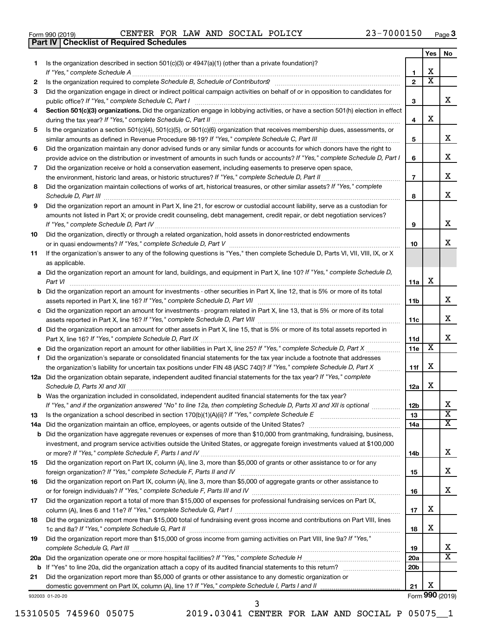|  | Form 990 (2019) |  |
|--|-----------------|--|
|  |                 |  |

**Part IV Checklist of Required Schedules**

Form 990 (2019)  $\begin{array}{cccc} \text{CENTER} & \text{FOR} & \text{LAW} & \text{AND} & \text{SOCIAL} & \text{POLICY} \end{array}$   $\begin{array}{cccc} 23-7000150 & \text{Page} \end{array}$ 

|     |                                                                                                                                                                 |                 | Yes                     | No                         |
|-----|-----------------------------------------------------------------------------------------------------------------------------------------------------------------|-----------------|-------------------------|----------------------------|
| 1   | Is the organization described in section $501(c)(3)$ or $4947(a)(1)$ (other than a private foundation)?                                                         |                 |                         |                            |
|     | If "Yes," complete Schedule A                                                                                                                                   | 1               | х                       |                            |
| 2   | Is the organization required to complete Schedule B, Schedule of Contributors? [11] the organization required to complete Schedule B, Schedule of Contributors? | $\overline{2}$  | $\overline{\textbf{x}}$ |                            |
| З   | Did the organization engage in direct or indirect political campaign activities on behalf of or in opposition to candidates for                                 |                 |                         |                            |
|     |                                                                                                                                                                 | З               |                         | X                          |
| 4   | Section 501(c)(3) organizations. Did the organization engage in lobbying activities, or have a section 501(h) election in effect                                |                 |                         |                            |
|     |                                                                                                                                                                 | 4               | х                       |                            |
| 5   | Is the organization a section 501(c)(4), 501(c)(5), or 501(c)(6) organization that receives membership dues, assessments, or                                    |                 |                         |                            |
|     |                                                                                                                                                                 | 5               |                         | X                          |
| 6   | Did the organization maintain any donor advised funds or any similar funds or accounts for which donors have the right to                                       |                 |                         |                            |
|     | provide advice on the distribution or investment of amounts in such funds or accounts? If "Yes," complete Schedule D, Part I                                    | 6               |                         | X                          |
| 7   | Did the organization receive or hold a conservation easement, including easements to preserve open space,                                                       |                 |                         |                            |
|     |                                                                                                                                                                 | $\overline{7}$  |                         | X                          |
| 8   | Did the organization maintain collections of works of art, historical treasures, or other similar assets? If "Yes," complete                                    |                 |                         |                            |
|     | Schedule D, Part III <b>Process Construction Construction Construction</b> Construction Construction Construction Const                                         | 8               |                         | X                          |
| 9   | Did the organization report an amount in Part X, line 21, for escrow or custodial account liability, serve as a custodian for                                   |                 |                         |                            |
|     | amounts not listed in Part X; or provide credit counseling, debt management, credit repair, or debt negotiation services?                                       |                 |                         |                            |
|     |                                                                                                                                                                 | 9               |                         | X                          |
| 10  | Did the organization, directly or through a related organization, hold assets in donor-restricted endowments                                                    |                 |                         |                            |
|     |                                                                                                                                                                 | 10              |                         | X                          |
| 11  | If the organization's answer to any of the following questions is "Yes," then complete Schedule D, Parts VI, VII, VIII, IX, or X                                |                 |                         |                            |
|     | as applicable.                                                                                                                                                  |                 |                         |                            |
|     | a Did the organization report an amount for land, buildings, and equipment in Part X, line 10? If "Yes," complete Schedule D,                                   |                 |                         |                            |
|     | Part VI                                                                                                                                                         | 11a             | х                       |                            |
|     | <b>b</b> Did the organization report an amount for investments - other securities in Part X, line 12, that is 5% or more of its total                           |                 |                         |                            |
|     |                                                                                                                                                                 | 11b             |                         | X                          |
|     | c Did the organization report an amount for investments - program related in Part X, line 13, that is 5% or more of its total                                   |                 |                         |                            |
|     |                                                                                                                                                                 | 11c             |                         | х                          |
|     | d Did the organization report an amount for other assets in Part X, line 15, that is 5% or more of its total assets reported in                                 |                 |                         |                            |
|     |                                                                                                                                                                 | 11d             |                         | x                          |
|     |                                                                                                                                                                 | 11e             | X                       |                            |
| f   | Did the organization's separate or consolidated financial statements for the tax year include a footnote that addresses                                         |                 |                         |                            |
|     | the organization's liability for uncertain tax positions under FIN 48 (ASC 740)? If "Yes," complete Schedule D, Part X                                          | 11f             | х                       |                            |
|     | 12a Did the organization obtain separate, independent audited financial statements for the tax year? If "Yes," complete                                         |                 |                         |                            |
|     | Schedule D, Parts XI and XII                                                                                                                                    | 12a             | х                       |                            |
|     | <b>b</b> Was the organization included in consolidated, independent audited financial statements for the tax year?                                              |                 |                         |                            |
|     | If "Yes," and if the organization answered "No" to line 12a, then completing Schedule D, Parts XI and XII is optional www.                                      | 12 <sub>b</sub> |                         | ∡⊾                         |
| 13  |                                                                                                                                                                 | 13              |                         | $\overline{\mathbf{x}}$    |
| 14a |                                                                                                                                                                 | 14a             |                         | х                          |
|     | <b>b</b> Did the organization have aggregate revenues or expenses of more than \$10,000 from grantmaking, fundraising, business,                                |                 |                         |                            |
|     | investment, and program service activities outside the United States, or aggregate foreign investments valued at \$100,000                                      |                 |                         |                            |
|     |                                                                                                                                                                 | 14b             |                         | х                          |
| 15  | Did the organization report on Part IX, column (A), line 3, more than \$5,000 of grants or other assistance to or for any                                       |                 |                         |                            |
|     |                                                                                                                                                                 | 15              |                         | х                          |
| 16  | Did the organization report on Part IX, column (A), line 3, more than \$5,000 of aggregate grants or other assistance to                                        |                 |                         |                            |
|     |                                                                                                                                                                 | 16              |                         | X                          |
| 17  | Did the organization report a total of more than \$15,000 of expenses for professional fundraising services on Part IX,                                         |                 |                         |                            |
|     |                                                                                                                                                                 | 17              | х                       |                            |
| 18  | Did the organization report more than \$15,000 total of fundraising event gross income and contributions on Part VIII, lines                                    |                 |                         |                            |
|     |                                                                                                                                                                 | 18              | х                       |                            |
| 19  | Did the organization report more than \$15,000 of gross income from gaming activities on Part VIII, line 9a? If "Yes,"                                          |                 |                         |                            |
|     |                                                                                                                                                                 | 19              |                         | х<br>$\overline{\text{X}}$ |
|     |                                                                                                                                                                 | 20a             |                         |                            |
|     | <b>b</b> If "Yes" to line 20a, did the organization attach a copy of its audited financial statements to this return?                                           | 20 <sub>b</sub> |                         |                            |
| 21  | Did the organization report more than \$5,000 of grants or other assistance to any domestic organization or                                                     |                 | х                       |                            |
|     | domestic government on Part IX, column (A), line 1? If "Yes," complete Schedule I, Parts I and II                                                               | 21              |                         |                            |
|     | 932003 01-20-20                                                                                                                                                 |                 |                         | Form 990 (2019)            |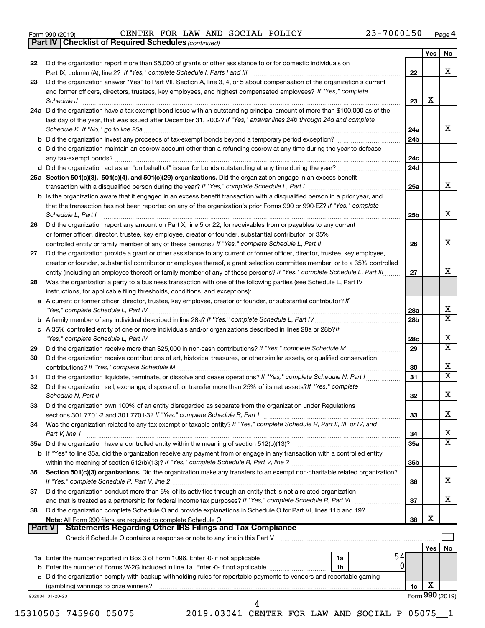|  | Form 990 (2019) |  |
|--|-----------------|--|
|  |                 |  |

*(continued)* **Part IV Checklist of Required Schedules**

|        |                                                                                                                                                                                                                                                              |           | Yes | No                      |
|--------|--------------------------------------------------------------------------------------------------------------------------------------------------------------------------------------------------------------------------------------------------------------|-----------|-----|-------------------------|
| 22     | Did the organization report more than \$5,000 of grants or other assistance to or for domestic individuals on                                                                                                                                                |           |     | x                       |
| 23     | Part IX, column (A), line 2? If "Yes," complete Schedule I, Parts I and III [11]] [11]] [11] [11] [11] [11] [1<br>Did the organization answer "Yes" to Part VII, Section A, line 3, 4, or 5 about compensation of the organization's current                 | 22        |     |                         |
|        | and former officers, directors, trustees, key employees, and highest compensated employees? If "Yes," complete                                                                                                                                               | 23        | х   |                         |
|        | Schedule J<br>24a Did the organization have a tax-exempt bond issue with an outstanding principal amount of more than \$100,000 as of the                                                                                                                    |           |     |                         |
|        | last day of the year, that was issued after December 31, 2002? If "Yes," answer lines 24b through 24d and complete                                                                                                                                           | 24a       |     | X                       |
|        |                                                                                                                                                                                                                                                              | 24b       |     |                         |
|        | c Did the organization maintain an escrow account other than a refunding escrow at any time during the year to defease                                                                                                                                       | 24c       |     |                         |
|        |                                                                                                                                                                                                                                                              | 24d       |     |                         |
|        | 25a Section 501(c)(3), 501(c)(4), and 501(c)(29) organizations. Did the organization engage in an excess benefit                                                                                                                                             |           |     |                         |
|        |                                                                                                                                                                                                                                                              | 25a       |     | x                       |
|        | <b>b</b> Is the organization aware that it engaged in an excess benefit transaction with a disqualified person in a prior year, and<br>that the transaction has not been reported on any of the organization's prior Forms 990 or 990-EZ? If "Yes," complete |           |     | x                       |
|        | Schedule L, Part I                                                                                                                                                                                                                                           | 25b       |     |                         |
| 26     | Did the organization report any amount on Part X, line 5 or 22, for receivables from or payables to any current<br>or former officer, director, trustee, key employee, creator or founder, substantial contributor, or 35%                                   |           |     |                         |
|        |                                                                                                                                                                                                                                                              | 26        |     | x                       |
| 27     | Did the organization provide a grant or other assistance to any current or former officer, director, trustee, key employee,                                                                                                                                  |           |     |                         |
|        | creator or founder, substantial contributor or employee thereof, a grant selection committee member, or to a 35% controlled<br>entity (including an employee thereof) or family member of any of these persons? If "Yes," complete Schedule L, Part III      | 27        |     | x                       |
| 28     | Was the organization a party to a business transaction with one of the following parties (see Schedule L, Part IV<br>instructions, for applicable filing thresholds, conditions, and exceptions):                                                            |           |     |                         |
|        | a A current or former officer, director, trustee, key employee, creator or founder, or substantial contributor? If                                                                                                                                           | 28a       |     | X                       |
|        |                                                                                                                                                                                                                                                              | 28b       |     | $\overline{\mathbf{X}}$ |
|        | c A 35% controlled entity of one or more individuals and/or organizations described in lines 28a or 28b?/f                                                                                                                                                   | 28c       |     | Х                       |
| 29     |                                                                                                                                                                                                                                                              | 29        |     | $\overline{\textbf{X}}$ |
| 30     | Did the organization receive contributions of art, historical treasures, or other similar assets, or qualified conservation                                                                                                                                  | 30        |     | Х                       |
| 31     | Did the organization liquidate, terminate, or dissolve and cease operations? If "Yes," complete Schedule N, Part I                                                                                                                                           | 31        |     | $\overline{\mathbf{X}}$ |
| 32     | Did the organization sell, exchange, dispose of, or transfer more than 25% of its net assets? If "Yes," complete                                                                                                                                             | 32        |     | Х                       |
| 33     | Did the organization own 100% of an entity disregarded as separate from the organization under Regulations                                                                                                                                                   | 33        |     | х                       |
| 34     | Was the organization related to any tax-exempt or taxable entity? If "Yes," complete Schedule R, Part II, III, or IV, and                                                                                                                                    |           |     | х                       |
|        | Part V, line 1                                                                                                                                                                                                                                               | 34<br>35a |     | x                       |
|        | b If "Yes" to line 35a, did the organization receive any payment from or engage in any transaction with a controlled entity                                                                                                                                  |           |     |                         |
|        |                                                                                                                                                                                                                                                              | 35b       |     |                         |
| 36     | Section 501(c)(3) organizations. Did the organization make any transfers to an exempt non-charitable related organization?                                                                                                                                   | 36        |     | x                       |
| 37     | Did the organization conduct more than 5% of its activities through an entity that is not a related organization                                                                                                                                             | 37        |     | x                       |
| 38     | Did the organization complete Schedule O and provide explanations in Schedule O for Part VI, lines 11b and 19?                                                                                                                                               |           | X   |                         |
| Part V | <b>Statements Regarding Other IRS Filings and Tax Compliance</b>                                                                                                                                                                                             | 38        |     |                         |
|        |                                                                                                                                                                                                                                                              |           |     |                         |
|        |                                                                                                                                                                                                                                                              |           | Yes | No                      |
|        | 54<br>1a                                                                                                                                                                                                                                                     |           |     |                         |
|        | 0                                                                                                                                                                                                                                                            |           |     |                         |
|        | 1 <sub>b</sub>                                                                                                                                                                                                                                               |           |     |                         |
|        | c Did the organization comply with backup withholding rules for reportable payments to vendors and reportable gaming                                                                                                                                         | 1c        | Х   |                         |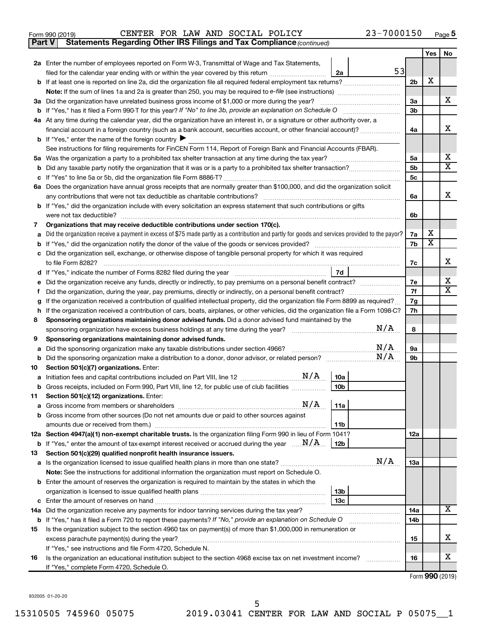| Form 990 (2019) |  |  | CENTER FOR LAW AND SOCIAL POLICY |                                                                                     | 23-7000150 | Page |
|-----------------|--|--|----------------------------------|-------------------------------------------------------------------------------------|------------|------|
|                 |  |  |                                  | <b>Part V</b> Statements Regarding Other IRS Filings and Tax Compliance (continued) |            |      |

|    |                                                                                                                                                                                                                                     |                | Yes | No                      |
|----|-------------------------------------------------------------------------------------------------------------------------------------------------------------------------------------------------------------------------------------|----------------|-----|-------------------------|
|    | 2a Enter the number of employees reported on Form W-3, Transmittal of Wage and Tax Statements,                                                                                                                                      |                |     |                         |
|    | 53<br>filed for the calendar year ending with or within the year covered by this return <i>manumumumum</i><br>2a                                                                                                                    |                |     |                         |
|    |                                                                                                                                                                                                                                     | 2 <sub>b</sub> | х   |                         |
|    |                                                                                                                                                                                                                                     |                |     |                         |
|    | 3a Did the organization have unrelated business gross income of \$1,000 or more during the year?                                                                                                                                    | 3a             |     | x                       |
|    |                                                                                                                                                                                                                                     | 3b             |     |                         |
|    | 4a At any time during the calendar year, did the organization have an interest in, or a signature or other authority over, a                                                                                                        |                |     |                         |
|    | financial account in a foreign country (such as a bank account, securities account, or other financial account)?                                                                                                                    | 4a             |     | х                       |
|    | <b>b</b> If "Yes," enter the name of the foreign country $\blacktriangleright$                                                                                                                                                      |                |     |                         |
|    | See instructions for filing requirements for FinCEN Form 114, Report of Foreign Bank and Financial Accounts (FBAR).                                                                                                                 |                |     |                         |
|    |                                                                                                                                                                                                                                     | 5a             |     | х                       |
| b  |                                                                                                                                                                                                                                     | 5b             |     | $\overline{\mathbf{X}}$ |
| с  |                                                                                                                                                                                                                                     | 5с             |     |                         |
|    | 6a Does the organization have annual gross receipts that are normally greater than \$100,000, and did the organization solicit                                                                                                      |                |     |                         |
|    |                                                                                                                                                                                                                                     | 6a             |     | х                       |
|    | <b>b</b> If "Yes," did the organization include with every solicitation an express statement that such contributions or gifts                                                                                                       |                |     |                         |
|    | were not tax deductible?                                                                                                                                                                                                            | 6b             |     |                         |
| 7  | Organizations that may receive deductible contributions under section 170(c).                                                                                                                                                       |                | х   |                         |
| a  | Did the organization receive a payment in excess of \$75 made partly as a contribution and partly for goods and services provided to the payor?                                                                                     | 7a             | х   |                         |
|    |                                                                                                                                                                                                                                     | 7b             |     |                         |
| с  | Did the organization sell, exchange, or otherwise dispose of tangible personal property for which it was required                                                                                                                   | 7c             |     | х                       |
|    | 7d                                                                                                                                                                                                                                  |                |     |                         |
| е  | Did the organization receive any funds, directly or indirectly, to pay premiums on a personal benefit contract?                                                                                                                     | 7е             |     | х                       |
| f. | Did the organization, during the year, pay premiums, directly or indirectly, on a personal benefit contract?                                                                                                                        | 7f             |     | x                       |
| g  | If the organization received a contribution of qualified intellectual property, did the organization file Form 8899 as required?                                                                                                    | 7g             |     |                         |
| h  | If the organization received a contribution of cars, boats, airplanes, or other vehicles, did the organization file a Form 1098-C?                                                                                                  | 7h             |     |                         |
| 8  | Sponsoring organizations maintaining donor advised funds. Did a donor advised fund maintained by the                                                                                                                                |                |     |                         |
|    | N/A                                                                                                                                                                                                                                 | 8              |     |                         |
| 9  | Sponsoring organizations maintaining donor advised funds.                                                                                                                                                                           |                |     |                         |
| а  | N/A<br>Did the sponsoring organization make any taxable distributions under section 4966?                                                                                                                                           | 9а             |     |                         |
| b  | N/A                                                                                                                                                                                                                                 | 9b             |     |                         |
| 10 | Section 501(c)(7) organizations. Enter:                                                                                                                                                                                             |                |     |                         |
| а  | 10a                                                                                                                                                                                                                                 |                |     |                         |
|    | b Gross receipts, included on Form 990, Part VIII, line 12, for public use of club facilities<br>10b                                                                                                                                |                |     |                         |
| 11 | Section 501(c)(12) organizations. Enter:                                                                                                                                                                                            |                |     |                         |
|    |                                                                                                                                                                                                                                     |                |     |                         |
|    | <b>b</b> Gross income from other sources (Do not net amounts due or paid to other sources against                                                                                                                                   |                |     |                         |
|    | 11b                                                                                                                                                                                                                                 |                |     |                         |
|    | 12a Section 4947(a)(1) non-exempt charitable trusts. Is the organization filing Form 990 in lieu of Form 1041?                                                                                                                      | 12a            |     |                         |
|    | <b>b</b> If "Yes," enter the amount of tax-exempt interest received or accrued during the year $\ldots$ $\mathbf{N}/\mathbf{A}$ .<br>12b                                                                                            |                |     |                         |
| 13 | Section 501(c)(29) qualified nonprofit health insurance issuers.                                                                                                                                                                    |                |     |                         |
|    | N/A<br>a Is the organization licensed to issue qualified health plans in more than one state?                                                                                                                                       | 13a            |     |                         |
|    | Note: See the instructions for additional information the organization must report on Schedule O.                                                                                                                                   |                |     |                         |
|    | <b>b</b> Enter the amount of reserves the organization is required to maintain by the states in which the                                                                                                                           |                |     |                         |
|    | 13 <sub>b</sub>                                                                                                                                                                                                                     |                |     |                         |
|    | 13c                                                                                                                                                                                                                                 |                |     | x                       |
|    | 14a Did the organization receive any payments for indoor tanning services during the tax year?                                                                                                                                      | 14a            |     |                         |
|    | <b>b</b> If "Yes," has it filed a Form 720 to report these payments? If "No," provide an explanation on Schedule O<br>Is the organization subject to the section 4960 tax on payment(s) of more than \$1,000,000 in remuneration or | 14b            |     |                         |
| 15 |                                                                                                                                                                                                                                     |                |     | x                       |
|    |                                                                                                                                                                                                                                     | 15             |     |                         |
| 16 | If "Yes," see instructions and file Form 4720, Schedule N.<br>Is the organization an educational institution subject to the section 4968 excise tax on net investment income?                                                       | 16             |     | x                       |
|    | If "Yes," complete Form 4720, Schedule O.                                                                                                                                                                                           |                |     |                         |
|    |                                                                                                                                                                                                                                     |                |     |                         |

Form (2019) **990**

932005 01-20-20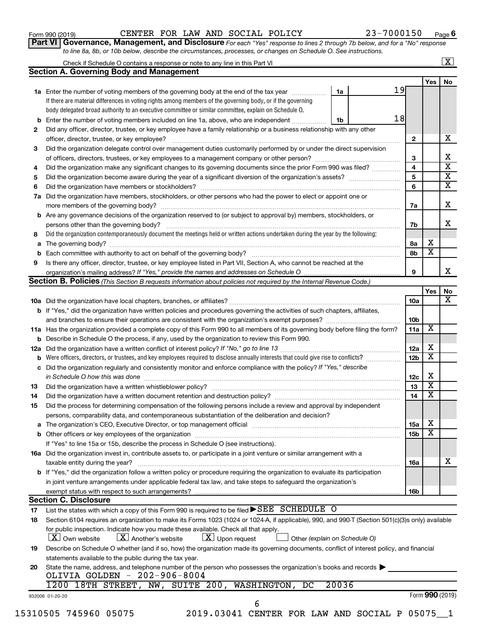| Form 990 (2019) |
|-----------------|
|-----------------|

# Form 990 (2019)  $\begin{array}{cccc} \text{CENTER} & \text{FOR} & \text{LAW} & \text{AND} & \text{SOCIAL} & \text{POLICY} \end{array}$   $\begin{array}{cccc} 23-7000150 & \text{Page} \end{array}$

**Part VI** Governance, Management, and Disclosure For each "Yes" response to lines 2 through 7b below, and for a "No" response *to line 8a, 8b, or 10b below, describe the circumstances, processes, or changes on Schedule O. See instructions.*

|          |                                                                                                                                                                                                                                |       | Check if Schedule O contains a response or note to any line in this Part VI [1] [1] [1] [1] [1] [1] [1] [1] [1 |                 |                         | $\mathbf{X}$ |
|----------|--------------------------------------------------------------------------------------------------------------------------------------------------------------------------------------------------------------------------------|-------|----------------------------------------------------------------------------------------------------------------|-----------------|-------------------------|--------------|
|          | <b>Section A. Governing Body and Management</b>                                                                                                                                                                                |       |                                                                                                                |                 |                         |              |
|          |                                                                                                                                                                                                                                |       |                                                                                                                |                 | Yes                     | No           |
|          | 1a Enter the number of voting members of the governing body at the end of the tax year                                                                                                                                         | 1a    | 19                                                                                                             |                 |                         |              |
|          | If there are material differences in voting rights among members of the governing body, or if the governing                                                                                                                    |       |                                                                                                                |                 |                         |              |
|          | body delegated broad authority to an executive committee or similar committee, explain on Schedule O.                                                                                                                          |       |                                                                                                                |                 |                         |              |
| b        | Enter the number of voting members included on line 1a, above, who are independent <i></i>                                                                                                                                     | 1b    | 18                                                                                                             |                 |                         |              |
| 2        | Did any officer, director, trustee, or key employee have a family relationship or a business relationship with any other                                                                                                       |       |                                                                                                                |                 |                         |              |
|          | officer, director, trustee, or key employee?                                                                                                                                                                                   |       |                                                                                                                | $\mathbf{2}$    |                         |              |
| 3        | Did the organization delegate control over management duties customarily performed by or under the direct supervision                                                                                                          |       |                                                                                                                |                 |                         |              |
|          |                                                                                                                                                                                                                                |       |                                                                                                                | 3               |                         |              |
| 4        | Did the organization make any significant changes to its governing documents since the prior Form 990 was filed?                                                                                                               |       |                                                                                                                | 4               |                         |              |
| 5        |                                                                                                                                                                                                                                |       |                                                                                                                | 5               |                         |              |
| 6        |                                                                                                                                                                                                                                |       |                                                                                                                | 6               |                         |              |
| 7a       | Did the organization have members, stockholders, or other persons who had the power to elect or appoint one or                                                                                                                 |       |                                                                                                                |                 |                         |              |
|          |                                                                                                                                                                                                                                |       |                                                                                                                | 7a              |                         |              |
|          | Are any governance decisions of the organization reserved to (or subject to approval by) members, stockholders, or                                                                                                             |       |                                                                                                                |                 |                         |              |
| b        |                                                                                                                                                                                                                                |       |                                                                                                                |                 |                         |              |
|          |                                                                                                                                                                                                                                |       |                                                                                                                | 7b              |                         |              |
| 8        | Did the organization contemporaneously document the meetings held or written actions undertaken during the year by the following:                                                                                              |       |                                                                                                                |                 |                         |              |
| а        |                                                                                                                                                                                                                                |       |                                                                                                                | 8а              | х                       |              |
| b        |                                                                                                                                                                                                                                |       |                                                                                                                | 8b              | $\overline{\mathbf{x}}$ |              |
| 9        | Is there any officer, director, trustee, or key employee listed in Part VII, Section A, who cannot be reached at the                                                                                                           |       |                                                                                                                |                 |                         |              |
|          |                                                                                                                                                                                                                                |       |                                                                                                                | 9               |                         |              |
|          | <b>Section B. Policies</b> (This Section B requests information about policies not required by the Internal Revenue Code.)                                                                                                     |       |                                                                                                                |                 |                         |              |
|          |                                                                                                                                                                                                                                |       |                                                                                                                |                 | Yes                     |              |
|          |                                                                                                                                                                                                                                |       |                                                                                                                | 10a             |                         |              |
|          | <b>b</b> If "Yes," did the organization have written policies and procedures governing the activities of such chapters, affiliates,                                                                                            |       |                                                                                                                |                 |                         |              |
|          |                                                                                                                                                                                                                                |       |                                                                                                                | 10 <sub>b</sub> |                         |              |
|          | 11a Has the organization provided a complete copy of this Form 990 to all members of its governing body before filing the form?                                                                                                |       |                                                                                                                | 11a             | х                       |              |
|          | <b>b</b> Describe in Schedule O the process, if any, used by the organization to review this Form 990.                                                                                                                         |       |                                                                                                                |                 |                         |              |
| 12a      |                                                                                                                                                                                                                                |       |                                                                                                                | 12a             | х                       |              |
| b        | Were officers, directors, or trustees, and key employees required to disclose annually interests that could give rise to conflicts?                                                                                            |       |                                                                                                                | 12 <sub>b</sub> | х                       |              |
| с        | Did the organization regularly and consistently monitor and enforce compliance with the policy? If "Yes," describe                                                                                                             |       |                                                                                                                |                 |                         |              |
|          |                                                                                                                                                                                                                                |       |                                                                                                                | 12c             | X                       |              |
| 13       |                                                                                                                                                                                                                                |       |                                                                                                                | 13              | $\overline{\textbf{x}}$ |              |
| 14       | Did the organization have a written document retention and destruction policy? [11] manufaction model of the organization have a written document retention and destruction policy?                                            |       |                                                                                                                | 14              | $\overline{\mathbf{X}}$ |              |
| 15       | Did the process for determining compensation of the following persons include a review and approval by independent                                                                                                             |       |                                                                                                                |                 |                         |              |
|          | persons, comparability data, and contemporaneous substantiation of the deliberation and decision?                                                                                                                              |       |                                                                                                                |                 |                         |              |
|          |                                                                                                                                                                                                                                |       |                                                                                                                |                 | х                       |              |
| а        | The organization's CEO, Executive Director, or top management official [111] [12] manument content or organization's CEO, Executive Director, or top management official [11] manument content or or or or or or or or or or o |       |                                                                                                                | 15a             | х                       |              |
|          |                                                                                                                                                                                                                                |       |                                                                                                                | 15 <sub>b</sub> |                         |              |
|          | If "Yes" to line 15a or 15b, describe the process in Schedule O (see instructions).                                                                                                                                            |       |                                                                                                                |                 |                         |              |
|          | 16a Did the organization invest in, contribute assets to, or participate in a joint venture or similar arrangement with a                                                                                                      |       |                                                                                                                |                 |                         |              |
|          | taxable entity during the year?                                                                                                                                                                                                |       |                                                                                                                | 16a             |                         |              |
|          | b If "Yes," did the organization follow a written policy or procedure requiring the organization to evaluate its participation                                                                                                 |       |                                                                                                                |                 |                         |              |
|          | in joint venture arrangements under applicable federal tax law, and take steps to safeguard the organization's                                                                                                                 |       |                                                                                                                |                 |                         |              |
|          | exempt status with respect to such arrangements?                                                                                                                                                                               |       |                                                                                                                | 16b             |                         |              |
|          | <b>Section C. Disclosure</b>                                                                                                                                                                                                   |       |                                                                                                                |                 |                         |              |
|          | List the states with which a copy of this Form 990 is required to be filed $\blacktriangleright$ SEE SCHEDULE O                                                                                                                |       |                                                                                                                |                 |                         |              |
|          |                                                                                                                                                                                                                                |       |                                                                                                                |                 |                         |              |
|          | Section 6104 requires an organization to make its Forms 1023 (1024 or 1024-A, if applicable), 990, and 990-T (Section 501(c)(3)s only) available                                                                               |       |                                                                                                                |                 |                         |              |
| 17<br>18 | for public inspection. Indicate how you made these available. Check all that apply.                                                                                                                                            |       |                                                                                                                |                 |                         |              |
|          | $\lfloor x \rfloor$ Upon request<br><b>X</b> Own website<br>$\lfloor X \rfloor$ Another's website<br>Other (explain on Schedule O)                                                                                             |       |                                                                                                                |                 |                         |              |
|          |                                                                                                                                                                                                                                |       |                                                                                                                |                 |                         |              |
| 19       | Describe on Schedule O whether (and if so, how) the organization made its governing documents, conflict of interest policy, and financial                                                                                      |       |                                                                                                                |                 |                         |              |
|          | statements available to the public during the tax year.                                                                                                                                                                        |       |                                                                                                                |                 |                         |              |
|          | State the name, address, and telephone number of the person who possesses the organization's books and records                                                                                                                 |       |                                                                                                                |                 |                         |              |
|          | OLIVIA GOLDEN - 202-906-8004                                                                                                                                                                                                   |       |                                                                                                                |                 |                         |              |
|          | 1200 18TH STREET, NW, SUITE 200, WASHINGTON,<br>DC                                                                                                                                                                             | 20036 |                                                                                                                |                 |                         |              |
| 20       | 932006 01-20-20<br>6                                                                                                                                                                                                           |       |                                                                                                                |                 | Form 990 (2019)         |              |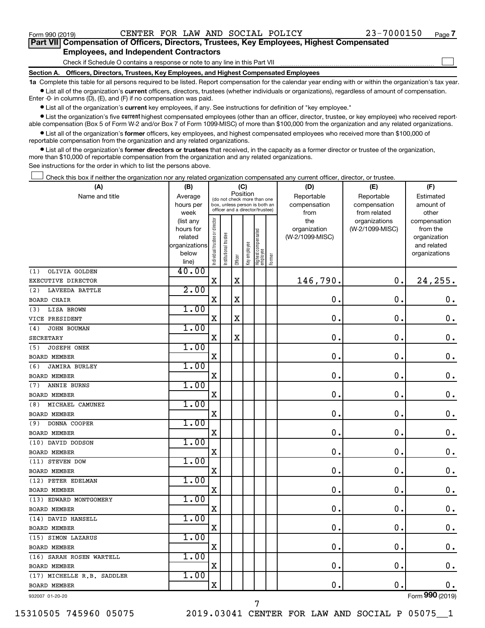$\Box$ 

| Part VII Compensation of Officers, Directors, Trustees, Key Employees, Highest Compensated |
|--------------------------------------------------------------------------------------------|
| <b>Employees, and Independent Contractors</b>                                              |

Check if Schedule O contains a response or note to any line in this Part VII

**Section A. Officers, Directors, Trustees, Key Employees, and Highest Compensated Employees**

**1a**  Complete this table for all persons required to be listed. Report compensation for the calendar year ending with or within the organization's tax year.  $\bullet$  List all of the organization's current officers, directors, trustees (whether individuals or organizations), regardless of amount of compensation.

Enter -0- in columns (D), (E), and (F) if no compensation was paid.

**•** List all of the organization's current key employees, if any. See instructions for definition of "key employee."

• List the organization's five *current* highest compensated employees (other than an officer, director, trustee, or key employee) who received reportable compensation (Box 5 of Form W-2 and/or Box 7 of Form 1099-MISC) of more than \$100,000 from the organization and any related organizations.

 $\bullet$  List all of the organization's former officers, key employees, and highest compensated employees who received more than \$100,000 of reportable compensation from the organization and any related organizations.

**•** List all of the organization's former directors or trustees that received, in the capacity as a former director or trustee of the organization, more than \$10,000 of reportable compensation from the organization and any related organizations.

See instructions for the order in which to list the persons above.

Check this box if neither the organization nor any related organization compensated any current officer, director, or trustee.  $\Box$ 

| (A)                          | (B)                                                                 |                                |                                                                  | (C)      |              |                                   |        | (D)                                            | (E)                                              | (F)                                                                               |
|------------------------------|---------------------------------------------------------------------|--------------------------------|------------------------------------------------------------------|----------|--------------|-----------------------------------|--------|------------------------------------------------|--------------------------------------------------|-----------------------------------------------------------------------------------|
| Name and title               | Average                                                             |                                | (do not check more than one                                      | Position |              |                                   |        | Reportable                                     | Reportable                                       | Estimated                                                                         |
|                              | hours per                                                           |                                | box, unless person is both an<br>officer and a director/trustee) |          |              |                                   |        | compensation                                   | compensation                                     | amount of                                                                         |
|                              | week<br>(list any<br>hours for<br>related<br>organizations<br>below | Individual trustee or director | nstitutional trustee                                             | Officer  | Key employee | Highest compensated<br>  employee | Former | from<br>the<br>organization<br>(W-2/1099-MISC) | from related<br>organizations<br>(W-2/1099-MISC) | other<br>compensation<br>from the<br>organization<br>and related<br>organizations |
| OLIVIA GOLDEN<br>(1)         | line)<br>40.00                                                      |                                |                                                                  |          |              |                                   |        |                                                |                                                  |                                                                                   |
| EXECUTIVE DIRECTOR           |                                                                     | $\mathbf X$                    |                                                                  | X        |              |                                   |        | 146,790.                                       | $\mathbf 0$ .                                    | 24,255.                                                                           |
| <b>LAVEEDA BATTLE</b><br>(2) | 2.00                                                                |                                |                                                                  |          |              |                                   |        |                                                |                                                  |                                                                                   |
| <b>BOARD CHAIR</b>           |                                                                     | $\mathbf X$                    |                                                                  | X        |              |                                   |        | $\mathbf 0$ .                                  | $\mathbf 0$ .                                    | 0.                                                                                |
| <b>LISA BROWN</b><br>(3)     | 1.00                                                                |                                |                                                                  |          |              |                                   |        |                                                |                                                  |                                                                                   |
| VICE PRESIDENT               |                                                                     | X                              |                                                                  | X        |              |                                   |        | $\mathbf 0$ .                                  | 0.                                               | 0.                                                                                |
| JOHN BOUMAN<br>(4)           | 1.00                                                                |                                |                                                                  |          |              |                                   |        |                                                |                                                  |                                                                                   |
| SECRETARY                    |                                                                     | $\mathbf X$                    |                                                                  | X        |              |                                   |        | $\mathbf 0$ .                                  | $\mathbf 0$ .                                    | $\mathbf 0$ .                                                                     |
| (5)<br><b>JOSEPH ONEK</b>    | 1.00                                                                |                                |                                                                  |          |              |                                   |        |                                                |                                                  |                                                                                   |
| <b>BOARD MEMBER</b>          |                                                                     | $\mathbf X$                    |                                                                  |          |              |                                   |        | $\mathbf 0$ .                                  | $\mathbf 0$ .                                    | $\mathbf 0$ .                                                                     |
| (6)<br><b>JAMIRA BURLEY</b>  | 1.00                                                                |                                |                                                                  |          |              |                                   |        |                                                |                                                  |                                                                                   |
| <b>BOARD MEMBER</b>          |                                                                     | $\mathbf X$                    |                                                                  |          |              |                                   |        | $\mathbf 0$ .                                  | $\mathbf 0$ .                                    | $\mathbf 0$ .                                                                     |
| <b>ANNIE BURNS</b><br>(7)    | 1.00                                                                |                                |                                                                  |          |              |                                   |        |                                                |                                                  |                                                                                   |
| <b>BOARD MEMBER</b>          |                                                                     | $\mathbf X$                    |                                                                  |          |              |                                   |        | $\mathbf 0$ .                                  | $\mathbf 0$                                      | $\mathbf 0$ .                                                                     |
| MICHAEL CAMUNEZ<br>(8)       | 1.00                                                                |                                |                                                                  |          |              |                                   |        |                                                |                                                  |                                                                                   |
| <b>BOARD MEMBER</b>          |                                                                     | $\mathbf X$                    |                                                                  |          |              |                                   |        | $\mathbf 0$ .                                  | $\mathbf 0$ .                                    | $\mathbf 0$ .                                                                     |
| DONNA COOPER<br>(9)          | 1.00                                                                |                                |                                                                  |          |              |                                   |        |                                                |                                                  |                                                                                   |
| <b>BOARD MEMBER</b>          |                                                                     | $\mathbf X$                    |                                                                  |          |              |                                   |        | $\mathbf 0$ .                                  | $\mathbf 0$ .                                    | $0$ .                                                                             |
| (10) DAVID DODSON            | 1.00                                                                |                                |                                                                  |          |              |                                   |        |                                                |                                                  |                                                                                   |
| <b>BOARD MEMBER</b>          |                                                                     | X                              |                                                                  |          |              |                                   |        | $\mathbf 0$ .                                  | $\mathbf 0$ .                                    | 0.                                                                                |
| (11) STEVEN DOW              | 1.00                                                                |                                |                                                                  |          |              |                                   |        |                                                |                                                  |                                                                                   |
| <b>BOARD MEMBER</b>          |                                                                     | $\mathbf X$                    |                                                                  |          |              |                                   |        | $\mathbf 0$ .                                  | 0.                                               | $\mathbf 0$ .                                                                     |
| (12) PETER EDELMAN           | 1.00                                                                |                                |                                                                  |          |              |                                   |        |                                                |                                                  |                                                                                   |
| <b>BOARD MEMBER</b>          |                                                                     | $\mathbf X$                    |                                                                  |          |              |                                   |        | $\mathbf 0$ .                                  | $\mathbf 0$ .                                    | $\mathbf 0$ .                                                                     |
| (13) EDWARD MONTGOMERY       | 1.00                                                                |                                |                                                                  |          |              |                                   |        |                                                |                                                  |                                                                                   |
| <b>BOARD MEMBER</b>          |                                                                     | $\mathbf X$                    |                                                                  |          |              |                                   |        | $\mathbf 0$ .                                  | $\mathbf 0$ .                                    | $\mathbf 0$ .                                                                     |
| (14) DAVID HANSELL           | 1.00                                                                |                                |                                                                  |          |              |                                   |        |                                                |                                                  |                                                                                   |
| <b>BOARD MEMBER</b>          |                                                                     | $\mathbf X$                    |                                                                  |          |              |                                   |        | $\mathbf 0$ .                                  | $\mathbf 0$ .                                    | $\mathbf 0$ .                                                                     |
| (15) SIMON LAZARUS           | 1.00                                                                |                                |                                                                  |          |              |                                   |        |                                                |                                                  |                                                                                   |
| <b>BOARD MEMBER</b>          |                                                                     | X                              |                                                                  |          |              |                                   |        | $\mathbf 0$ .                                  | $\mathbf 0$                                      | $\mathbf 0$ .                                                                     |
| (16) SARAH ROSEN WARTELL     | 1.00                                                                |                                |                                                                  |          |              |                                   |        |                                                |                                                  |                                                                                   |
| <b>BOARD MEMBER</b>          |                                                                     | $\mathbf X$                    |                                                                  |          |              |                                   |        | $\mathbf 0$ .                                  | $\mathbf 0$ .                                    | $0$ .                                                                             |
| (17) MICHELLE R.B. SADDLER   | 1.00                                                                |                                |                                                                  |          |              |                                   |        |                                                |                                                  |                                                                                   |
| <b>BOARD MEMBER</b>          |                                                                     | $\mathbf X$                    |                                                                  |          |              |                                   |        | 0.                                             | $\mathbf 0$ .                                    | 0.                                                                                |
| 932007 01-20-20              |                                                                     |                                |                                                                  |          |              |                                   |        |                                                |                                                  | Form 990 (2019)                                                                   |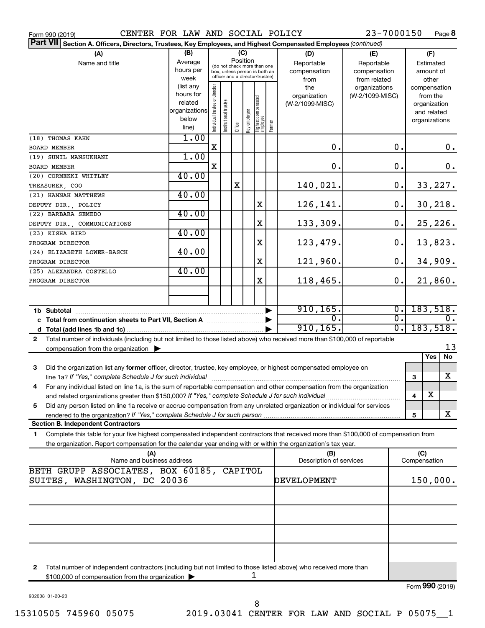| CENTER FOR LAW AND SOCIAL POLICY<br>Form 990 (2019)                                                                                                                                                                                                                                                                |               |                                |                       |         |              |                                                              |        |                                | 23-7000150       |   |              | Page 8        |
|--------------------------------------------------------------------------------------------------------------------------------------------------------------------------------------------------------------------------------------------------------------------------------------------------------------------|---------------|--------------------------------|-----------------------|---------|--------------|--------------------------------------------------------------|--------|--------------------------------|------------------|---|--------------|---------------|
| <b>Part VII</b><br>Section A. Officers, Directors, Trustees, Key Employees, and Highest Compensated Employees (continued)                                                                                                                                                                                          |               |                                |                       |         |              |                                                              |        |                                |                  |   |              |               |
| (A)                                                                                                                                                                                                                                                                                                                | (B)           |                                |                       |         | (C)          |                                                              |        | (D)                            | (E)              |   | (F)          |               |
| Name and title                                                                                                                                                                                                                                                                                                     | Average       |                                |                       |         | Position     |                                                              |        | Reportable                     | Reportable       |   | Estimated    |               |
|                                                                                                                                                                                                                                                                                                                    | hours per     |                                |                       |         |              | (do not check more than one<br>box, unless person is both an |        | compensation                   | compensation     |   | amount of    |               |
|                                                                                                                                                                                                                                                                                                                    | week          |                                |                       |         |              | officer and a director/trustee)                              |        | from                           | from related     |   | other        |               |
|                                                                                                                                                                                                                                                                                                                    | (list any     |                                |                       |         |              |                                                              |        | the                            | organizations    |   |              | compensation  |
|                                                                                                                                                                                                                                                                                                                    | hours for     |                                |                       |         |              |                                                              |        | organization                   | (W-2/1099-MISC)  |   | from the     |               |
|                                                                                                                                                                                                                                                                                                                    | related       |                                |                       |         |              |                                                              |        | (W-2/1099-MISC)                |                  |   | organization |               |
|                                                                                                                                                                                                                                                                                                                    | organizations |                                |                       |         |              |                                                              |        |                                |                  |   | and related  |               |
|                                                                                                                                                                                                                                                                                                                    | below         | Individual trustee or director | Institutional trustee |         | Key employee | Highest compensated<br>  employee                            | Former |                                |                  |   |              | organizations |
|                                                                                                                                                                                                                                                                                                                    | line)         |                                |                       | Officer |              |                                                              |        |                                |                  |   |              |               |
| (18) THOMAS KAHN                                                                                                                                                                                                                                                                                                   | 1.00          |                                |                       |         |              |                                                              |        |                                |                  |   |              |               |
| <b>BOARD MEMBER</b>                                                                                                                                                                                                                                                                                                |               | X                              |                       |         |              |                                                              |        | $\mathbf 0$ .                  | 0.               |   |              | $0 \cdot$     |
| (19) SUNIL MANSUKHANI                                                                                                                                                                                                                                                                                              | 1.00          |                                |                       |         |              |                                                              |        |                                |                  |   |              |               |
| <b>BOARD MEMBER</b>                                                                                                                                                                                                                                                                                                |               | X                              |                       |         |              |                                                              |        | 0.                             | 0.               |   |              | $\mathbf 0$ . |
| (20) CORMEKKI WHITLEY                                                                                                                                                                                                                                                                                              | 40.00         |                                |                       |         |              |                                                              |        |                                |                  |   |              |               |
| TREASURER COO                                                                                                                                                                                                                                                                                                      |               |                                |                       | X       |              |                                                              |        | 140,021.                       | $\mathbf 0$ .    |   |              | 33,227.       |
| (21) HANNAH MATTHEWS                                                                                                                                                                                                                                                                                               | 40.00         |                                |                       |         |              |                                                              |        |                                |                  |   |              |               |
| DEPUTY DIR., POLICY                                                                                                                                                                                                                                                                                                |               |                                |                       |         |              | X                                                            |        | 126,141.                       | 0.               |   |              | 30, 218.      |
| (22) BARBARA SEMEDO                                                                                                                                                                                                                                                                                                | 40.00         |                                |                       |         |              |                                                              |        |                                |                  |   |              |               |
| DEPUTY DIR., COMMUNICATIONS                                                                                                                                                                                                                                                                                        |               |                                |                       |         |              | X                                                            |        | 133,309.                       | 0.               |   |              | 25,226.       |
| (23) KISHA BIRD                                                                                                                                                                                                                                                                                                    | 40.00         |                                |                       |         |              |                                                              |        |                                |                  |   |              |               |
| PROGRAM DIRECTOR                                                                                                                                                                                                                                                                                                   |               |                                |                       |         |              | X                                                            |        | 123,479.                       | 0.               |   |              | 13,823.       |
| (24) ELIZABETH LOWER-BASCH                                                                                                                                                                                                                                                                                         | 40.00         |                                |                       |         |              |                                                              |        |                                |                  |   |              |               |
| PROGRAM DIRECTOR                                                                                                                                                                                                                                                                                                   |               |                                |                       |         |              | X                                                            |        | 121,960.                       | 0.               |   |              | 34,909.       |
| (25) ALEXANDRA COSTELLO                                                                                                                                                                                                                                                                                            | 40.00         |                                |                       |         |              |                                                              |        |                                |                  |   |              |               |
| PROGRAM DIRECTOR                                                                                                                                                                                                                                                                                                   |               |                                |                       |         |              | X                                                            |        | 118,465.                       | 0.               |   |              | 21,860.       |
|                                                                                                                                                                                                                                                                                                                    |               |                                |                       |         |              |                                                              |        |                                |                  |   |              |               |
|                                                                                                                                                                                                                                                                                                                    |               |                                |                       |         |              |                                                              |        |                                |                  |   |              |               |
|                                                                                                                                                                                                                                                                                                                    |               |                                |                       |         |              |                                                              | ▶      | 910, 165.                      | $\overline{0}$ . |   |              | 183,518.      |
| 1b Subtotal <b>Example 20</b> Subtotal <b>Contract Contract Contract Contract Contract Contract Contract Contract Contract Contract Contract Contract Contract Contract Contract Contract Contract Contract Contract Contract Contrac</b><br>c Total from continuation sheets to Part VII, Section A manuscreen by |               |                                |                       |         |              |                                                              |        | $\overline{0}$ .               | $\overline{0}$ . |   |              |               |
|                                                                                                                                                                                                                                                                                                                    |               |                                |                       |         |              |                                                              |        | 910, 165.                      | $\overline{0}$ . |   |              | 183,518.      |
| Total number of individuals (including but not limited to those listed above) who received more than \$100,000 of reportable<br>$\mathbf{2}$                                                                                                                                                                       |               |                                |                       |         |              |                                                              |        |                                |                  |   |              |               |
|                                                                                                                                                                                                                                                                                                                    |               |                                |                       |         |              |                                                              |        |                                |                  |   |              | 13            |
| compensation from the organization $\blacktriangleright$                                                                                                                                                                                                                                                           |               |                                |                       |         |              |                                                              |        |                                |                  |   | Yes          | No            |
|                                                                                                                                                                                                                                                                                                                    |               |                                |                       |         |              |                                                              |        |                                |                  |   |              |               |
| 3<br>Did the organization list any former officer, director, trustee, key employee, or highest compensated employee on                                                                                                                                                                                             |               |                                |                       |         |              |                                                              |        |                                |                  |   |              | X             |
|                                                                                                                                                                                                                                                                                                                    |               |                                |                       |         |              |                                                              |        |                                |                  | 3 |              |               |
| For any individual listed on line 1a, is the sum of reportable compensation and other compensation from the organization                                                                                                                                                                                           |               |                                |                       |         |              |                                                              |        |                                |                  |   | х            |               |
| and related organizations greater than \$150,000? If "Yes," complete Schedule J for such individual                                                                                                                                                                                                                |               |                                |                       |         |              |                                                              |        |                                |                  | 4 |              |               |
| Did any person listed on line 1a receive or accrue compensation from any unrelated organization or individual for services<br>5                                                                                                                                                                                    |               |                                |                       |         |              |                                                              |        |                                |                  |   |              | x             |
|                                                                                                                                                                                                                                                                                                                    |               |                                |                       |         |              |                                                              |        |                                |                  | 5 |              |               |
| <b>Section B. Independent Contractors</b>                                                                                                                                                                                                                                                                          |               |                                |                       |         |              |                                                              |        |                                |                  |   |              |               |
| Complete this table for your five highest compensated independent contractors that received more than \$100,000 of compensation from<br>1.                                                                                                                                                                         |               |                                |                       |         |              |                                                              |        |                                |                  |   |              |               |
| the organization. Report compensation for the calendar year ending with or within the organization's tax year.                                                                                                                                                                                                     |               |                                |                       |         |              |                                                              |        |                                |                  |   |              |               |
| (A)<br>Name and business address                                                                                                                                                                                                                                                                                   |               |                                |                       |         |              |                                                              |        | (B)<br>Description of services |                  |   | (C)          |               |
|                                                                                                                                                                                                                                                                                                                    |               |                                |                       |         |              |                                                              |        |                                |                  |   | Compensation |               |
| BETH GRUPP ASSOCIATES, BOX 60185, CAPITOL                                                                                                                                                                                                                                                                          |               |                                |                       |         |              |                                                              |        |                                |                  |   |              |               |
| SUITES, WASHINGTON, DC 20036                                                                                                                                                                                                                                                                                       |               |                                |                       |         |              |                                                              |        | DEVELOPMENT                    |                  |   |              | 150,000.      |
|                                                                                                                                                                                                                                                                                                                    |               |                                |                       |         |              |                                                              |        |                                |                  |   |              |               |
|                                                                                                                                                                                                                                                                                                                    |               |                                |                       |         |              |                                                              |        |                                |                  |   |              |               |
|                                                                                                                                                                                                                                                                                                                    |               |                                |                       |         |              |                                                              |        |                                |                  |   |              |               |
|                                                                                                                                                                                                                                                                                                                    |               |                                |                       |         |              |                                                              |        |                                |                  |   |              |               |
|                                                                                                                                                                                                                                                                                                                    |               |                                |                       |         |              |                                                              |        |                                |                  |   |              |               |
|                                                                                                                                                                                                                                                                                                                    |               |                                |                       |         |              |                                                              |        |                                |                  |   |              |               |
|                                                                                                                                                                                                                                                                                                                    |               |                                |                       |         |              |                                                              |        |                                |                  |   |              |               |
|                                                                                                                                                                                                                                                                                                                    |               |                                |                       |         |              |                                                              |        |                                |                  |   |              |               |
| Total number of independent contractors (including but not limited to those listed above) who received more than<br>2                                                                                                                                                                                              |               |                                |                       |         |              |                                                              |        |                                |                  |   |              |               |

\$100,000 of compensation from the organization  $\blacktriangleright$ 1

932008 01-20-20

Form (2019) **990**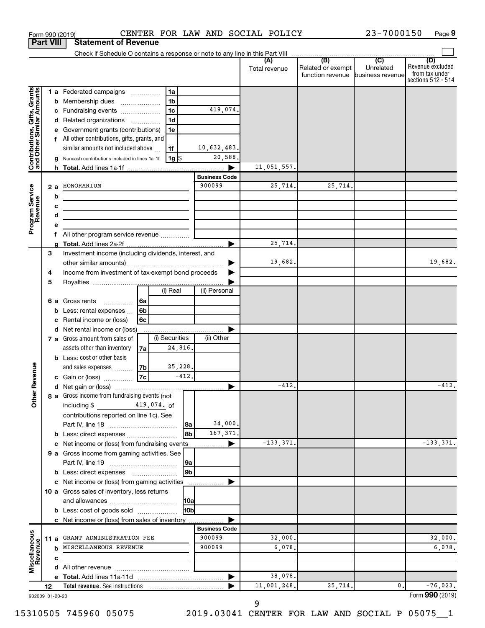|                                                           |                  |        | Form 990 (2019)                                                               |                          |                |                |                      | CENTER FOR LAW AND SOCIAL POLICY |                                                               | 23-7000150                  | Page 9                                                          |
|-----------------------------------------------------------|------------------|--------|-------------------------------------------------------------------------------|--------------------------|----------------|----------------|----------------------|----------------------------------|---------------------------------------------------------------|-----------------------------|-----------------------------------------------------------------|
|                                                           | <b>Part VIII</b> |        | <b>Statement of Revenue</b>                                                   |                          |                |                |                      |                                  |                                                               |                             |                                                                 |
|                                                           |                  |        | Check if Schedule O contains a response or note to any line in this Part VIII |                          |                |                |                      |                                  |                                                               |                             |                                                                 |
|                                                           |                  |        |                                                                               |                          |                |                |                      | (A)<br>Total revenue             | (B)<br>Related or exempt<br>function revenue business revenue | $\overline{C}$<br>Unrelated | (D)<br>Revenue excluded<br>from tax under<br>sections 512 - 514 |
|                                                           |                  |        | 1 a Federated campaigns                                                       |                          | 1a             |                |                      |                                  |                                                               |                             |                                                                 |
|                                                           |                  |        | <b>b</b> Membership dues                                                      |                          | 1 <sub>b</sub> |                |                      |                                  |                                                               |                             |                                                                 |
|                                                           |                  |        | c Fundraising events                                                          |                          | 1 <sub>c</sub> |                | 419,074.             |                                  |                                                               |                             |                                                                 |
|                                                           |                  |        | d Related organizations                                                       | $\overline{\phantom{a}}$ | 1 <sub>d</sub> |                |                      |                                  |                                                               |                             |                                                                 |
|                                                           |                  |        | e Government grants (contributions)                                           |                          | 1e             |                |                      |                                  |                                                               |                             |                                                                 |
|                                                           |                  |        | f All other contributions, gifts, grants, and                                 |                          |                |                |                      |                                  |                                                               |                             |                                                                 |
|                                                           |                  |        | similar amounts not included above                                            |                          | 1f             |                | 10,632,483.          |                                  |                                                               |                             |                                                                 |
| Contributions, Gifts, Grants<br>and Other Similar Amounts |                  |        | g Noncash contributions included in lines 1a-1f                               |                          | 1g   \$        |                | 20,588.              |                                  |                                                               |                             |                                                                 |
|                                                           |                  |        |                                                                               |                          |                |                |                      | 11,051,557.                      |                                                               |                             |                                                                 |
|                                                           |                  |        |                                                                               |                          |                |                | <b>Business Code</b> |                                  |                                                               |                             |                                                                 |
|                                                           |                  | 2 a    | HONORARIUM                                                                    |                          |                |                | 900099               | 25,714.                          | 25,714.                                                       |                             |                                                                 |
| Program Service<br>Revenue                                |                  | b      |                                                                               |                          |                |                |                      |                                  |                                                               |                             |                                                                 |
|                                                           |                  | c<br>d |                                                                               |                          |                |                |                      |                                  |                                                               |                             |                                                                 |
|                                                           |                  | е      |                                                                               |                          |                |                |                      |                                  |                                                               |                             |                                                                 |
|                                                           |                  |        | <b>f</b> All other program service revenue $\ldots$ $\ldots$                  |                          |                |                |                      |                                  |                                                               |                             |                                                                 |
|                                                           |                  |        |                                                                               |                          |                |                |                      | 25,714.                          |                                                               |                             |                                                                 |
|                                                           | 3                |        | Investment income (including dividends, interest, and                         |                          |                |                |                      |                                  |                                                               |                             |                                                                 |
|                                                           |                  |        |                                                                               |                          |                |                |                      | 19,682.                          |                                                               |                             | 19,682.                                                         |
|                                                           | 4                |        | Income from investment of tax-exempt bond proceeds                            |                          |                |                |                      |                                  |                                                               |                             |                                                                 |
|                                                           | 5                |        |                                                                               |                          |                |                |                      |                                  |                                                               |                             |                                                                 |
|                                                           |                  |        |                                                                               |                          | (i) Real       |                | (ii) Personal        |                                  |                                                               |                             |                                                                 |
|                                                           |                  | 6а     | Gross rents<br>$\overline{\phantom{a}}$                                       | 6a                       |                |                |                      |                                  |                                                               |                             |                                                                 |
|                                                           |                  | b      | Less: rental expenses                                                         | 6 <sub>b</sub>           |                |                |                      |                                  |                                                               |                             |                                                                 |
|                                                           |                  |        | Rental income or (loss)                                                       | <b>6c</b>                |                |                |                      |                                  |                                                               |                             |                                                                 |
|                                                           |                  |        | d Net rental income or (loss)                                                 |                          |                |                |                      |                                  |                                                               |                             |                                                                 |
|                                                           |                  |        | 7 a Gross amount from sales of                                                |                          | (i) Securities |                | (ii) Other           |                                  |                                                               |                             |                                                                 |
|                                                           |                  |        | assets other than inventory<br><b>b</b> Less: cost or other basis             | 7a                       | 24,816.        |                |                      |                                  |                                                               |                             |                                                                 |
|                                                           |                  |        | and sales expenses                                                            | 7b                       | 25,228.        |                |                      |                                  |                                                               |                             |                                                                 |
| evenue                                                    |                  |        | c Gain or (loss)                                                              | 7c                       |                | $-412.$        |                      |                                  |                                                               |                             |                                                                 |
| Œ                                                         |                  |        |                                                                               |                          |                |                |                      | $-412.$                          |                                                               |                             | $-412.$                                                         |
| Other                                                     |                  |        | 8 a Gross income from fundraising events (not                                 |                          |                |                |                      |                                  |                                                               |                             |                                                                 |
|                                                           |                  |        | including \$<br>$419,074.$ of                                                 |                          |                |                |                      |                                  |                                                               |                             |                                                                 |
|                                                           |                  |        | contributions reported on line 1c). See                                       |                          |                |                |                      |                                  |                                                               |                             |                                                                 |
|                                                           |                  |        |                                                                               |                          |                | l 8a           | 34,000.              |                                  |                                                               |                             |                                                                 |
|                                                           |                  |        |                                                                               |                          |                | 8b             | 167, 371.            |                                  |                                                               |                             |                                                                 |
|                                                           |                  |        | c Net income or (loss) from fundraising events                                |                          |                |                |                      | $-133, 371.$                     |                                                               |                             | $-133, 371.$                                                    |
|                                                           |                  |        | 9 a Gross income from gaming activities. See                                  |                          |                |                |                      |                                  |                                                               |                             |                                                                 |
|                                                           |                  |        |                                                                               |                          |                | 9a             |                      |                                  |                                                               |                             |                                                                 |
|                                                           |                  |        | c Net income or (loss) from gaming activities                                 |                          |                | 9 <sub>b</sub> |                      |                                  |                                                               |                             |                                                                 |
|                                                           |                  |        | 10 a Gross sales of inventory, less returns                                   |                          |                |                |                      |                                  |                                                               |                             |                                                                 |
|                                                           |                  |        |                                                                               |                          |                | <b>10a</b>     |                      |                                  |                                                               |                             |                                                                 |
|                                                           |                  |        | <b>b</b> Less: cost of goods sold                                             |                          |                | l10bl          |                      |                                  |                                                               |                             |                                                                 |
|                                                           |                  |        | c Net income or (loss) from sales of inventory                                |                          |                |                |                      |                                  |                                                               |                             |                                                                 |
|                                                           |                  |        |                                                                               |                          |                |                | <b>Business Code</b> |                                  |                                                               |                             |                                                                 |
| Miscellaneous<br>Revenue                                  |                  | 11 a   | GRANT ADMINISTRATION FEE                                                      |                          |                |                | 900099               | 32,000.                          |                                                               |                             | 32,000.                                                         |
|                                                           |                  |        | MISCELLANEOUS REVENUE                                                         |                          |                |                | 900099               | 6,078.                           |                                                               |                             | 6,078.                                                          |
|                                                           |                  | с      |                                                                               |                          |                |                |                      |                                  |                                                               |                             |                                                                 |
|                                                           |                  |        |                                                                               |                          |                |                |                      |                                  |                                                               |                             |                                                                 |
|                                                           |                  |        |                                                                               |                          |                |                |                      | 38,078.                          |                                                               |                             |                                                                 |
|                                                           | 12               |        | Total revenue. See instructions                                               |                          |                |                |                      | 11,001,248.                      | 25,714.                                                       | 0.                          | $-76,023.$                                                      |
| 932009 01-20-20                                           |                  |        |                                                                               |                          |                |                |                      |                                  |                                                               |                             | Form 990 (2019)                                                 |

932009 01-20-20

9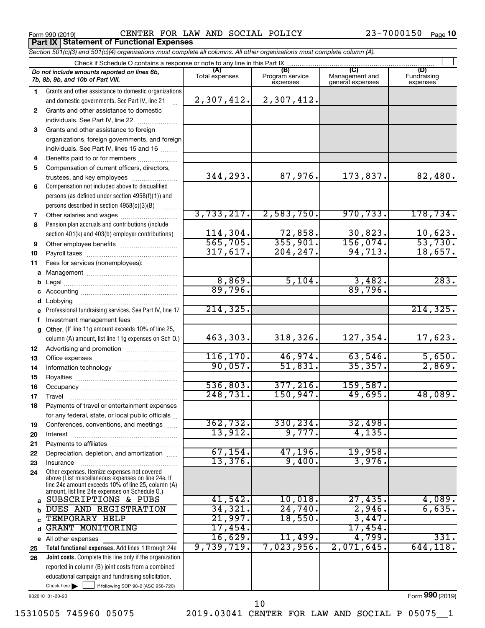**Part IX Statement of Functional Expenses**

Form 990 (2019)  $\qquad$  CENTER FOR LAW AND SOCIAL POLICY  $\qquad \qquad 23-7000150$  Page

23-7000150 Page 10

|          | Section 501(c)(3) and 501(c)(4) organizations must complete all columns. All other organizations must complete column (A).                                                                                 |                       |                                    |                                           |                                |
|----------|------------------------------------------------------------------------------------------------------------------------------------------------------------------------------------------------------------|-----------------------|------------------------------------|-------------------------------------------|--------------------------------|
|          | Check if Schedule O contains a response or note to any line in this Part IX.                                                                                                                               |                       |                                    |                                           |                                |
|          | Do not include amounts reported on lines 6b,<br>7b, 8b, 9b, and 10b of Part VIII.                                                                                                                          | (A)<br>Total expenses | (B)<br>Program service<br>expenses | (C)<br>Management and<br>general expenses | (D)<br>Fundraising<br>expenses |
| 1        | Grants and other assistance to domestic organizations                                                                                                                                                      |                       |                                    |                                           |                                |
|          | and domestic governments. See Part IV, line 21                                                                                                                                                             | 2,307,412.            | 2,307,412.                         |                                           |                                |
| 2        | Grants and other assistance to domestic                                                                                                                                                                    |                       |                                    |                                           |                                |
|          | individuals. See Part IV, line 22                                                                                                                                                                          |                       |                                    |                                           |                                |
| З        | Grants and other assistance to foreign                                                                                                                                                                     |                       |                                    |                                           |                                |
|          | organizations, foreign governments, and foreign                                                                                                                                                            |                       |                                    |                                           |                                |
|          | individuals. See Part IV, lines 15 and 16                                                                                                                                                                  |                       |                                    |                                           |                                |
| 4        | Benefits paid to or for members                                                                                                                                                                            |                       |                                    |                                           |                                |
| 5        | Compensation of current officers, directors,                                                                                                                                                               |                       |                                    |                                           |                                |
|          | trustees, and key employees                                                                                                                                                                                | 344,293.              | 87,976.                            | 173,837.                                  | 82,480.                        |
| 6        | Compensation not included above to disqualified                                                                                                                                                            |                       |                                    |                                           |                                |
|          | persons (as defined under section 4958(f)(1)) and                                                                                                                                                          |                       |                                    |                                           |                                |
|          | persons described in section 4958(c)(3)(B)                                                                                                                                                                 |                       |                                    |                                           |                                |
| 7        |                                                                                                                                                                                                            | 3,733,217.            | 2,583,750.                         | 970, 733.                                 | 178,734.                       |
| 8        | Pension plan accruals and contributions (include                                                                                                                                                           |                       |                                    |                                           |                                |
|          | section 401(k) and 403(b) employer contributions)                                                                                                                                                          | 114, 304.             | $\frac{72,858}{355,901}$           | 30,823.                                   | $\frac{10,623}{53,730}$        |
| 9        | Other employee benefits                                                                                                                                                                                    | 565,705.              |                                    | 156,074.                                  |                                |
| 10       |                                                                                                                                                                                                            | 317,617.              | 204, 247.                          | 94, 713.                                  | 18,657.                        |
| 11       | Fees for services (nonemployees):                                                                                                                                                                          |                       |                                    |                                           |                                |
| a        |                                                                                                                                                                                                            |                       |                                    |                                           |                                |
|          |                                                                                                                                                                                                            | 8,869.                | 5,104.                             | 3,482.                                    | 283.                           |
|          |                                                                                                                                                                                                            | 89,796.               |                                    | 89,796.                                   |                                |
|          |                                                                                                                                                                                                            |                       |                                    |                                           |                                |
|          | e Professional fundraising services. See Part IV, line 17                                                                                                                                                  | 214, 325.             |                                    |                                           | 214, 325.                      |
|          | Investment management fees                                                                                                                                                                                 |                       |                                    |                                           |                                |
|          | g Other. (If line 11g amount exceeds 10% of line 25,<br>column (A) amount, list line 11g expenses on Sch O.)                                                                                               | 463,303.              | 318,326.                           | 127,354.                                  | 17,623.                        |
|          |                                                                                                                                                                                                            |                       |                                    |                                           |                                |
| 12<br>13 |                                                                                                                                                                                                            | 116, 170.             | 46,974.                            | 63,546.                                   | 5,650.                         |
| 14       |                                                                                                                                                                                                            | 90,057.               | 51,831.                            | 35,357.                                   | 2,869.                         |
| 15       |                                                                                                                                                                                                            |                       |                                    |                                           |                                |
| 16       |                                                                                                                                                                                                            | 536,803.              | 377,216.                           | 159,587.                                  |                                |
| 17       |                                                                                                                                                                                                            | 248,731.              | 150,947.                           | 49,695.                                   | 48,089.                        |
| 18       | Payments of travel or entertainment expenses                                                                                                                                                               |                       |                                    |                                           |                                |
|          | for any federal, state, or local public officials                                                                                                                                                          |                       |                                    |                                           |                                |
| 19       | Conferences, conventions, and meetings                                                                                                                                                                     | 362,732.              | 330, 234.                          | 32,498.                                   |                                |
| 20       | Interest                                                                                                                                                                                                   | 13,912.               | 9,777.                             | 4,135.                                    |                                |
| 21       |                                                                                                                                                                                                            |                       |                                    |                                           |                                |
| 22       | Depreciation, depletion, and amortization                                                                                                                                                                  | 67, 154.              | 47, 196.                           | 19,958.                                   |                                |
| 23       | Insurance                                                                                                                                                                                                  | 13,376.               | 9,400.                             | 3,976.                                    |                                |
| 24       | Other expenses. Itemize expenses not covered<br>above (List miscellaneous expenses on line 24e. If<br>line 24e amount exceeds 10% of line 25, column (A)<br>amount, list line 24e expenses on Schedule O.) |                       |                                    |                                           |                                |
| a        | SUBSCRIPTIONS & PUBS                                                                                                                                                                                       | 41,542.               | 10,018.                            | 27,435.                                   | 4,089.                         |
|          | DUES AND REGISTRATION                                                                                                                                                                                      | 34,321.               | 24,740.                            | 2,946.                                    | 6,635.                         |
|          | TEMPORARY HELP                                                                                                                                                                                             | 21,997.               | 18,550.                            | 3,447.                                    |                                |
| d        | <b>GRANT MONITORING</b>                                                                                                                                                                                    | 17,454.               |                                    | 17,454 <b>.</b>                           |                                |
|          | e All other expenses                                                                                                                                                                                       | 16,629.               | 11,499.                            | 4,799.                                    | 331.                           |
| 25       | Total functional expenses. Add lines 1 through 24e                                                                                                                                                         | 9,739,719.            | 7,023,956.                         | 2,071,645.                                | 644, 118.                      |
| 26       | Joint costs. Complete this line only if the organization                                                                                                                                                   |                       |                                    |                                           |                                |
|          | reported in column (B) joint costs from a combined                                                                                                                                                         |                       |                                    |                                           |                                |
|          | educational campaign and fundraising solicitation.                                                                                                                                                         |                       |                                    |                                           |                                |
|          | Check here $\blacktriangleright$<br>if following SOP 98-2 (ASC 958-720)                                                                                                                                    |                       |                                    |                                           |                                |

932010 01-20-20

Form (2019) **990**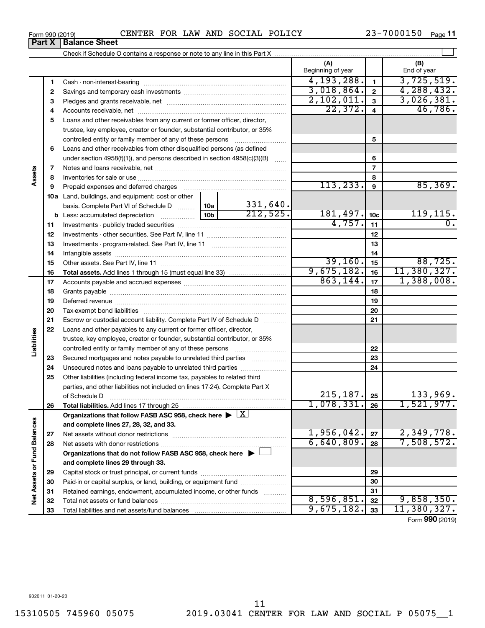**33**

Total liabilities and net assets/fund balances

**Assets**

**Liabilities**

Net Assets or Fund Balances

**33**

9,675,182. 33 11,380,327.

Form (2019) **990**

**Part X Balance Sheet**<br>**Part X Balance Sheet** 

|                             |    |                                                                                                               |            |                           | (A)<br>Beginning of year |                         | (B)<br>End of year       |
|-----------------------------|----|---------------------------------------------------------------------------------------------------------------|------------|---------------------------|--------------------------|-------------------------|--------------------------|
|                             | 1  |                                                                                                               |            |                           | 4, 193, 288.             | $\mathbf{1}$            | 3,725,519.               |
|                             | 2  |                                                                                                               |            |                           | 3,018,864.               | $\mathbf{2}$            | 4, 288, 432.             |
|                             | з  |                                                                                                               |            |                           | 2,102,011.               | $\mathbf{3}$            | 3,026,381.               |
|                             | 4  |                                                                                                               |            |                           | 22, 372.                 | $\overline{\mathbf{4}}$ | 46,786.                  |
|                             | 5  | Loans and other receivables from any current or former officer, director,                                     |            |                           |                          |                         |                          |
|                             |    | trustee, key employee, creator or founder, substantial contributor, or 35%                                    |            |                           |                          |                         |                          |
|                             |    | controlled entity or family member of any of these persons                                                    |            | .                         |                          | 5                       |                          |
|                             | 6  | Loans and other receivables from other disqualified persons (as defined                                       |            |                           |                          |                         |                          |
|                             |    | under section $4958(f)(1)$ , and persons described in section $4958(c)(3)(B)$                                 |            | 6                         |                          |                         |                          |
|                             | 7  |                                                                                                               |            |                           | $\overline{7}$           |                         |                          |
| Assets                      | 8  |                                                                                                               |            | 8                         |                          |                         |                          |
|                             | 9  | Prepaid expenses and deferred charges [11] [11] Prepaid expenses and deferred charges [11] [11] Arman minimum |            |                           | 113, 233.                | 9                       | 85, 369.                 |
|                             |    | 10a Land, buildings, and equipment: cost or other                                                             |            |                           |                          |                         |                          |
|                             |    | basis. Complete Part VI of Schedule D  10a                                                                    |            | $\frac{331,640}{212,525}$ |                          |                         |                          |
|                             | b  |                                                                                                               | 181, 497.  | 10 <sub>c</sub>           | 119,115.                 |                         |                          |
|                             | 11 |                                                                                                               | 4,757.     | 11                        | 0.                       |                         |                          |
|                             | 12 |                                                                                                               |            | 12                        |                          |                         |                          |
|                             | 13 |                                                                                                               |            | 13                        |                          |                         |                          |
|                             | 14 |                                                                                                               |            | 14                        |                          |                         |                          |
|                             | 15 |                                                                                                               | 39,160.    | 15                        | 88,725.                  |                         |                          |
|                             | 16 |                                                                                                               |            |                           | 9,675,182.               | 16                      | 11,380,327.              |
|                             | 17 |                                                                                                               |            |                           | 863,144.                 | 17                      | 1,388,008.               |
|                             | 18 |                                                                                                               |            | 18                        |                          |                         |                          |
|                             | 19 |                                                                                                               |            | 19                        |                          |                         |                          |
|                             | 20 |                                                                                                               |            |                           |                          | 20                      |                          |
|                             | 21 | Escrow or custodial account liability. Complete Part IV of Schedule D                                         |            |                           |                          | 21                      |                          |
|                             | 22 | Loans and other payables to any current or former officer, director,                                          |            |                           |                          |                         |                          |
| abilities                   |    | trustee, key employee, creator or founder, substantial contributor, or 35%                                    |            |                           |                          |                         |                          |
|                             |    | controlled entity or family member of any of these persons                                                    |            |                           |                          | 22                      |                          |
|                             | 23 | Secured mortgages and notes payable to unrelated third parties                                                |            |                           |                          | 23                      |                          |
|                             | 24 | Unsecured notes and loans payable to unrelated third parties                                                  |            |                           |                          | 24                      |                          |
|                             | 25 | Other liabilities (including federal income tax, payables to related third                                    |            |                           |                          |                         |                          |
|                             |    | parties, and other liabilities not included on lines 17-24). Complete Part X                                  |            |                           |                          |                         |                          |
|                             |    | of Schedule D <b>www.arenamin.communications</b> of Schedule D                                                |            |                           | 215, 187.                | 25                      | 133,969.                 |
|                             | 26 | Total liabilities. Add lines 17 through 25                                                                    |            |                           | $1,078,331.$ 26          |                         | 1,521,977.               |
|                             |    | Organizations that follow FASB ASC 958, check here $\blacktriangleright \lfloor \underline{X} \rfloor$        |            |                           |                          |                         |                          |
|                             |    | and complete lines 27, 28, 32, and 33.                                                                        |            |                           |                          |                         |                          |
|                             | 27 |                                                                                                               |            |                           | 1,956,042.               | 27                      | 2,349,778.<br>7,508,572. |
|                             | 28 |                                                                                                               |            |                           | 6,640,809.               | 28                      |                          |
|                             |    | Organizations that do not follow FASB ASC 958, check here $\blacktriangleright$                               |            |                           |                          |                         |                          |
|                             |    | and complete lines 29 through 33.                                                                             |            |                           |                          |                         |                          |
|                             | 29 |                                                                                                               |            | 29                        |                          |                         |                          |
| Net Assets or Fund Balances | 30 | Paid-in or capital surplus, or land, building, or equipment fund                                              |            |                           |                          | 30                      |                          |
|                             | 31 | Retained earnings, endowment, accumulated income, or other funds                                              |            |                           |                          | 31                      |                          |
|                             | 32 |                                                                                                               | 8,596,851. | 32                        | 9,858,350.               |                         |                          |

†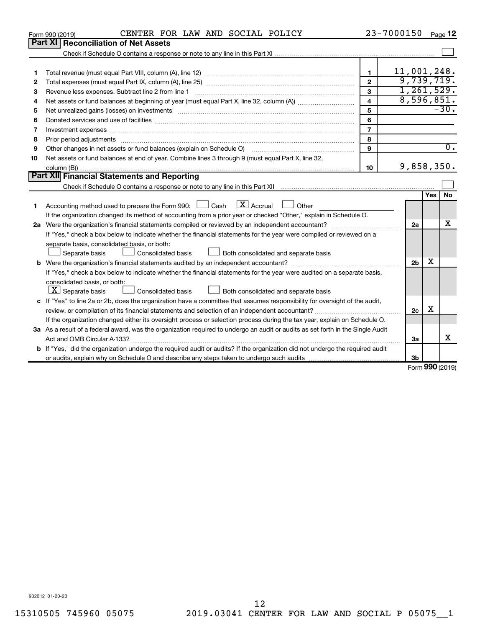|    | CENTER FOR LAW AND SOCIAL POLICY<br>Form 990 (2019)                                                                                                                                                                                                                                                                                                 |                         | 23-7000150     |     | Page 12             |
|----|-----------------------------------------------------------------------------------------------------------------------------------------------------------------------------------------------------------------------------------------------------------------------------------------------------------------------------------------------------|-------------------------|----------------|-----|---------------------|
|    | <b>Part XI</b><br><b>Reconciliation of Net Assets</b>                                                                                                                                                                                                                                                                                               |                         |                |     |                     |
|    |                                                                                                                                                                                                                                                                                                                                                     |                         |                |     |                     |
|    |                                                                                                                                                                                                                                                                                                                                                     |                         |                |     |                     |
| 1  |                                                                                                                                                                                                                                                                                                                                                     | $\mathbf{1}$            | 11,001,248.    |     |                     |
| 2  |                                                                                                                                                                                                                                                                                                                                                     | $\mathbf{2}$            | 9,739,719.     |     |                     |
| з  | Revenue less expenses. Subtract line 2 from line 1                                                                                                                                                                                                                                                                                                  | $\mathbf{a}$            | 1,261,529.     |     |                     |
| 4  |                                                                                                                                                                                                                                                                                                                                                     | $\overline{\mathbf{4}}$ | 8,596,851.     |     |                     |
| 5  | Net unrealized gains (losses) on investments [111] www.marting.community.community.community.community.communi                                                                                                                                                                                                                                      | 5                       |                |     | $-30.$              |
| 6  |                                                                                                                                                                                                                                                                                                                                                     | 6                       |                |     |                     |
| 7  | Investment expenses www.communication.com/www.communication.com/www.communication.com/www.com                                                                                                                                                                                                                                                       | $\overline{7}$          |                |     |                     |
| 8  |                                                                                                                                                                                                                                                                                                                                                     | 8                       |                |     |                     |
| 9  | Other changes in net assets or fund balances (explain on Schedule O)                                                                                                                                                                                                                                                                                | 9                       |                |     | $\overline{0}$ .    |
| 10 | Net assets or fund balances at end of year. Combine lines 3 through 9 (must equal Part X, line 32,                                                                                                                                                                                                                                                  |                         |                |     |                     |
|    |                                                                                                                                                                                                                                                                                                                                                     | 10                      | 9,858,350.     |     |                     |
|    | Part XII Financial Statements and Reporting                                                                                                                                                                                                                                                                                                         |                         |                |     |                     |
|    |                                                                                                                                                                                                                                                                                                                                                     |                         |                |     |                     |
|    |                                                                                                                                                                                                                                                                                                                                                     |                         |                | Yes | No                  |
| 1  | $\lfloor \mathbf{X} \rfloor$ Accrual<br>Accounting method used to prepare the Form 990: [130] Cash<br>Other<br><b>The Contract of the Contract of the Contract of the Contract of the Contract of the Contract of the Contract of the Contract of the Contract of the Contract of the Contract of the Contract of The Contract of The Contract </b> |                         |                |     |                     |
|    | If the organization changed its method of accounting from a prior year or checked "Other," explain in Schedule O.                                                                                                                                                                                                                                   |                         |                |     |                     |
|    |                                                                                                                                                                                                                                                                                                                                                     |                         | 2a             |     | x                   |
|    | If "Yes," check a box below to indicate whether the financial statements for the year were compiled or reviewed on a                                                                                                                                                                                                                                |                         |                |     |                     |
|    | separate basis, consolidated basis, or both:                                                                                                                                                                                                                                                                                                        |                         |                |     |                     |
|    | Both consolidated and separate basis<br>Separate basis<br><b>Consolidated basis</b>                                                                                                                                                                                                                                                                 |                         |                |     |                     |
|    |                                                                                                                                                                                                                                                                                                                                                     |                         | 2 <sub>b</sub> | х   |                     |
|    | If "Yes," check a box below to indicate whether the financial statements for the year were audited on a separate basis,                                                                                                                                                                                                                             |                         |                |     |                     |
|    | consolidated basis, or both:                                                                                                                                                                                                                                                                                                                        |                         |                |     |                     |
|    | $ \mathbf{X} $ Separate basis<br>Consolidated basis<br>Both consolidated and separate basis                                                                                                                                                                                                                                                         |                         |                |     |                     |
|    | c If "Yes" to line 2a or 2b, does the organization have a committee that assumes responsibility for oversight of the audit,                                                                                                                                                                                                                         |                         |                |     |                     |
|    |                                                                                                                                                                                                                                                                                                                                                     |                         | 2c             | X   |                     |
|    | If the organization changed either its oversight process or selection process during the tax year, explain on Schedule O.                                                                                                                                                                                                                           |                         |                |     |                     |
|    | 3a As a result of a federal award, was the organization required to undergo an audit or audits as set forth in the Single Audit                                                                                                                                                                                                                     |                         |                |     |                     |
|    | Act and OMB Circular A-133?                                                                                                                                                                                                                                                                                                                         |                         | 3a             |     | X                   |
|    | <b>b</b> If "Yes," did the organization undergo the required audit or audits? If the organization did not undergo the required audit                                                                                                                                                                                                                |                         |                |     |                     |
|    |                                                                                                                                                                                                                                                                                                                                                     |                         | 3b             |     | $000 \text{ hours}$ |

Form (2019) **990**

932012 01-20-20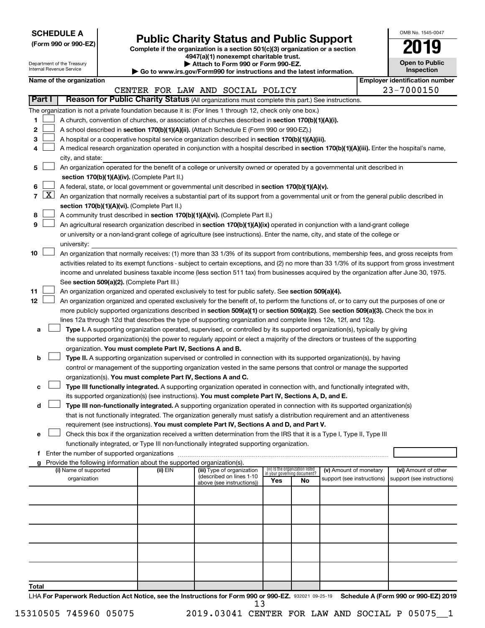| <b>SCHEDULE A</b> |  |
|-------------------|--|
|-------------------|--|

# Form 990 or 990-EZ) **Public Charity Status and Public Support**<br>
Complete if the organization is a section 501(c)(3) organization or a section<br> **2019**

**4947(a)(1) nonexempt charitable trust. | Attach to Form 990 or Form 990-EZ.** 

| OMB No. 1545-0047                   |
|-------------------------------------|
| 1<br>U                              |
| <b>Open to Public</b><br>Inspection |
|                                     |

|       | Department of the Treasury<br>Internal Revenue Service |                          |  | Attach to Form 990 or Form 990-EZ.<br>Go to www.irs.gov/Form990 for instructions and the latest information. | <b>Open to Public</b><br>Inspection                                                                                                           |                                 |                             |                            |                                       |
|-------|--------------------------------------------------------|--------------------------|--|--------------------------------------------------------------------------------------------------------------|-----------------------------------------------------------------------------------------------------------------------------------------------|---------------------------------|-----------------------------|----------------------------|---------------------------------------|
|       |                                                        | Name of the organization |  |                                                                                                              |                                                                                                                                               |                                 |                             |                            | <b>Employer identification number</b> |
|       |                                                        |                          |  |                                                                                                              | CENTER FOR LAW AND SOCIAL POLICY                                                                                                              |                                 |                             |                            | 23-7000150                            |
|       | Part I                                                 |                          |  |                                                                                                              | Reason for Public Charity Status (All organizations must complete this part.) See instructions.                                               |                                 |                             |                            |                                       |
|       |                                                        |                          |  |                                                                                                              | The organization is not a private foundation because it is: (For lines 1 through 12, check only one box.)                                     |                                 |                             |                            |                                       |
| 1     |                                                        |                          |  |                                                                                                              | A church, convention of churches, or association of churches described in section 170(b)(1)(A)(i).                                            |                                 |                             |                            |                                       |
| 2     |                                                        |                          |  |                                                                                                              | A school described in section 170(b)(1)(A)(ii). (Attach Schedule E (Form 990 or 990-EZ).)                                                     |                                 |                             |                            |                                       |
| 3     |                                                        |                          |  |                                                                                                              | A hospital or a cooperative hospital service organization described in section 170(b)(1)(A)(iii).                                             |                                 |                             |                            |                                       |
| 4     |                                                        |                          |  |                                                                                                              | A medical research organization operated in conjunction with a hospital described in section 170(b)(1)(A)(iii). Enter the hospital's name,    |                                 |                             |                            |                                       |
|       |                                                        | city, and state:         |  |                                                                                                              |                                                                                                                                               |                                 |                             |                            |                                       |
| 5     |                                                        |                          |  |                                                                                                              | An organization operated for the benefit of a college or university owned or operated by a governmental unit described in                     |                                 |                             |                            |                                       |
|       |                                                        |                          |  | section 170(b)(1)(A)(iv). (Complete Part II.)                                                                |                                                                                                                                               |                                 |                             |                            |                                       |
| 6     |                                                        |                          |  |                                                                                                              | A federal, state, or local government or governmental unit described in section 170(b)(1)(A)(v).                                              |                                 |                             |                            |                                       |
| 7     | <u>X  </u>                                             |                          |  |                                                                                                              | An organization that normally receives a substantial part of its support from a governmental unit or from the general public described in     |                                 |                             |                            |                                       |
|       |                                                        |                          |  | section 170(b)(1)(A)(vi). (Complete Part II.)                                                                |                                                                                                                                               |                                 |                             |                            |                                       |
| 8     |                                                        |                          |  |                                                                                                              | A community trust described in section 170(b)(1)(A)(vi). (Complete Part II.)                                                                  |                                 |                             |                            |                                       |
| 9     |                                                        |                          |  |                                                                                                              | An agricultural research organization described in section 170(b)(1)(A)(ix) operated in conjunction with a land-grant college                 |                                 |                             |                            |                                       |
|       |                                                        |                          |  |                                                                                                              | or university or a non-land-grant college of agriculture (see instructions). Enter the name, city, and state of the college or                |                                 |                             |                            |                                       |
|       |                                                        | university:              |  |                                                                                                              |                                                                                                                                               |                                 |                             |                            |                                       |
| 10    |                                                        |                          |  |                                                                                                              | An organization that normally receives: (1) more than 33 1/3% of its support from contributions, membership fees, and gross receipts from     |                                 |                             |                            |                                       |
|       |                                                        |                          |  |                                                                                                              | activities related to its exempt functions - subject to certain exceptions, and (2) no more than 33 1/3% of its support from gross investment |                                 |                             |                            |                                       |
|       |                                                        |                          |  |                                                                                                              | income and unrelated business taxable income (less section 511 tax) from businesses acquired by the organization after June 30, 1975.         |                                 |                             |                            |                                       |
|       |                                                        |                          |  | See section 509(a)(2). (Complete Part III.)                                                                  |                                                                                                                                               |                                 |                             |                            |                                       |
| 11    |                                                        |                          |  |                                                                                                              | An organization organized and operated exclusively to test for public safety. See section 509(a)(4).                                          |                                 |                             |                            |                                       |
| 12    |                                                        |                          |  |                                                                                                              | An organization organized and operated exclusively for the benefit of, to perform the functions of, or to carry out the purposes of one or    |                                 |                             |                            |                                       |
|       |                                                        |                          |  |                                                                                                              | more publicly supported organizations described in section 509(a)(1) or section 509(a)(2). See section 509(a)(3). Check the box in            |                                 |                             |                            |                                       |
|       |                                                        |                          |  |                                                                                                              | lines 12a through 12d that describes the type of supporting organization and complete lines 12e, 12f, and 12g.                                |                                 |                             |                            |                                       |
| а     |                                                        |                          |  |                                                                                                              | Type I. A supporting organization operated, supervised, or controlled by its supported organization(s), typically by giving                   |                                 |                             |                            |                                       |
|       |                                                        |                          |  |                                                                                                              | the supported organization(s) the power to regularly appoint or elect a majority of the directors or trustees of the supporting               |                                 |                             |                            |                                       |
|       |                                                        |                          |  | organization. You must complete Part IV, Sections A and B.                                                   |                                                                                                                                               |                                 |                             |                            |                                       |
| b     |                                                        |                          |  |                                                                                                              | Type II. A supporting organization supervised or controlled in connection with its supported organization(s), by having                       |                                 |                             |                            |                                       |
|       |                                                        |                          |  |                                                                                                              | control or management of the supporting organization vested in the same persons that control or manage the supported                          |                                 |                             |                            |                                       |
|       |                                                        |                          |  | organization(s). You must complete Part IV, Sections A and C.                                                |                                                                                                                                               |                                 |                             |                            |                                       |
| с     |                                                        |                          |  |                                                                                                              | Type III functionally integrated. A supporting organization operated in connection with, and functionally integrated with,                    |                                 |                             |                            |                                       |
|       |                                                        |                          |  |                                                                                                              | its supported organization(s) (see instructions). You must complete Part IV, Sections A, D, and E.                                            |                                 |                             |                            |                                       |
| d     |                                                        |                          |  |                                                                                                              | Type III non-functionally integrated. A supporting organization operated in connection with its supported organization(s)                     |                                 |                             |                            |                                       |
|       |                                                        |                          |  |                                                                                                              | that is not functionally integrated. The organization generally must satisfy a distribution requirement and an attentiveness                  |                                 |                             |                            |                                       |
|       |                                                        |                          |  |                                                                                                              | requirement (see instructions). You must complete Part IV, Sections A and D, and Part V.                                                      |                                 |                             |                            |                                       |
| е     |                                                        |                          |  |                                                                                                              | Check this box if the organization received a written determination from the IRS that it is a Type I, Type II, Type III                       |                                 |                             |                            |                                       |
|       |                                                        |                          |  |                                                                                                              | functionally integrated, or Type III non-functionally integrated supporting organization.                                                     |                                 |                             |                            |                                       |
|       |                                                        |                          |  |                                                                                                              |                                                                                                                                               |                                 |                             |                            |                                       |
| g     |                                                        | (i) Name of supported    |  | Provide the following information about the supported organization(s).<br>(ii) EIN                           | (iii) Type of organization                                                                                                                    | (iv) Is the organization listed |                             | (v) Amount of monetary     | (vi) Amount of other                  |
|       |                                                        | organization             |  |                                                                                                              | (described on lines 1-10                                                                                                                      |                                 | in your governing document? | support (see instructions) | support (see instructions)            |
|       |                                                        |                          |  |                                                                                                              | above (see instructions))                                                                                                                     | Yes                             | No                          |                            |                                       |
|       |                                                        |                          |  |                                                                                                              |                                                                                                                                               |                                 |                             |                            |                                       |
|       |                                                        |                          |  |                                                                                                              |                                                                                                                                               |                                 |                             |                            |                                       |
|       |                                                        |                          |  |                                                                                                              |                                                                                                                                               |                                 |                             |                            |                                       |
|       |                                                        |                          |  |                                                                                                              |                                                                                                                                               |                                 |                             |                            |                                       |
|       |                                                        |                          |  |                                                                                                              |                                                                                                                                               |                                 |                             |                            |                                       |
|       |                                                        |                          |  |                                                                                                              |                                                                                                                                               |                                 |                             |                            |                                       |
|       |                                                        |                          |  |                                                                                                              |                                                                                                                                               |                                 |                             |                            |                                       |
|       |                                                        |                          |  |                                                                                                              |                                                                                                                                               |                                 |                             |                            |                                       |
|       |                                                        |                          |  |                                                                                                              |                                                                                                                                               |                                 |                             |                            |                                       |
| Total |                                                        |                          |  |                                                                                                              |                                                                                                                                               |                                 |                             |                            |                                       |
|       |                                                        |                          |  |                                                                                                              |                                                                                                                                               |                                 |                             |                            |                                       |

LHA For Paperwork Reduction Act Notice, see the Instructions for Form 990 or 990-EZ. 932021 09-25-19 Schedule A (Form 990 or 990-EZ) 2019 13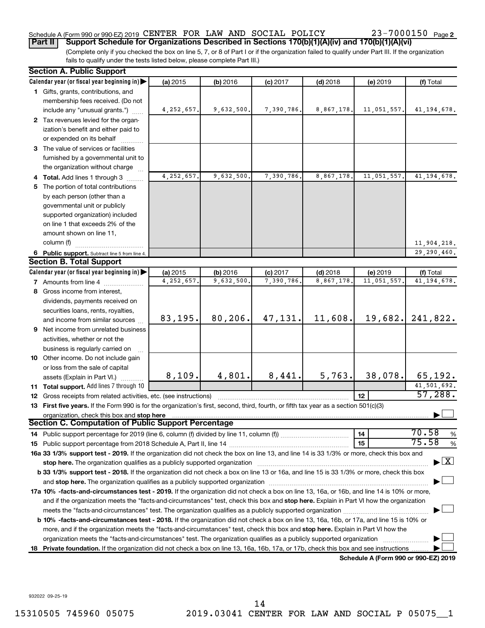# Schedule A (Form 990 or 990-EZ) 2019 CENTER FOR LAW AND SOCIAL POLICY  $23-7000150$  Page

(Complete only if you checked the box on line 5, 7, or 8 of Part I or if the organization failed to qualify under Part III. If the organization fails to qualify under the tests listed below, please complete Part III.) **Part II Support Schedule for Organizations Described in Sections 170(b)(1)(A)(iv) and 170(b)(1)(A)(vi)**

|     | <b>Section A. Public Support</b>                                                                                                           |              |            |            |            |                                      |                                    |
|-----|--------------------------------------------------------------------------------------------------------------------------------------------|--------------|------------|------------|------------|--------------------------------------|------------------------------------|
|     | Calendar year (or fiscal year beginning in)                                                                                                | (a) 2015     | (b) 2016   | $(c)$ 2017 | $(d)$ 2018 | (e) 2019                             | (f) Total                          |
|     | 1 Gifts, grants, contributions, and                                                                                                        |              |            |            |            |                                      |                                    |
|     | membership fees received. (Do not                                                                                                          |              |            |            |            |                                      |                                    |
|     | include any "unusual grants.")                                                                                                             | 4, 252, 657. | 9,632,500. | 7,390,786. | 8,867,178. | 11,051,557.                          | 41, 194, 678.                      |
|     | 2 Tax revenues levied for the organ-                                                                                                       |              |            |            |            |                                      |                                    |
|     | ization's benefit and either paid to                                                                                                       |              |            |            |            |                                      |                                    |
|     | or expended on its behalf                                                                                                                  |              |            |            |            |                                      |                                    |
|     | 3 The value of services or facilities                                                                                                      |              |            |            |            |                                      |                                    |
|     | furnished by a governmental unit to                                                                                                        |              |            |            |            |                                      |                                    |
|     | the organization without charge                                                                                                            |              |            |            |            |                                      |                                    |
|     | 4 Total. Add lines 1 through 3                                                                                                             | 4,252,657.   | 9,632,500. | 7,390,786. | 8,867,178. | 11,051,557.                          | 41, 194, 678.                      |
|     | 5 The portion of total contributions                                                                                                       |              |            |            |            |                                      |                                    |
|     | by each person (other than a                                                                                                               |              |            |            |            |                                      |                                    |
|     | governmental unit or publicly                                                                                                              |              |            |            |            |                                      |                                    |
|     | supported organization) included                                                                                                           |              |            |            |            |                                      |                                    |
|     | on line 1 that exceeds 2% of the                                                                                                           |              |            |            |            |                                      |                                    |
|     | amount shown on line 11,                                                                                                                   |              |            |            |            |                                      |                                    |
|     | column (f)                                                                                                                                 |              |            |            |            |                                      | 11,904,218.                        |
|     | 6 Public support. Subtract line 5 from line 4.                                                                                             |              |            |            |            |                                      | 29,290,460.                        |
|     | <b>Section B. Total Support</b>                                                                                                            |              |            |            |            |                                      |                                    |
|     | Calendar year (or fiscal year beginning in)                                                                                                | (a) 2015     | (b) 2016   | $(c)$ 2017 | $(d)$ 2018 | (e) 2019                             | (f) Total                          |
|     | <b>7</b> Amounts from line 4                                                                                                               | 4, 252, 657. | 9,632,500  | 7,390,786. | 8,867,178  | 11,051,557                           | 41, 194, 678.                      |
|     | 8 Gross income from interest,                                                                                                              |              |            |            |            |                                      |                                    |
|     | dividends, payments received on                                                                                                            |              |            |            |            |                                      |                                    |
|     | securities loans, rents, royalties,                                                                                                        |              |            |            |            |                                      |                                    |
|     | and income from similar sources                                                                                                            | 83,195.      | 80, 206.   | 47,131.    | 11,608.    | 19,682.                              | 241,822.                           |
|     | <b>9</b> Net income from unrelated business                                                                                                |              |            |            |            |                                      |                                    |
|     | activities, whether or not the                                                                                                             |              |            |            |            |                                      |                                    |
|     | business is regularly carried on                                                                                                           |              |            |            |            |                                      |                                    |
|     | 10 Other income. Do not include gain                                                                                                       |              |            |            |            |                                      |                                    |
|     | or loss from the sale of capital                                                                                                           |              |            |            |            |                                      |                                    |
|     | assets (Explain in Part VI.)                                                                                                               | 8,109.       | 4,801.     | 8,441.     | 5,763.     | 38,078.                              | 65,192.                            |
|     | 11 Total support. Add lines 7 through 10                                                                                                   |              |            |            |            |                                      | 41,501,692.                        |
|     | <b>12</b> Gross receipts from related activities, etc. (see instructions)                                                                  |              |            |            |            | 12                                   | 57,288.                            |
|     | 13 First five years. If the Form 990 is for the organization's first, second, third, fourth, or fifth tax year as a section 501(c)(3)      |              |            |            |            |                                      |                                    |
|     | organization, check this box and stop here<br><b>Section C. Computation of Public Support Percentage</b>                                   |              |            |            |            |                                      |                                    |
|     |                                                                                                                                            |              |            |            |            |                                      |                                    |
|     |                                                                                                                                            |              |            |            |            | 14                                   | 70.58<br>%<br>75.58                |
|     |                                                                                                                                            |              |            |            |            | 15                                   | %                                  |
|     | 16a 33 1/3% support test - 2019. If the organization did not check the box on line 13, and line 14 is 33 1/3% or more, check this box and  |              |            |            |            |                                      |                                    |
|     | stop here. The organization qualifies as a publicly supported organization                                                                 |              |            |            |            |                                      | $\blacktriangleright$ $\mathbf{X}$ |
|     | b 33 1/3% support test - 2018. If the organization did not check a box on line 13 or 16a, and line 15 is 33 1/3% or more, check this box   |              |            |            |            |                                      |                                    |
|     |                                                                                                                                            |              |            |            |            |                                      |                                    |
|     | 17a 10% -facts-and-circumstances test - 2019. If the organization did not check a box on line 13, 16a, or 16b, and line 14 is 10% or more, |              |            |            |            |                                      |                                    |
|     | and if the organization meets the "facts-and-circumstances" test, check this box and stop here. Explain in Part VI how the organization    |              |            |            |            |                                      |                                    |
|     |                                                                                                                                            |              |            |            |            |                                      |                                    |
|     | b 10% -facts-and-circumstances test - 2018. If the organization did not check a box on line 13, 16a, 16b, or 17a, and line 15 is 10% or    |              |            |            |            |                                      |                                    |
|     | more, and if the organization meets the "facts-and-circumstances" test, check this box and stop here. Explain in Part VI how the           |              |            |            |            |                                      |                                    |
|     | organization meets the "facts-and-circumstances" test. The organization qualifies as a publicly supported organization                     |              |            |            |            |                                      |                                    |
| 18. | Private foundation. If the organization did not check a box on line 13, 16a, 16b, 17a, or 17b, check this box and see instructions         |              |            |            |            |                                      |                                    |
|     |                                                                                                                                            |              |            |            |            | Schedule A (Form 990 or 990-EZ) 2019 |                                    |

932022 09-25-19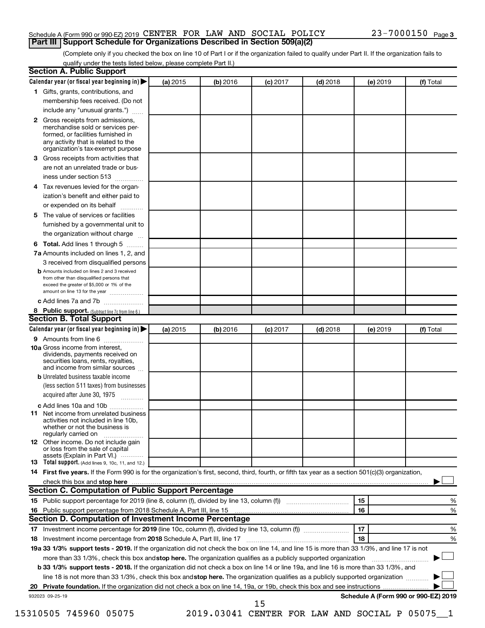# Schedule A (Form 990 or 990-EZ) 2019 CENTER FOR LAW AND SOCIAL POLICY  $23-7000150$  Page **Part III Support Schedule for Organizations Described in Section 509(a)(2)**

(Complete only if you checked the box on line 10 of Part I or if the organization failed to qualify under Part II. If the organization fails to qualify under the tests listed below, please complete Part II.)

|              | Calendar year (or fiscal year beginning in)                                                                                                                                                                                                                      | (a) 2015 | (b) 2016 | $(c)$ 2017 | $(d)$ 2018 |    | (e) 2019 | (f) Total |        |
|--------------|------------------------------------------------------------------------------------------------------------------------------------------------------------------------------------------------------------------------------------------------------------------|----------|----------|------------|------------|----|----------|-----------|--------|
|              | 1 Gifts, grants, contributions, and                                                                                                                                                                                                                              |          |          |            |            |    |          |           |        |
|              | membership fees received. (Do not                                                                                                                                                                                                                                |          |          |            |            |    |          |           |        |
|              | include any "unusual grants.")                                                                                                                                                                                                                                   |          |          |            |            |    |          |           |        |
| $\mathbf{2}$ | Gross receipts from admissions,<br>merchandise sold or services per-<br>formed, or facilities furnished in<br>any activity that is related to the                                                                                                                |          |          |            |            |    |          |           |        |
|              | organization's tax-exempt purpose                                                                                                                                                                                                                                |          |          |            |            |    |          |           |        |
| 3            | Gross receipts from activities that                                                                                                                                                                                                                              |          |          |            |            |    |          |           |        |
|              | are not an unrelated trade or bus-                                                                                                                                                                                                                               |          |          |            |            |    |          |           |        |
|              | iness under section 513                                                                                                                                                                                                                                          |          |          |            |            |    |          |           |        |
| 4            | Tax revenues levied for the organ-                                                                                                                                                                                                                               |          |          |            |            |    |          |           |        |
|              | ization's benefit and either paid to<br>or expended on its behalf<br>.                                                                                                                                                                                           |          |          |            |            |    |          |           |        |
| 5            | The value of services or facilities                                                                                                                                                                                                                              |          |          |            |            |    |          |           |        |
|              | furnished by a governmental unit to                                                                                                                                                                                                                              |          |          |            |            |    |          |           |        |
|              | the organization without charge                                                                                                                                                                                                                                  |          |          |            |            |    |          |           |        |
| 6            | Total. Add lines 1 through 5                                                                                                                                                                                                                                     |          |          |            |            |    |          |           |        |
|              | 7a Amounts included on lines 1, 2, and                                                                                                                                                                                                                           |          |          |            |            |    |          |           |        |
|              | 3 received from disqualified persons                                                                                                                                                                                                                             |          |          |            |            |    |          |           |        |
|              | <b>b</b> Amounts included on lines 2 and 3 received<br>from other than disqualified persons that<br>exceed the greater of \$5,000 or 1% of the<br>amount on line 13 for the year                                                                                 |          |          |            |            |    |          |           |        |
|              | c Add lines 7a and 7b                                                                                                                                                                                                                                            |          |          |            |            |    |          |           |        |
|              | 8 Public support. (Subtract line 7c from line 6.)                                                                                                                                                                                                                |          |          |            |            |    |          |           |        |
|              | <b>Section B. Total Support</b>                                                                                                                                                                                                                                  |          |          |            |            |    |          |           |        |
|              | Calendar year (or fiscal year beginning in)                                                                                                                                                                                                                      | (a) 2015 | (b) 2016 | $(c)$ 2017 | $(d)$ 2018 |    | (e) 2019 | (f) Total |        |
|              | 9 Amounts from line 6                                                                                                                                                                                                                                            |          |          |            |            |    |          |           |        |
|              | <b>10a</b> Gross income from interest,<br>dividends, payments received on<br>securities loans, rents, royalties,<br>and income from similar sources                                                                                                              |          |          |            |            |    |          |           |        |
|              | <b>b</b> Unrelated business taxable income                                                                                                                                                                                                                       |          |          |            |            |    |          |           |        |
|              | (less section 511 taxes) from businesses<br>acquired after June 30, 1975                                                                                                                                                                                         |          |          |            |            |    |          |           |        |
|              |                                                                                                                                                                                                                                                                  |          |          |            |            |    |          |           |        |
| 11           | c Add lines 10a and 10b<br>Net income from unrelated business<br>activities not included in line 10b.<br>whether or not the business is<br>regularly carried on                                                                                                  |          |          |            |            |    |          |           |        |
|              | <b>12</b> Other income. Do not include gain<br>or loss from the sale of capital<br>assets (Explain in Part VI.)                                                                                                                                                  |          |          |            |            |    |          |           |        |
|              | <b>13</b> Total support. (Add lines 9, 10c, 11, and 12.)                                                                                                                                                                                                         |          |          |            |            |    |          |           |        |
|              | 14 First five years. If the Form 990 is for the organization's first, second, third, fourth, or fifth tax year as a section 501(c)(3) organization,                                                                                                              |          |          |            |            |    |          |           |        |
|              |                                                                                                                                                                                                                                                                  |          |          |            |            |    |          |           |        |
|              | Section C. Computation of Public Support Percentage                                                                                                                                                                                                              |          |          |            |            |    |          |           |        |
|              |                                                                                                                                                                                                                                                                  |          |          |            |            | 15 |          |           | %      |
|              |                                                                                                                                                                                                                                                                  |          |          |            |            | 16 |          |           | %      |
|              |                                                                                                                                                                                                                                                                  |          |          |            |            |    |          |           |        |
|              |                                                                                                                                                                                                                                                                  |          |          |            |            | 17 |          |           |        |
|              | Section D. Computation of Investment Income Percentage                                                                                                                                                                                                           |          |          |            |            |    |          |           |        |
|              |                                                                                                                                                                                                                                                                  |          |          |            |            | 18 |          |           |        |
|              |                                                                                                                                                                                                                                                                  |          |          |            |            |    |          |           |        |
|              | 19a 33 1/3% support tests - 2019. If the organization did not check the box on line 14, and line 15 is more than 33 1/3%, and line 17 is not<br>more than 33 1/3%, check this box and stop here. The organization qualifies as a publicly supported organization |          |          |            |            |    |          |           |        |
|              | b 33 1/3% support tests - 2018. If the organization did not check a box on line 14 or line 19a, and line 16 is more than 33 1/3%, and                                                                                                                            |          |          |            |            |    |          |           |        |
|              |                                                                                                                                                                                                                                                                  |          |          |            |            |    |          |           | %<br>% |
|              | line 18 is not more than 33 1/3%, check this box and stop here. The organization qualifies as a publicly supported organization                                                                                                                                  |          |          |            |            |    |          |           |        |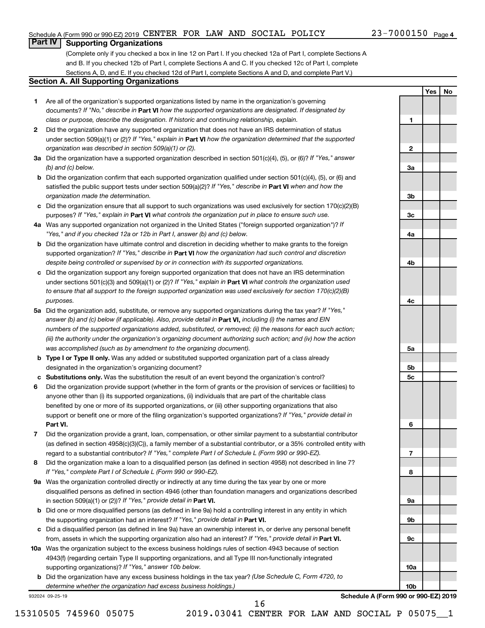**1**

**2**

**3a**

**3b**

**3c**

**4a**

**4b**

**4c**

**5a**

**5b 5c**

**6**

**7**

**8**

**9a**

**9b**

**9c**

**10a**

**10b**

**Yes No**

# **Part IV Supporting Organizations**

(Complete only if you checked a box in line 12 on Part I. If you checked 12a of Part I, complete Sections A and B. If you checked 12b of Part I, complete Sections A and C. If you checked 12c of Part I, complete Sections A, D, and E. If you checked 12d of Part I, complete Sections A and D, and complete Part V.)

# **Section A. All Supporting Organizations**

- **1** Are all of the organization's supported organizations listed by name in the organization's governing documents? If "No," describe in Part VI how the supported organizations are designated. If designated by *class or purpose, describe the designation. If historic and continuing relationship, explain.*
- **2** Did the organization have any supported organization that does not have an IRS determination of status under section 509(a)(1) or (2)? If "Yes," explain in Part **VI** how the organization determined that the supported *organization was described in section 509(a)(1) or (2).*
- **3a** Did the organization have a supported organization described in section 501(c)(4), (5), or (6)? If "Yes," answer *(b) and (c) below.*
- **b** Did the organization confirm that each supported organization qualified under section 501(c)(4), (5), or (6) and satisfied the public support tests under section 509(a)(2)? If "Yes," describe in Part VI when and how the *organization made the determination.*
- **c** Did the organization ensure that all support to such organizations was used exclusively for section 170(c)(2)(B) purposes? If "Yes," explain in Part VI what controls the organization put in place to ensure such use.
- **4 a** *If* Was any supported organization not organized in the United States ("foreign supported organization")? *"Yes," and if you checked 12a or 12b in Part I, answer (b) and (c) below.*
- **b** Did the organization have ultimate control and discretion in deciding whether to make grants to the foreign supported organization? If "Yes," describe in Part VI how the organization had such control and discretion *despite being controlled or supervised by or in connection with its supported organizations.*
- **c** Did the organization support any foreign supported organization that does not have an IRS determination under sections 501(c)(3) and 509(a)(1) or (2)? If "Yes," explain in Part VI what controls the organization used *to ensure that all support to the foreign supported organization was used exclusively for section 170(c)(2)(B) purposes.*
- **5a** Did the organization add, substitute, or remove any supported organizations during the tax year? If "Yes," answer (b) and (c) below (if applicable). Also, provide detail in **Part VI,** including (i) the names and EIN *numbers of the supported organizations added, substituted, or removed; (ii) the reasons for each such action; (iii) the authority under the organization's organizing document authorizing such action; and (iv) how the action was accomplished (such as by amendment to the organizing document).*
- **b Type I or Type II only.** Was any added or substituted supported organization part of a class already designated in the organization's organizing document?
- **c Substitutions only.**  Was the substitution the result of an event beyond the organization's control?
- **6** Did the organization provide support (whether in the form of grants or the provision of services or facilities) to **Part VI.** support or benefit one or more of the filing organization's supported organizations? If "Yes," provide detail in anyone other than (i) its supported organizations, (ii) individuals that are part of the charitable class benefited by one or more of its supported organizations, or (iii) other supporting organizations that also
- **7** Did the organization provide a grant, loan, compensation, or other similar payment to a substantial contributor regard to a substantial contributor? If "Yes," complete Part I of Schedule L (Form 990 or 990-EZ). (as defined in section 4958(c)(3)(C)), a family member of a substantial contributor, or a 35% controlled entity with
- **8** Did the organization make a loan to a disqualified person (as defined in section 4958) not described in line 7? *If "Yes," complete Part I of Schedule L (Form 990 or 990-EZ).*
- **9 a** Was the organization controlled directly or indirectly at any time during the tax year by one or more in section 509(a)(1) or (2))? If "Yes," provide detail in **Part VI.** disqualified persons as defined in section 4946 (other than foundation managers and organizations described
- **b** Did one or more disqualified persons (as defined in line 9a) hold a controlling interest in any entity in which the supporting organization had an interest? If "Yes," provide detail in Part VI.
- **c** Did a disqualified person (as defined in line 9a) have an ownership interest in, or derive any personal benefit from, assets in which the supporting organization also had an interest? If "Yes," provide detail in Part VI.
- **10 a** Was the organization subject to the excess business holdings rules of section 4943 because of section supporting organizations)? If "Yes," answer 10b below. 4943(f) (regarding certain Type II supporting organizations, and all Type III non-functionally integrated
	- **b** Did the organization have any excess business holdings in the tax year? (Use Schedule C, Form 4720, to *determine whether the organization had excess business holdings.)*

932024 09-25-19

**Schedule A (Form 990 or 990-EZ) 2019**

16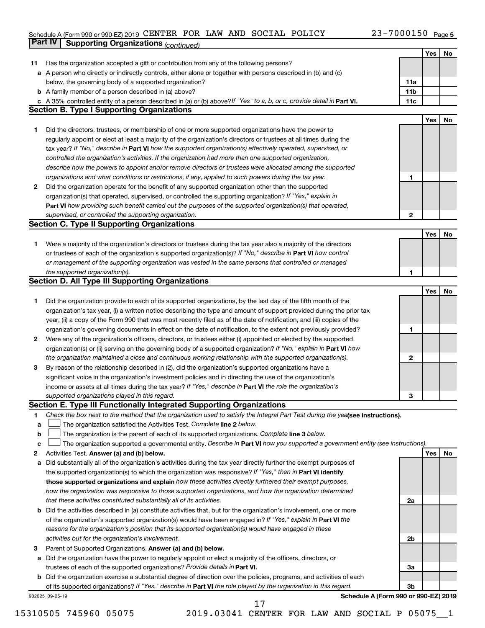#### Schedule A (Form 990 or 990-EZ) 2019 CENTER FOR LAW AND SOCIAL POLICY  $23-7000150$  Page CENTER FOR LAW AND SOCIAL POLICY 23-7000150

|    | Part IV<br><b>Supporting Organizations (continued)</b>                                                                          |                 |     |    |
|----|---------------------------------------------------------------------------------------------------------------------------------|-----------------|-----|----|
|    |                                                                                                                                 |                 | Yes | No |
| 11 | Has the organization accepted a gift or contribution from any of the following persons?                                         |                 |     |    |
|    | a A person who directly or indirectly controls, either alone or together with persons described in (b) and (c)                  |                 |     |    |
|    | below, the governing body of a supported organization?                                                                          | 11a             |     |    |
|    | <b>b</b> A family member of a person described in (a) above?                                                                    | 11 <sub>b</sub> |     |    |
|    | c A 35% controlled entity of a person described in (a) or (b) above? If "Yes" to a, b, or c, provide detail in Part VI.         | 11c             |     |    |
|    | <b>Section B. Type I Supporting Organizations</b>                                                                               |                 |     |    |
|    |                                                                                                                                 |                 | Yes | No |
| 1. | Did the directors, trustees, or membership of one or more supported organizations have the power to                             |                 |     |    |
|    | regularly appoint or elect at least a majority of the organization's directors or trustees at all times during the              |                 |     |    |
|    | tax year? If "No," describe in Part VI how the supported organization(s) effectively operated, supervised, or                   |                 |     |    |
|    | controlled the organization's activities. If the organization had more than one supported organization,                         |                 |     |    |
|    | describe how the powers to appoint and/or remove directors or trustees were allocated among the supported                       |                 |     |    |
|    | organizations and what conditions or restrictions, if any, applied to such powers during the tax year.                          | 1               |     |    |
| 2  | Did the organization operate for the benefit of any supported organization other than the supported                             |                 |     |    |
|    | organization(s) that operated, supervised, or controlled the supporting organization? If "Yes," explain in                      |                 |     |    |
|    | Part VI how providing such benefit carried out the purposes of the supported organization(s) that operated,                     |                 |     |    |
|    | supervised, or controlled the supporting organization.                                                                          | 2               |     |    |
|    | <b>Section C. Type II Supporting Organizations</b>                                                                              |                 |     |    |
|    |                                                                                                                                 |                 | Yes | No |
| 1. | Were a majority of the organization's directors or trustees during the tax year also a majority of the directors                |                 |     |    |
|    | or trustees of each of the organization's supported organization(s)? If "No," describe in Part VI how control                   |                 |     |    |
|    | or management of the supporting organization was vested in the same persons that controlled or managed                          |                 |     |    |
|    | the supported organization(s).                                                                                                  | 1               |     |    |
|    | <b>Section D. All Type III Supporting Organizations</b>                                                                         |                 |     |    |
|    |                                                                                                                                 |                 | Yes | No |
| 1  | Did the organization provide to each of its supported organizations, by the last day of the fifth month of the                  |                 |     |    |
|    | organization's tax year, (i) a written notice describing the type and amount of support provided during the prior tax           |                 |     |    |
|    | year, (ii) a copy of the Form 990 that was most recently filed as of the date of notification, and (iii) copies of the          |                 |     |    |
|    | organization's governing documents in effect on the date of notification, to the extent not previously provided?                | 1               |     |    |
| 2  | Were any of the organization's officers, directors, or trustees either (i) appointed or elected by the supported                |                 |     |    |
|    | organization(s) or (ii) serving on the governing body of a supported organization? If "No," explain in Part VI how              |                 |     |    |
|    | the organization maintained a close and continuous working relationship with the supported organization(s).                     | 2               |     |    |
| 3  | By reason of the relationship described in (2), did the organization's supported organizations have a                           |                 |     |    |
|    | significant voice in the organization's investment policies and in directing the use of the organization's                      |                 |     |    |
|    | income or assets at all times during the tax year? If "Yes," describe in Part VI the role the organization's                    |                 |     |    |
|    | supported organizations played in this regard.                                                                                  | з               |     |    |
|    | Section E. Type III Functionally Integrated Supporting Organizations                                                            |                 |     |    |
| 1  | Check the box next to the method that the organization used to satisfy the Integral Part Test during the yealsee instructions). |                 |     |    |
| a  | The organization satisfied the Activities Test. Complete line 2 below.                                                          |                 |     |    |
| b  | The organization is the parent of each of its supported organizations. Complete line 3 below.                                   |                 |     |    |
| с  | The organization supported a governmental entity. Describe in Part VI how you supported a government entity (see instructions). |                 |     |    |
| 2  | Activities Test. Answer (a) and (b) below.                                                                                      |                 | Yes | No |
| а  | Did substantially all of the organization's activities during the tax year directly further the exempt purposes of              |                 |     |    |
|    | the supported organization(s) to which the organization was responsive? If "Yes," then in Part VI identify                      |                 |     |    |
|    | those supported organizations and explain how these activities directly furthered their exempt purposes,                        |                 |     |    |
|    | how the organization was responsive to those supported organizations, and how the organization determined                       |                 |     |    |
|    | that these activities constituted substantially all of its activities.                                                          | 2a              |     |    |
|    | b Did the activities described in (a) constitute activities that, but for the organization's involvement, one or more           |                 |     |    |
|    | of the organization's supported organization(s) would have been engaged in? If "Yes," explain in Part VI the                    |                 |     |    |
|    | reasons for the organization's position that its supported organization(s) would have engaged in these                          |                 |     |    |
|    | activities but for the organization's involvement.                                                                              | 2b              |     |    |
| з  | Parent of Supported Organizations. Answer (a) and (b) below.                                                                    |                 |     |    |
| а  | Did the organization have the power to regularly appoint or elect a majority of the officers, directors, or                     |                 |     |    |
|    | trustees of each of the supported organizations? Provide details in Part VI.                                                    | За              |     |    |
|    | <b>b</b> Did the organization exercise a substantial degree of direction over the policies, programs, and activities of each    |                 |     |    |
|    | of its supported organizations? If "Yes," describe in Part VI the role played by the organization in this regard.               | 3b              |     |    |
|    | Schedule A (Form 990 or 990-EZ) 2019<br>932025 09-25-19                                                                         |                 |     |    |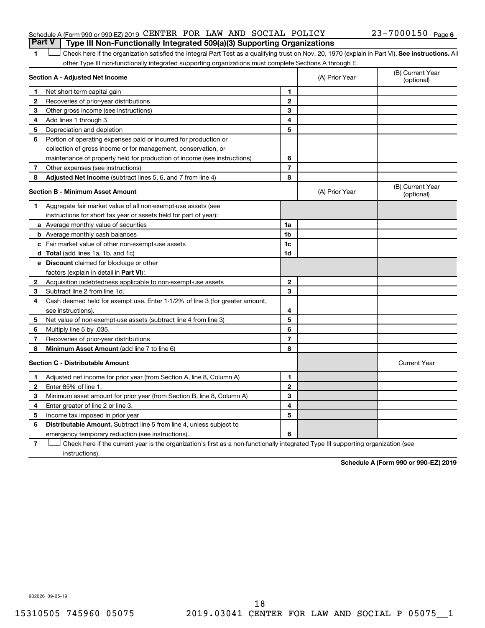# Schedule A (Form 990 or 990-EZ) 2019 CENTER FOR LAW AND SOCIAL POLICY  $23-7000150$  Page **Part V Type III Non-Functionally Integrated 509(a)(3) Supporting Organizations**

# 1 **Letter See instructions.** All Check here if the organization satisfied the Integral Part Test as a qualifying trust on Nov. 20, 1970 (explain in Part VI). See instructions. All other Type III non-functionally integrated supporting organizations must complete Sections A through E.

|    | Section A - Adjusted Net Income                                              |                | (A) Prior Year | (B) Current Year<br>(optional) |
|----|------------------------------------------------------------------------------|----------------|----------------|--------------------------------|
| 1  | Net short-term capital gain                                                  | 1              |                |                                |
| 2  | Recoveries of prior-year distributions                                       | $\mathbf{2}$   |                |                                |
| 3  | Other gross income (see instructions)                                        | 3              |                |                                |
| 4  | Add lines 1 through 3.                                                       | 4              |                |                                |
| 5  | Depreciation and depletion                                                   | 5              |                |                                |
| 6  | Portion of operating expenses paid or incurred for production or             |                |                |                                |
|    | collection of gross income or for management, conservation, or               |                |                |                                |
|    | maintenance of property held for production of income (see instructions)     | 6              |                |                                |
| 7  | Other expenses (see instructions)                                            | $\overline{7}$ |                |                                |
| 8  | Adjusted Net Income (subtract lines 5, 6, and 7 from line 4)                 | 8              |                |                                |
|    | <b>Section B - Minimum Asset Amount</b>                                      |                | (A) Prior Year | (B) Current Year<br>(optional) |
| 1. | Aggregate fair market value of all non-exempt-use assets (see                |                |                |                                |
|    | instructions for short tax year or assets held for part of year):            |                |                |                                |
|    | a Average monthly value of securities                                        | 1a             |                |                                |
|    | <b>b</b> Average monthly cash balances                                       | 1 <sub>b</sub> |                |                                |
|    | c Fair market value of other non-exempt-use assets                           | 1c             |                |                                |
|    | <b>d</b> Total (add lines 1a, 1b, and 1c)                                    | 1d             |                |                                |
|    | e Discount claimed for blockage or other                                     |                |                |                                |
|    | factors (explain in detail in Part VI):                                      |                |                |                                |
| 2  | Acquisition indebtedness applicable to non-exempt-use assets                 | $\mathbf{2}$   |                |                                |
| 3  | Subtract line 2 from line 1d.                                                | 3              |                |                                |
| 4  | Cash deemed held for exempt use. Enter 1-1/2% of line 3 (for greater amount, |                |                |                                |
|    | see instructions).                                                           | 4              |                |                                |
| 5  | Net value of non-exempt-use assets (subtract line 4 from line 3)             | 5              |                |                                |
| 6  | Multiply line 5 by .035.                                                     | 6              |                |                                |
| 7  | Recoveries of prior-year distributions                                       | $\overline{7}$ |                |                                |
| 8  | <b>Minimum Asset Amount (add line 7 to line 6)</b>                           | 8              |                |                                |
|    | <b>Section C - Distributable Amount</b>                                      |                |                | <b>Current Year</b>            |
| 1  | Adjusted net income for prior year (from Section A, line 8, Column A)        | 1              |                |                                |
| 2  | Enter 85% of line 1.                                                         | $\mathbf{2}$   |                |                                |
| 3  | Minimum asset amount for prior year (from Section B, line 8, Column A)       | 3              |                |                                |
| 4  | Enter greater of line 2 or line 3.                                           | 4              |                |                                |
| 5  | Income tax imposed in prior year                                             | 5              |                |                                |
| 6  | <b>Distributable Amount.</b> Subtract line 5 from line 4, unless subject to  |                |                |                                |
|    | emergency temporary reduction (see instructions).                            | 6              |                |                                |
|    |                                                                              |                |                |                                |

**7** Check here if the current year is the organization's first as a non-functionally integrated Type III supporting organization (see † instructions).

**Schedule A (Form 990 or 990-EZ) 2019**

932026 09-25-19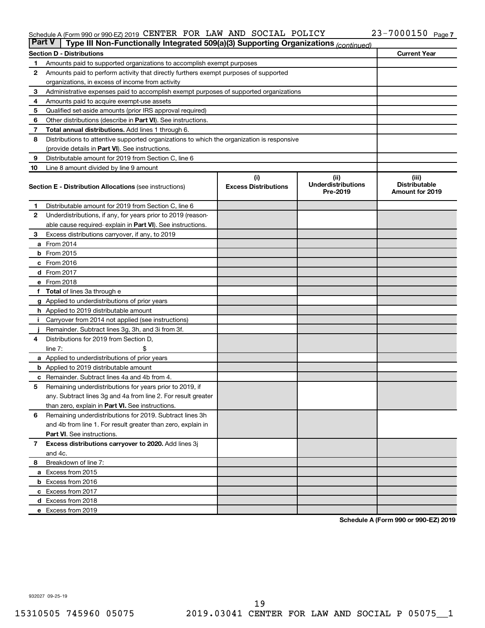#### Schedule A (Form 990 or 990-EZ) 2019 CENTER FOR LAW AND SOCIAL POLICY  $23-7000150$  Page CENTER FOR LAW AND SOCIAL POLICY 23-7000150

|                | <b>Part V</b><br>Type III Non-Functionally Integrated 509(a)(3) Supporting Organizations (continued) |                                    |                                   |                               |  |  |  |  |  |
|----------------|------------------------------------------------------------------------------------------------------|------------------------------------|-----------------------------------|-------------------------------|--|--|--|--|--|
|                | <b>Section D - Distributions</b>                                                                     |                                    |                                   | <b>Current Year</b>           |  |  |  |  |  |
| 1              | Amounts paid to supported organizations to accomplish exempt purposes                                |                                    |                                   |                               |  |  |  |  |  |
| $\mathbf{2}$   | Amounts paid to perform activity that directly furthers exempt purposes of supported                 |                                    |                                   |                               |  |  |  |  |  |
|                | organizations, in excess of income from activity                                                     |                                    |                                   |                               |  |  |  |  |  |
| 3              | Administrative expenses paid to accomplish exempt purposes of supported organizations                |                                    |                                   |                               |  |  |  |  |  |
| 4              | Amounts paid to acquire exempt-use assets                                                            |                                    |                                   |                               |  |  |  |  |  |
| 5              | Qualified set-aside amounts (prior IRS approval required)                                            |                                    |                                   |                               |  |  |  |  |  |
| 6              | Other distributions (describe in <b>Part VI</b> ). See instructions.                                 |                                    |                                   |                               |  |  |  |  |  |
| 7              | Total annual distributions. Add lines 1 through 6.                                                   |                                    |                                   |                               |  |  |  |  |  |
| 8              | Distributions to attentive supported organizations to which the organization is responsive           |                                    |                                   |                               |  |  |  |  |  |
|                | (provide details in Part VI). See instructions.                                                      |                                    |                                   |                               |  |  |  |  |  |
| 9              | Distributable amount for 2019 from Section C, line 6                                                 |                                    |                                   |                               |  |  |  |  |  |
| 10             | Line 8 amount divided by line 9 amount                                                               |                                    |                                   |                               |  |  |  |  |  |
|                | <b>Section E - Distribution Allocations (see instructions)</b>                                       | (i)<br><b>Excess Distributions</b> | (ii)<br><b>Underdistributions</b> | (iii)<br><b>Distributable</b> |  |  |  |  |  |
|                |                                                                                                      |                                    | Pre-2019                          | <b>Amount for 2019</b>        |  |  |  |  |  |
| 1              | Distributable amount for 2019 from Section C, line 6                                                 |                                    |                                   |                               |  |  |  |  |  |
| $\mathbf{2}$   | Underdistributions, if any, for years prior to 2019 (reason-                                         |                                    |                                   |                               |  |  |  |  |  |
|                | able cause required- explain in Part VI). See instructions.                                          |                                    |                                   |                               |  |  |  |  |  |
| 3              | Excess distributions carryover, if any, to 2019                                                      |                                    |                                   |                               |  |  |  |  |  |
|                | a From 2014                                                                                          |                                    |                                   |                               |  |  |  |  |  |
|                | $b$ From 2015                                                                                        |                                    |                                   |                               |  |  |  |  |  |
|                | c From 2016                                                                                          |                                    |                                   |                               |  |  |  |  |  |
|                | d From 2017                                                                                          |                                    |                                   |                               |  |  |  |  |  |
|                | e From 2018                                                                                          |                                    |                                   |                               |  |  |  |  |  |
|                | f Total of lines 3a through e                                                                        |                                    |                                   |                               |  |  |  |  |  |
|                | <b>g</b> Applied to underdistributions of prior years                                                |                                    |                                   |                               |  |  |  |  |  |
|                | <b>h</b> Applied to 2019 distributable amount                                                        |                                    |                                   |                               |  |  |  |  |  |
| Ť.             | Carryover from 2014 not applied (see instructions)                                                   |                                    |                                   |                               |  |  |  |  |  |
|                | Remainder. Subtract lines 3g, 3h, and 3i from 3f.                                                    |                                    |                                   |                               |  |  |  |  |  |
| 4              | Distributions for 2019 from Section D,                                                               |                                    |                                   |                               |  |  |  |  |  |
|                | line $7:$                                                                                            |                                    |                                   |                               |  |  |  |  |  |
|                | <b>a</b> Applied to underdistributions of prior years                                                |                                    |                                   |                               |  |  |  |  |  |
|                | <b>b</b> Applied to 2019 distributable amount                                                        |                                    |                                   |                               |  |  |  |  |  |
| c              | Remainder. Subtract lines 4a and 4b from 4.                                                          |                                    |                                   |                               |  |  |  |  |  |
| 5              | Remaining underdistributions for years prior to 2019, if                                             |                                    |                                   |                               |  |  |  |  |  |
|                | any. Subtract lines 3g and 4a from line 2. For result greater                                        |                                    |                                   |                               |  |  |  |  |  |
|                | than zero, explain in Part VI. See instructions.                                                     |                                    |                                   |                               |  |  |  |  |  |
| 6              | Remaining underdistributions for 2019. Subtract lines 3h                                             |                                    |                                   |                               |  |  |  |  |  |
|                | and 4b from line 1. For result greater than zero, explain in                                         |                                    |                                   |                               |  |  |  |  |  |
|                | <b>Part VI.</b> See instructions.                                                                    |                                    |                                   |                               |  |  |  |  |  |
| $\overline{7}$ | Excess distributions carryover to 2020. Add lines 3j                                                 |                                    |                                   |                               |  |  |  |  |  |
|                | and 4c.                                                                                              |                                    |                                   |                               |  |  |  |  |  |
| 8              | Breakdown of line 7:                                                                                 |                                    |                                   |                               |  |  |  |  |  |
|                | a Excess from 2015                                                                                   |                                    |                                   |                               |  |  |  |  |  |
|                | <b>b</b> Excess from 2016                                                                            |                                    |                                   |                               |  |  |  |  |  |
|                | c Excess from 2017                                                                                   |                                    |                                   |                               |  |  |  |  |  |
|                | d Excess from 2018                                                                                   |                                    |                                   |                               |  |  |  |  |  |
|                | e Excess from 2019                                                                                   |                                    |                                   |                               |  |  |  |  |  |

**Schedule A (Form 990 or 990-EZ) 2019**

932027 09-25-19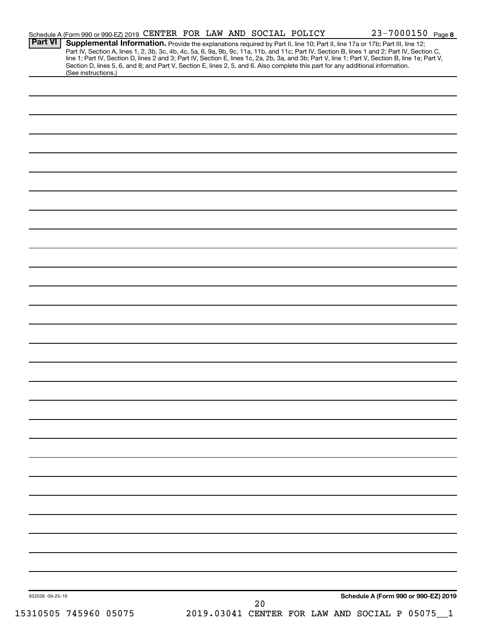| Part VI         |                       | Schedule A (Form 990 or 990-EZ) 2019 CENTER FOR LAW AND SOCIAL POLICY                                                                                                                                                                                                         |  |    |  | 23-7000150 Page 8                            |  |
|-----------------|-----------------------|-------------------------------------------------------------------------------------------------------------------------------------------------------------------------------------------------------------------------------------------------------------------------------|--|----|--|----------------------------------------------|--|
|                 |                       | Supplemental Information. Provide the explanations required by Part II, line 10; Part II, line 17a or 17b; Part III, line 12;<br>Part IV, Section A, lines 1, 2, 3b, 3c, 4b, 4c, 5a, 6, 9a, 9b, 9c, 11a, 11b, and 11c; Part IV, Section B, lines 1 and 2; Part IV, Section C, |  |    |  |                                              |  |
|                 |                       | line 1; Part IV, Section D, lines 2 and 3; Part IV, Section E, lines 1c, 2a, 2b, 3a, and 3b; Part V, line 1; Part V, Section B, line 1e; Part V,                                                                                                                              |  |    |  |                                              |  |
|                 | (See instructions.)   | Section D, lines 5, 6, and 8; and Part V, Section E, lines 2, 5, and 6. Also complete this part for any additional information.                                                                                                                                               |  |    |  |                                              |  |
|                 |                       |                                                                                                                                                                                                                                                                               |  |    |  |                                              |  |
|                 |                       |                                                                                                                                                                                                                                                                               |  |    |  |                                              |  |
|                 |                       |                                                                                                                                                                                                                                                                               |  |    |  |                                              |  |
|                 |                       |                                                                                                                                                                                                                                                                               |  |    |  |                                              |  |
|                 |                       |                                                                                                                                                                                                                                                                               |  |    |  |                                              |  |
|                 |                       |                                                                                                                                                                                                                                                                               |  |    |  |                                              |  |
|                 |                       |                                                                                                                                                                                                                                                                               |  |    |  |                                              |  |
|                 |                       |                                                                                                                                                                                                                                                                               |  |    |  |                                              |  |
|                 |                       |                                                                                                                                                                                                                                                                               |  |    |  |                                              |  |
|                 |                       |                                                                                                                                                                                                                                                                               |  |    |  |                                              |  |
|                 |                       |                                                                                                                                                                                                                                                                               |  |    |  |                                              |  |
|                 |                       |                                                                                                                                                                                                                                                                               |  |    |  |                                              |  |
|                 |                       |                                                                                                                                                                                                                                                                               |  |    |  |                                              |  |
|                 |                       |                                                                                                                                                                                                                                                                               |  |    |  |                                              |  |
|                 |                       |                                                                                                                                                                                                                                                                               |  |    |  |                                              |  |
|                 |                       |                                                                                                                                                                                                                                                                               |  |    |  |                                              |  |
|                 |                       |                                                                                                                                                                                                                                                                               |  |    |  |                                              |  |
|                 |                       |                                                                                                                                                                                                                                                                               |  |    |  |                                              |  |
|                 |                       |                                                                                                                                                                                                                                                                               |  |    |  |                                              |  |
|                 |                       |                                                                                                                                                                                                                                                                               |  |    |  |                                              |  |
|                 |                       |                                                                                                                                                                                                                                                                               |  |    |  |                                              |  |
|                 |                       |                                                                                                                                                                                                                                                                               |  |    |  |                                              |  |
|                 |                       |                                                                                                                                                                                                                                                                               |  |    |  |                                              |  |
|                 |                       |                                                                                                                                                                                                                                                                               |  |    |  |                                              |  |
|                 |                       |                                                                                                                                                                                                                                                                               |  |    |  |                                              |  |
|                 |                       |                                                                                                                                                                                                                                                                               |  |    |  |                                              |  |
|                 |                       |                                                                                                                                                                                                                                                                               |  |    |  |                                              |  |
|                 |                       |                                                                                                                                                                                                                                                                               |  |    |  |                                              |  |
|                 |                       |                                                                                                                                                                                                                                                                               |  |    |  |                                              |  |
|                 |                       |                                                                                                                                                                                                                                                                               |  |    |  |                                              |  |
|                 |                       |                                                                                                                                                                                                                                                                               |  |    |  |                                              |  |
|                 |                       |                                                                                                                                                                                                                                                                               |  |    |  |                                              |  |
|                 |                       |                                                                                                                                                                                                                                                                               |  |    |  |                                              |  |
|                 |                       |                                                                                                                                                                                                                                                                               |  |    |  |                                              |  |
|                 |                       |                                                                                                                                                                                                                                                                               |  |    |  |                                              |  |
|                 |                       |                                                                                                                                                                                                                                                                               |  |    |  |                                              |  |
|                 |                       |                                                                                                                                                                                                                                                                               |  |    |  |                                              |  |
|                 |                       |                                                                                                                                                                                                                                                                               |  |    |  |                                              |  |
|                 |                       |                                                                                                                                                                                                                                                                               |  |    |  |                                              |  |
|                 |                       |                                                                                                                                                                                                                                                                               |  |    |  |                                              |  |
|                 |                       |                                                                                                                                                                                                                                                                               |  |    |  |                                              |  |
|                 |                       |                                                                                                                                                                                                                                                                               |  |    |  |                                              |  |
|                 |                       |                                                                                                                                                                                                                                                                               |  |    |  |                                              |  |
|                 |                       |                                                                                                                                                                                                                                                                               |  |    |  |                                              |  |
|                 |                       |                                                                                                                                                                                                                                                                               |  |    |  |                                              |  |
|                 |                       |                                                                                                                                                                                                                                                                               |  |    |  |                                              |  |
|                 |                       |                                                                                                                                                                                                                                                                               |  |    |  |                                              |  |
|                 |                       |                                                                                                                                                                                                                                                                               |  |    |  |                                              |  |
|                 |                       |                                                                                                                                                                                                                                                                               |  |    |  |                                              |  |
|                 |                       |                                                                                                                                                                                                                                                                               |  |    |  |                                              |  |
| 932028 09-25-19 |                       |                                                                                                                                                                                                                                                                               |  |    |  | Schedule A (Form 990 or 990-EZ) 2019         |  |
|                 | 15310505 745960 05075 |                                                                                                                                                                                                                                                                               |  | 20 |  | 2019.03041 CENTER FOR LAW AND SOCIAL P 05075 |  |
|                 |                       |                                                                                                                                                                                                                                                                               |  |    |  |                                              |  |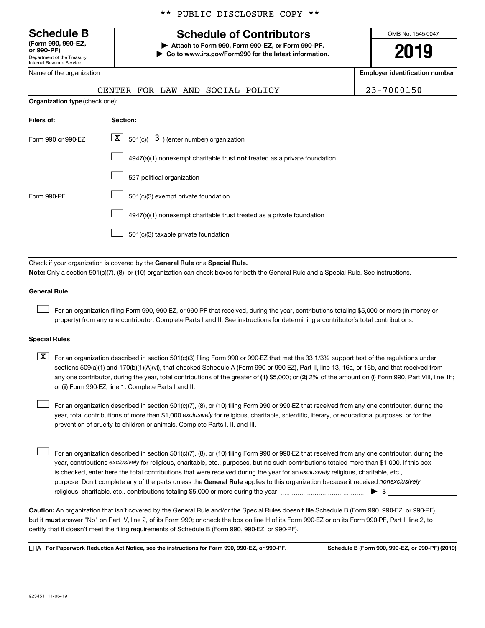**(Form 990, 990-EZ,**

Department of the Treasury Internal Revenue Service

Name of the organization

# **Schedule B Schedule of Contributors**

**or 990-PF) | Attach to Form 990, Form 990-EZ, or Form 990-PF. | Go to www.irs.gov/Form990 for the latest information.** OMB No. 1545-0047

**2019**

**Employer identification number**

|                                | FOR LAW AND SOCIAL POLICY<br>CENTER                                                                                                                                                                                                                                              | 23-7000150 |  |  |  |  |  |
|--------------------------------|----------------------------------------------------------------------------------------------------------------------------------------------------------------------------------------------------------------------------------------------------------------------------------|------------|--|--|--|--|--|
| Organization type (check one): |                                                                                                                                                                                                                                                                                  |            |  |  |  |  |  |
| Filers of:                     | Section:                                                                                                                                                                                                                                                                         |            |  |  |  |  |  |
| Form 990 or 990-EZ             | $\lfloor \mathbf{X} \rfloor$ 501(c)( 3) (enter number) organization                                                                                                                                                                                                              |            |  |  |  |  |  |
|                                | $4947(a)(1)$ nonexempt charitable trust not treated as a private foundation                                                                                                                                                                                                      |            |  |  |  |  |  |
|                                | 527 political organization                                                                                                                                                                                                                                                       |            |  |  |  |  |  |
| Form 990-PF                    | 501(c)(3) exempt private foundation                                                                                                                                                                                                                                              |            |  |  |  |  |  |
|                                | 4947(a)(1) nonexempt charitable trust treated as a private foundation                                                                                                                                                                                                            |            |  |  |  |  |  |
|                                | 501(c)(3) taxable private foundation                                                                                                                                                                                                                                             |            |  |  |  |  |  |
|                                |                                                                                                                                                                                                                                                                                  |            |  |  |  |  |  |
|                                | Check if your organization is covered by the General Rule or a Special Rule.                                                                                                                                                                                                     |            |  |  |  |  |  |
|                                | Note: Only a section 501(c)(7), (8), or (10) organization can check boxes for both the General Rule and a Special Rule. See instructions.                                                                                                                                        |            |  |  |  |  |  |
| <b>General Rule</b>            |                                                                                                                                                                                                                                                                                  |            |  |  |  |  |  |
|                                | For an organization filing Form 990, 990-EZ, or 990-PF that received, during the year, contributions totaling \$5,000 or more (in money or<br>property) from any one contributor. Complete Parts I and II. See instructions for determining a contributor's total contributions. |            |  |  |  |  |  |

#### **Special Rules**

any one contributor, during the year, total contributions of the greater of (1) \$5,000; or (2) 2% of the amount on (i) Form 990, Part VIII, line 1h;  $\boxed{\text{X}}$  For an organization described in section 501(c)(3) filing Form 990 or 990-EZ that met the 33 1/3% support test of the regulations under sections 509(a)(1) and 170(b)(1)(A)(vi), that checked Schedule A (Form 990 or 990-EZ), Part II, line 13, 16a, or 16b, and that received from or (ii) Form 990-EZ, line 1. Complete Parts I and II.

year, total contributions of more than \$1,000 *exclusively* for religious, charitable, scientific, literary, or educational purposes, or for the For an organization described in section 501(c)(7), (8), or (10) filing Form 990 or 990-EZ that received from any one contributor, during the prevention of cruelty to children or animals. Complete Parts I, II, and III.  $\Box$ 

purpose. Don't complete any of the parts unless the General Rule applies to this organization because it received nonexclusively year, contributions exclusively for religious, charitable, etc., purposes, but no such contributions totaled more than \$1,000. If this box is checked, enter here the total contributions that were received during the year for an exclusively religious, charitable, etc., For an organization described in section 501(c)(7), (8), or (10) filing Form 990 or 990-EZ that received from any one contributor, during the religious, charitable, etc., contributions totaling \$5,000 or more during the year  $~\ldots\ldots\ldots\ldots\ldots\ldots\ldots\ldots\ldots\blacktriangleright~$ \$  $\Box$ 

**Caution:**  An organization that isn't covered by the General Rule and/or the Special Rules doesn't file Schedule B (Form 990, 990-EZ, or 990-PF),  **must** but it answer "No" on Part IV, line 2, of its Form 990; or check the box on line H of its Form 990-EZ or on its Form 990-PF, Part I, line 2, to certify that it doesn't meet the filing requirements of Schedule B (Form 990, 990-EZ, or 990-PF).

**For Paperwork Reduction Act Notice, see the instructions for Form 990, 990-EZ, or 990-PF. Schedule B (Form 990, 990-EZ, or 990-PF) (2019)** LHA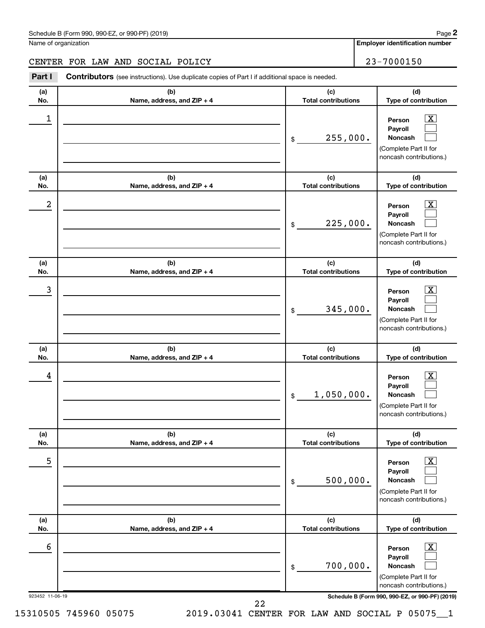# CENTER FOR LAW AND SOCIAL POLICY 23-7000150

**(a) No. (b) Name, address, and ZIP + 4 (c) Total contributions (d) Type of contribution Person Payroll Noncash (a) No. (b) Name, address, and ZIP + 4 (c) Total contributions (d) Type of contribution Person Payroll Noncash (a) No. (b) Name, address, and ZIP + 4 (c) Total contributions (d) Type of contribution Person Payroll Noncash (a) No. (b) Name, address, and ZIP + 4 (c) Total contributions (d) Type of contribution Person Payroll Noncash (a) No. (b) Name, address, and ZIP + 4 (c) Total contributions (d) Type of contribution Person Payroll Noncash (a) No. (b) Name, address, and ZIP + 4 (c) Total contributions (d) Type of contribution Person Payroll Noncash Part I** Contributors (see instructions). Use duplicate copies of Part I if additional space is needed. \$ (Complete Part II for noncash contributions.) \$ (Complete Part II for noncash contributions.) \$ (Complete Part II for noncash contributions.) \$ (Complete Part II for noncash contributions.) \$ (Complete Part II for noncash contributions.) \$ (Complete Part II for noncash contributions.)  $\lfloor x \rfloor$  $\Box$  $\Box$  $\overline{\mathbf{X}}$  $\Box$  $\Box$  $\boxed{\textbf{X}}$  $\Box$  $\Box$  $\boxed{\text{X}}$  $\Box$  $\Box$  $\boxed{\text{X}}$  $\Box$  $\Box$  $\boxed{\text{X}}$  $\Box$  $\Box$  $\begin{array}{|c|c|c|c|c|}\hline \ \text{1} & \text{Person} & \text{X} \ \hline \end{array}$ 255,000.  $2$  Person  $\overline{\text{X}}$ 225,000.  $\begin{array}{|c|c|c|c|c|c|}\hline \text{3} & \text{Person} & \text{X} \ \hline \end{array}$ 345,000.  $\begin{array}{|c|c|c|c|c|}\hline \text{4} & \text{Person} & \text{\textbf{X}}\ \hline \end{array}$ 1,050,000. 5 X 500,000.  $\overline{6}$  Person  $\overline{X}$ 700,000.

923452 11-06-19 **Schedule B (Form 990, 990-EZ, or 990-PF) (2019)**

22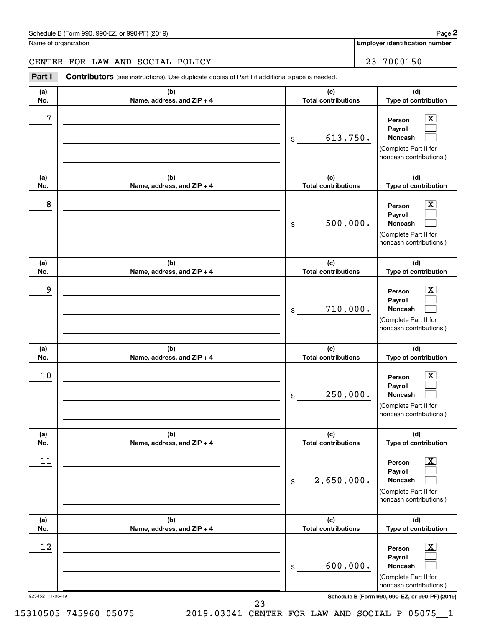**(a) No. (b) Name, address, and ZIP + 4 (c) Total contributions (d) Type of contribution Person Payroll Noncash (a) No. (b) Name, address, and ZIP + 4 (c) Total contributions (d) Type of contribution Person Payroll Noncash (a) No. (b) Name, address, and ZIP + 4 (c) Total contributions (d) Type of contribution Person Payroll Noncash (a) No. (b) Name, address, and ZIP + 4 (c) Total contributions (d) Type of contribution Person Payroll Noncash (a) No. (b) Name, address, and ZIP + 4 (c) Total contributions (d) Type of contribution Person Payroll Noncash (a) No. (b) Name, address, and ZIP + 4 (c) Total contributions (d) Type of contribution Person Payroll Noncash Part I** Contributors (see instructions). Use duplicate copies of Part I if additional space is needed. \$ (Complete Part II for noncash contributions.) \$ (Complete Part II for noncash contributions.) \$ (Complete Part II for noncash contributions.) \$ (Complete Part II for noncash contributions.) \$ (Complete Part II for noncash contributions.) \$ (Complete Part II for  $\lfloor x \rfloor$  $\Box$  $\Box$  $\overline{\mathbf{X}}$  $\Box$  $\Box$  $\boxed{\textbf{X}}$  $\Box$  $\Box$  $\boxed{\text{X}}$  $\Box$  $\Box$  $\boxed{\text{X}}$  $\Box$  $\Box$  $\boxed{\text{X}}$  $\Box$  $\Box$ CENTER FOR LAW AND SOCIAL POLICY 23-7000150  $7$   $|$  Person  $\overline{\text{X}}$ 613,750.  $8$  Person  $\overline{\text{X}}$ 500,000. 9 X 710,000.  $10$  Person  $\overline{\text{X}}$ 250,000.  $\begin{array}{|c|c|c|c|c|}\hline \text{11} & \text{Person} & \text{X} \\\hline \end{array}$ 2,650,000.  $\begin{array}{|c|c|c|c|c|}\hline \text{12} & \text{Person} & \text{X} \\\hline \end{array}$ 600,000.

923452 11-06-19 **Schedule B (Form 990, 990-EZ, or 990-PF) (2019)**

noncash contributions.)

23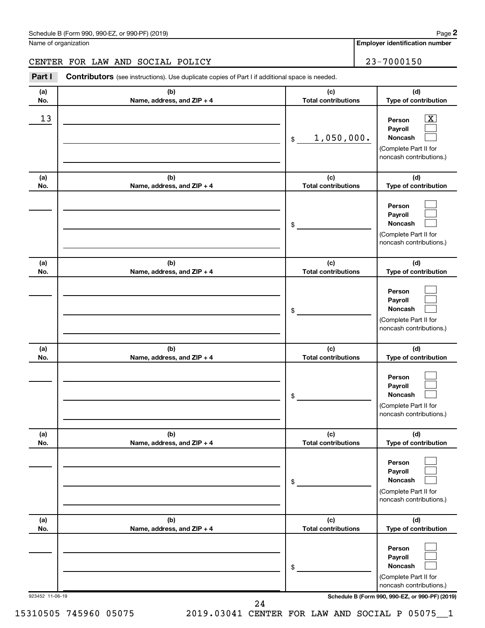# CENTER FOR LAW AND SOCIAL POLICY 23-7000150

923452 11-06-19 **Schedule B (Form 990, 990-EZ, or 990-PF) (2019) (a) No. (b) Name, address, and ZIP + 4 (c) Total contributions (d) Type of contribution Person Payroll Noncash (a) No. (b) Name, address, and ZIP + 4 (c) Total contributions (d) Type of contribution Person Payroll Noncash (a) No. (b) Name, address, and ZIP + 4 (c) Total contributions (d) Type of contribution Person Payroll Noncash (a) No. (b) Name, address, and ZIP + 4 (c) Total contributions (d) Type of contribution Person Payroll Noncash (a) No. (b) Name, address, and ZIP + 4 (c) Total contributions (d) Type of contribution Person Payroll Noncash (a) No. (b) Name, address, and ZIP + 4 (c) Total contributions (d) Type of contribution Person Payroll Noncash Part I** Contributors (see instructions). Use duplicate copies of Part I if additional space is needed. \$ (Complete Part II for noncash contributions.) \$ (Complete Part II for noncash contributions.) \$ (Complete Part II for noncash contributions.) \$ (Complete Part II for noncash contributions.) \$ (Complete Part II for noncash contributions.) \$ (Complete Part II for noncash contributions.)  $\lfloor x \rfloor$  $\Box$  $\Box$  $\Box$  $\Box$  $\Box$  $\Box$  $\Box$  $\Box$  $\Box$  $\Box$  $\Box$  $\Box$  $\Box$  $\Box$  $\Box$  $\Box$  $\Box$  $\begin{array}{|c|c|c|c|c|}\hline \text{13} & \text{Person} & \text{X} \\\hline \end{array}$ 1,050,000. 24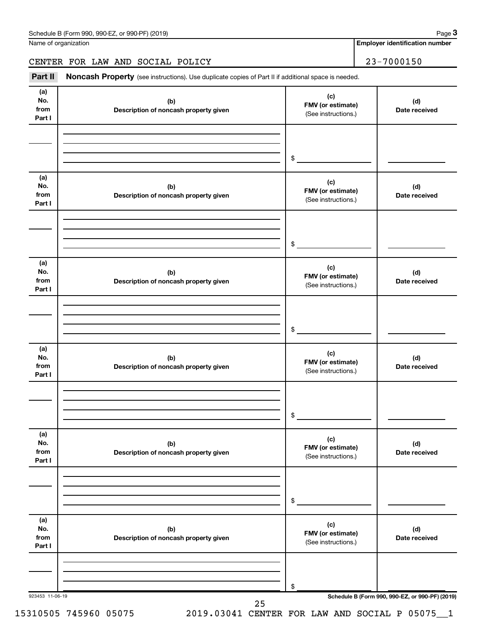# CENTER FOR LAW AND SOCIAL POLICY 23-7000150

Part II Noncash Property (see instructions). Use duplicate copies of Part II if additional space is needed.

| No.<br>from<br>Part I        | (b)<br>Description of noncash property given | (c)<br>FMV (or estimate)<br>(See instructions.) | (d)<br>Date received |
|------------------------------|----------------------------------------------|-------------------------------------------------|----------------------|
|                              |                                              |                                                 |                      |
|                              |                                              | \$                                              |                      |
| (a)<br>No.<br>from<br>Part I | (b)<br>Description of noncash property given | (c)<br>FMV (or estimate)<br>(See instructions.) | (d)<br>Date received |
|                              |                                              | \$                                              |                      |
| (a)<br>No.<br>from<br>Part I | (b)<br>Description of noncash property given | (c)<br>FMV (or estimate)<br>(See instructions.) | (d)<br>Date received |
|                              |                                              | \$                                              |                      |
| (a)<br>No.<br>from<br>Part I | (b)<br>Description of noncash property given | (c)<br>FMV (or estimate)<br>(See instructions.) | (d)<br>Date received |
|                              |                                              | \$                                              |                      |
| (a)<br>No.<br>from<br>Part I | (b)<br>Description of noncash property given | (c)<br>FMV (or estimate)<br>(See instructions.) | (d)<br>Date received |
|                              |                                              | \$                                              |                      |
| (a)<br>No.<br>from<br>Part I | (b)<br>Description of noncash property given | (c)<br>FMV (or estimate)<br>(See instructions.) | (d)<br>Date received |
|                              |                                              | \$                                              |                      |
| 923453 11-06-19              | 25                                           | Schedule B (Form 990, 990-EZ, or 990-PF) (2019) |                      |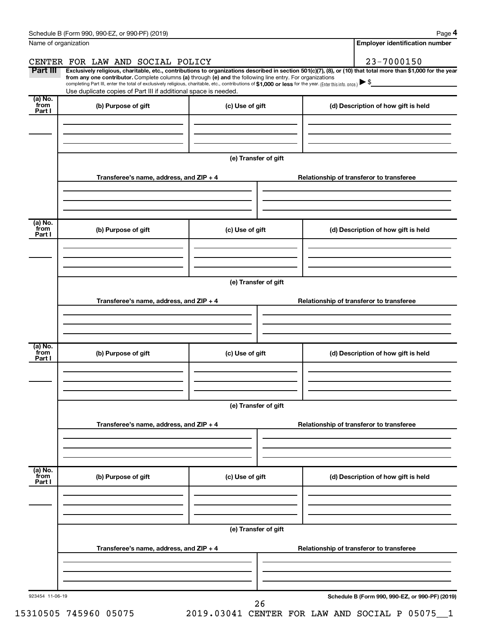|                           | Schedule B (Form 990, 990-EZ, or 990-PF) (2019)                                                                                                                                                                                                                              |                      |  | Page 4                                          |  |  |  |  |  |
|---------------------------|------------------------------------------------------------------------------------------------------------------------------------------------------------------------------------------------------------------------------------------------------------------------------|----------------------|--|-------------------------------------------------|--|--|--|--|--|
|                           | Name of organization                                                                                                                                                                                                                                                         |                      |  | <b>Employer identification number</b>           |  |  |  |  |  |
|                           | CENTER FOR LAW AND SOCIAL POLICY                                                                                                                                                                                                                                             |                      |  | 23-7000150                                      |  |  |  |  |  |
| Part III                  | Exclusively religious, charitable, etc., contributions to organizations described in section 501(c)(7), (8), or (10) that total more than \$1,000 for the year<br>from any one contributor. Complete columns (a) through (e) and the following line entry. For organizations |                      |  |                                                 |  |  |  |  |  |
|                           | completing Part III, enter the total of exclusively religious, charitable, etc., contributions of \$1,000 or less for the year. (Enter this info. once.)<br>Use duplicate copies of Part III if additional space is needed.                                                  |                      |  |                                                 |  |  |  |  |  |
| (a) No.                   |                                                                                                                                                                                                                                                                              |                      |  |                                                 |  |  |  |  |  |
| from<br>Part I            | (b) Purpose of gift                                                                                                                                                                                                                                                          | (c) Use of gift      |  | (d) Description of how gift is held             |  |  |  |  |  |
|                           |                                                                                                                                                                                                                                                                              |                      |  |                                                 |  |  |  |  |  |
|                           |                                                                                                                                                                                                                                                                              |                      |  |                                                 |  |  |  |  |  |
|                           |                                                                                                                                                                                                                                                                              |                      |  |                                                 |  |  |  |  |  |
|                           |                                                                                                                                                                                                                                                                              | (e) Transfer of gift |  |                                                 |  |  |  |  |  |
|                           | Transferee's name, address, and ZIP + 4                                                                                                                                                                                                                                      |                      |  | Relationship of transferor to transferee        |  |  |  |  |  |
|                           |                                                                                                                                                                                                                                                                              |                      |  |                                                 |  |  |  |  |  |
|                           |                                                                                                                                                                                                                                                                              |                      |  |                                                 |  |  |  |  |  |
|                           |                                                                                                                                                                                                                                                                              |                      |  |                                                 |  |  |  |  |  |
| (a) No.<br>from<br>Part I | (b) Purpose of gift                                                                                                                                                                                                                                                          | (c) Use of gift      |  | (d) Description of how gift is held             |  |  |  |  |  |
|                           |                                                                                                                                                                                                                                                                              |                      |  |                                                 |  |  |  |  |  |
|                           |                                                                                                                                                                                                                                                                              |                      |  |                                                 |  |  |  |  |  |
|                           |                                                                                                                                                                                                                                                                              |                      |  |                                                 |  |  |  |  |  |
|                           | (e) Transfer of gift                                                                                                                                                                                                                                                         |                      |  |                                                 |  |  |  |  |  |
|                           | Transferee's name, address, and ZIP + 4                                                                                                                                                                                                                                      |                      |  | Relationship of transferor to transferee        |  |  |  |  |  |
|                           |                                                                                                                                                                                                                                                                              |                      |  |                                                 |  |  |  |  |  |
|                           |                                                                                                                                                                                                                                                                              |                      |  |                                                 |  |  |  |  |  |
|                           |                                                                                                                                                                                                                                                                              |                      |  |                                                 |  |  |  |  |  |
| (a) No.<br>from<br>Part I | (b) Purpose of gift                                                                                                                                                                                                                                                          | (c) Use of gift      |  | (d) Description of how gift is held             |  |  |  |  |  |
|                           |                                                                                                                                                                                                                                                                              |                      |  |                                                 |  |  |  |  |  |
|                           |                                                                                                                                                                                                                                                                              |                      |  |                                                 |  |  |  |  |  |
|                           |                                                                                                                                                                                                                                                                              |                      |  |                                                 |  |  |  |  |  |
|                           | (e) Transfer of gift                                                                                                                                                                                                                                                         |                      |  |                                                 |  |  |  |  |  |
|                           | Transferee's name, address, and ZIP + 4<br>Relationship of transferor to transferee                                                                                                                                                                                          |                      |  |                                                 |  |  |  |  |  |
|                           |                                                                                                                                                                                                                                                                              |                      |  |                                                 |  |  |  |  |  |
|                           |                                                                                                                                                                                                                                                                              |                      |  |                                                 |  |  |  |  |  |
|                           |                                                                                                                                                                                                                                                                              |                      |  |                                                 |  |  |  |  |  |
| (a) No.<br>from           | (b) Purpose of gift                                                                                                                                                                                                                                                          | (c) Use of gift      |  | (d) Description of how gift is held             |  |  |  |  |  |
| Part I                    |                                                                                                                                                                                                                                                                              |                      |  |                                                 |  |  |  |  |  |
|                           |                                                                                                                                                                                                                                                                              |                      |  |                                                 |  |  |  |  |  |
|                           |                                                                                                                                                                                                                                                                              |                      |  |                                                 |  |  |  |  |  |
|                           |                                                                                                                                                                                                                                                                              | (e) Transfer of gift |  |                                                 |  |  |  |  |  |
|                           |                                                                                                                                                                                                                                                                              |                      |  |                                                 |  |  |  |  |  |
|                           | Transferee's name, address, and ZIP + 4                                                                                                                                                                                                                                      |                      |  | Relationship of transferor to transferee        |  |  |  |  |  |
|                           |                                                                                                                                                                                                                                                                              |                      |  |                                                 |  |  |  |  |  |
|                           |                                                                                                                                                                                                                                                                              |                      |  |                                                 |  |  |  |  |  |
| 923454 11-06-19           |                                                                                                                                                                                                                                                                              |                      |  | Schedule B (Form 990, 990-EZ, or 990-PF) (2019) |  |  |  |  |  |
|                           |                                                                                                                                                                                                                                                                              | 26                   |  |                                                 |  |  |  |  |  |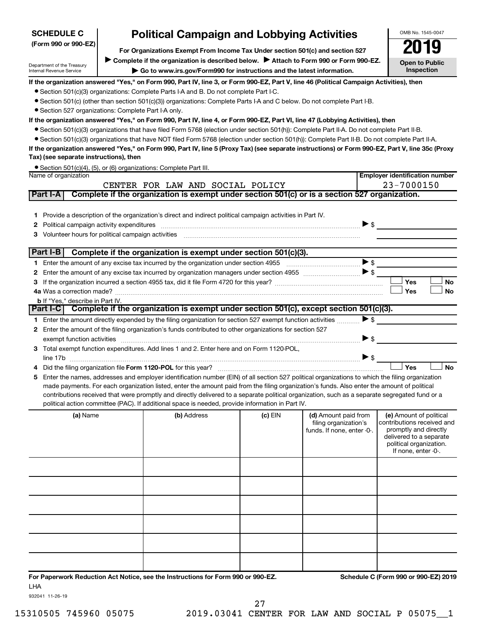| <b>SCHEDULE C</b>                                      |                                                                               | <b>Political Campaign and Lobbying Activities</b>                                                                                                                |         |                                                     | OMB No. 1545-0047                                   |           |
|--------------------------------------------------------|-------------------------------------------------------------------------------|------------------------------------------------------------------------------------------------------------------------------------------------------------------|---------|-----------------------------------------------------|-----------------------------------------------------|-----------|
| (Form 990 or 990-EZ)                                   | For Organizations Exempt From Income Tax Under section 501(c) and section 527 |                                                                                                                                                                  |         |                                                     |                                                     |           |
|                                                        |                                                                               |                                                                                                                                                                  |         |                                                     | 2019                                                |           |
| Department of the Treasury<br>Internal Revenue Service |                                                                               | Complete if the organization is described below.<br>Attach to Form 990 or Form 990-EZ.<br>Go to www.irs.gov/Form990 for instructions and the latest information. |         |                                                     | <b>Open to Public</b><br><b>Inspection</b>          |           |
|                                                        |                                                                               | If the organization answered "Yes," on Form 990, Part IV, line 3, or Form 990-EZ, Part V, line 46 (Political Campaign Activities), then                          |         |                                                     |                                                     |           |
|                                                        |                                                                               | • Section 501(c)(3) organizations: Complete Parts I-A and B. Do not complete Part I-C.                                                                           |         |                                                     |                                                     |           |
|                                                        |                                                                               | • Section 501(c) (other than section 501(c)(3)) organizations: Complete Parts I-A and C below. Do not complete Part I-B.                                         |         |                                                     |                                                     |           |
| • Section 527 organizations: Complete Part I-A only.   |                                                                               | If the organization answered "Yes," on Form 990, Part IV, line 4, or Form 990-EZ, Part VI, line 47 (Lobbying Activities), then                                   |         |                                                     |                                                     |           |
|                                                        |                                                                               | • Section 501(c)(3) organizations that have filed Form 5768 (election under section 501(h)): Complete Part II-A. Do not complete Part II-B.                      |         |                                                     |                                                     |           |
|                                                        |                                                                               | • Section 501(c)(3) organizations that have NOT filed Form 5768 (election under section 501(h)): Complete Part II-B. Do not complete Part II-A.                  |         |                                                     |                                                     |           |
|                                                        |                                                                               | If the organization answered "Yes," on Form 990, Part IV, line 5 (Proxy Tax) (see separate instructions) or Form 990-EZ, Part V, line 35c (Proxy                 |         |                                                     |                                                     |           |
| Tax) (see separate instructions), then                 |                                                                               |                                                                                                                                                                  |         |                                                     |                                                     |           |
| Name of organization                                   |                                                                               | • Section 501(c)(4), (5), or (6) organizations: Complete Part III.                                                                                               |         |                                                     | <b>Employer identification number</b>               |           |
|                                                        |                                                                               | CENTER FOR LAW AND SOCIAL POLICY                                                                                                                                 |         |                                                     | 23-7000150                                          |           |
| Part I-A                                               |                                                                               | Complete if the organization is exempt under section 501(c) or is a section 527 organization.                                                                    |         |                                                     |                                                     |           |
|                                                        |                                                                               |                                                                                                                                                                  |         |                                                     |                                                     |           |
|                                                        |                                                                               | 1 Provide a description of the organization's direct and indirect political campaign activities in Part IV.                                                      |         |                                                     |                                                     |           |
| 2                                                      |                                                                               | Political campaign activity expenditures [11] matter contracts and contracts are political campaign activity expenditures                                        |         |                                                     | $\triangleright$ \$                                 |           |
| 3                                                      |                                                                               |                                                                                                                                                                  |         |                                                     |                                                     |           |
|                                                        |                                                                               |                                                                                                                                                                  |         |                                                     |                                                     |           |
| Part I-B                                               |                                                                               | Complete if the organization is exempt under section 501(c)(3).                                                                                                  |         |                                                     | $\blacktriangleright$ \$                            |           |
|                                                        |                                                                               |                                                                                                                                                                  |         |                                                     |                                                     |           |
| 2<br>3                                                 |                                                                               |                                                                                                                                                                  |         |                                                     | Yes                                                 | No        |
|                                                        |                                                                               |                                                                                                                                                                  |         |                                                     | Yes                                                 | <b>No</b> |
| <b>b</b> If "Yes," describe in Part IV.                |                                                                               |                                                                                                                                                                  |         |                                                     |                                                     |           |
|                                                        |                                                                               | Part I-C Complete if the organization is exempt under section 501(c), except section 501(c)(3).                                                                  |         |                                                     |                                                     |           |
|                                                        |                                                                               | 1 Enter the amount directly expended by the filing organization for section 527 exempt function activities                                                       |         |                                                     | $\blacktriangleright$ \$                            |           |
|                                                        |                                                                               | 2 Enter the amount of the filing organization's funds contributed to other organizations for section 527                                                         |         |                                                     |                                                     |           |
| exempt function activities                             |                                                                               |                                                                                                                                                                  |         |                                                     | $\blacktriangleright$ \$                            |           |
|                                                        |                                                                               | 3 Total exempt function expenditures. Add lines 1 and 2. Enter here and on Form 1120-POL,                                                                        |         |                                                     | $\triangleright$ \$                                 |           |
|                                                        |                                                                               | Did the filing organization file Form 1120-POL for this year?                                                                                                    |         |                                                     | Yes                                                 | <b>No</b> |
| 5.                                                     |                                                                               | Enter the names, addresses and employer identification number (EIN) of all section 527 political organizations to which the filing organization                  |         |                                                     |                                                     |           |
|                                                        |                                                                               | made payments. For each organization listed, enter the amount paid from the filing organization's funds. Also enter the amount of political                      |         |                                                     |                                                     |           |
|                                                        |                                                                               | contributions received that were promptly and directly delivered to a separate political organization, such as a separate segregated fund or a                   |         |                                                     |                                                     |           |
|                                                        |                                                                               | political action committee (PAC). If additional space is needed, provide information in Part IV.                                                                 |         |                                                     |                                                     |           |
| (a) Name                                               |                                                                               | (b) Address                                                                                                                                                      | (c) EIN | (d) Amount paid from                                | (e) Amount of political                             |           |
|                                                        |                                                                               |                                                                                                                                                                  |         | filing organization's<br>funds. If none, enter -0-. | contributions received and<br>promptly and directly |           |
|                                                        |                                                                               |                                                                                                                                                                  |         |                                                     | delivered to a separate                             |           |
|                                                        |                                                                               |                                                                                                                                                                  |         |                                                     | political organization.<br>If none, enter -0-.      |           |
|                                                        |                                                                               |                                                                                                                                                                  |         |                                                     |                                                     |           |
|                                                        |                                                                               |                                                                                                                                                                  |         |                                                     |                                                     |           |
|                                                        |                                                                               |                                                                                                                                                                  |         |                                                     |                                                     |           |
|                                                        |                                                                               |                                                                                                                                                                  |         |                                                     |                                                     |           |
|                                                        |                                                                               |                                                                                                                                                                  |         |                                                     |                                                     |           |
|                                                        |                                                                               |                                                                                                                                                                  |         |                                                     |                                                     |           |
|                                                        |                                                                               |                                                                                                                                                                  |         |                                                     |                                                     |           |
|                                                        |                                                                               |                                                                                                                                                                  |         |                                                     |                                                     |           |
|                                                        |                                                                               |                                                                                                                                                                  |         |                                                     |                                                     |           |
|                                                        |                                                                               |                                                                                                                                                                  |         |                                                     |                                                     |           |

**For Paperwork Reduction Act Notice, see the Instructions for Form 990 or 990-EZ. Schedule C (Form 990 or 990-EZ) 2019** LHA

932041 11-26-19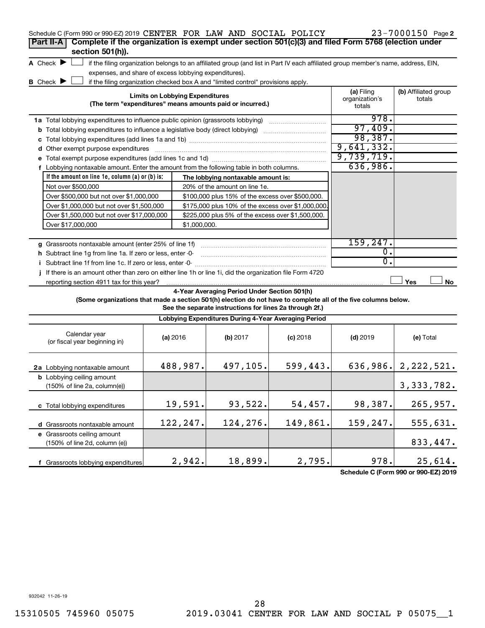| Schedule C (Form 990 or 990-EZ) 2019 CENTER FOR LAW AND SOCIAL POLICY                                     |                                                                                                    |                                                                                                                                                                                                                           |            |                                        | 23-7000150 Page 2              |  |  |  |
|-----------------------------------------------------------------------------------------------------------|----------------------------------------------------------------------------------------------------|---------------------------------------------------------------------------------------------------------------------------------------------------------------------------------------------------------------------------|------------|----------------------------------------|--------------------------------|--|--|--|
| Part II-A                                                                                                 | Complete if the organization is exempt under section 501(c)(3) and filed Form 5768 (election under |                                                                                                                                                                                                                           |            |                                        |                                |  |  |  |
| section 501(h)).                                                                                          |                                                                                                    |                                                                                                                                                                                                                           |            |                                        |                                |  |  |  |
| A Check $\blacktriangleright$                                                                             |                                                                                                    | if the filing organization belongs to an affiliated group (and list in Part IV each affiliated group member's name, address, EIN,                                                                                         |            |                                        |                                |  |  |  |
| expenses, and share of excess lobbying expenditures).                                                     |                                                                                                    |                                                                                                                                                                                                                           |            |                                        |                                |  |  |  |
| B Check $\blacktriangleright$                                                                             |                                                                                                    | if the filing organization checked box A and "limited control" provisions apply.                                                                                                                                          |            |                                        |                                |  |  |  |
|                                                                                                           | <b>Limits on Lobbying Expenditures</b>                                                             | (The term "expenditures" means amounts paid or incurred.)                                                                                                                                                                 |            | (a) Filing<br>organization's<br>totals | (b) Affiliated group<br>totals |  |  |  |
| 1a Total lobbying expenditures to influence public opinion (grassroots lobbying)                          |                                                                                                    |                                                                                                                                                                                                                           |            | 978.                                   |                                |  |  |  |
| <b>b</b> Total lobbying expenditures to influence a legislative body (direct lobbying)                    |                                                                                                    |                                                                                                                                                                                                                           |            | 97,409.                                |                                |  |  |  |
|                                                                                                           |                                                                                                    |                                                                                                                                                                                                                           |            | 98,387.                                |                                |  |  |  |
| d Other exempt purpose expenditures                                                                       |                                                                                                    |                                                                                                                                                                                                                           |            | 9,641,332.                             |                                |  |  |  |
|                                                                                                           |                                                                                                    |                                                                                                                                                                                                                           |            | 9,739,719.                             |                                |  |  |  |
| f Lobbying nontaxable amount. Enter the amount from the following table in both columns.                  |                                                                                                    |                                                                                                                                                                                                                           |            | 636,986.                               |                                |  |  |  |
| If the amount on line 1e, column $(a)$ or $(b)$ is:                                                       |                                                                                                    | The lobbying nontaxable amount is:                                                                                                                                                                                        |            |                                        |                                |  |  |  |
| Not over \$500,000                                                                                        |                                                                                                    | 20% of the amount on line 1e.                                                                                                                                                                                             |            |                                        |                                |  |  |  |
| Over \$500,000 but not over \$1,000,000                                                                   |                                                                                                    | \$100,000 plus 15% of the excess over \$500,000.                                                                                                                                                                          |            |                                        |                                |  |  |  |
| Over \$1,000,000 but not over \$1,500,000                                                                 |                                                                                                    | \$175,000 plus 10% of the excess over \$1,000,000                                                                                                                                                                         |            |                                        |                                |  |  |  |
| Over \$1,500,000 but not over \$17,000,000                                                                |                                                                                                    | \$225,000 plus 5% of the excess over \$1,500,000.                                                                                                                                                                         |            |                                        |                                |  |  |  |
| Over \$17,000,000                                                                                         |                                                                                                    | \$1,000,000.                                                                                                                                                                                                              |            |                                        |                                |  |  |  |
|                                                                                                           |                                                                                                    |                                                                                                                                                                                                                           |            |                                        |                                |  |  |  |
| g Grassroots nontaxable amount (enter 25% of line 1f)                                                     |                                                                                                    |                                                                                                                                                                                                                           |            | 159,247.                               |                                |  |  |  |
| h Subtract line 1g from line 1a. If zero or less, enter -0-                                               |                                                                                                    |                                                                                                                                                                                                                           |            | 0.                                     |                                |  |  |  |
| i Subtract line 1f from line 1c. If zero or less, enter -0-                                               |                                                                                                    |                                                                                                                                                                                                                           |            | 0.                                     |                                |  |  |  |
| j If there is an amount other than zero on either line 1h or line 1i, did the organization file Form 4720 |                                                                                                    |                                                                                                                                                                                                                           |            |                                        |                                |  |  |  |
| reporting section 4911 tax for this year?                                                                 |                                                                                                    |                                                                                                                                                                                                                           |            |                                        | Yes<br>No                      |  |  |  |
|                                                                                                           |                                                                                                    | 4-Year Averaging Period Under Section 501(h)<br>(Some organizations that made a section 501(h) election do not have to complete all of the five columns below.<br>See the separate instructions for lines 2a through 2f.) |            |                                        |                                |  |  |  |
|                                                                                                           |                                                                                                    | Lobbying Expenditures During 4-Year Averaging Period                                                                                                                                                                      |            |                                        |                                |  |  |  |
| Calendar year<br>(or fiscal year beginning in)                                                            | (a) 2016                                                                                           | (b) 2017                                                                                                                                                                                                                  | $(c)$ 2018 | $(d)$ 2019                             | (e) Total                      |  |  |  |
| 2a Lobbying nontaxable amount                                                                             | 488,987.                                                                                           | 497,105.                                                                                                                                                                                                                  | 599,443.   |                                        | $636,986.$ 2, 222, 521.        |  |  |  |
| <b>b</b> Lobbying ceiling amount<br>$(150\% \text{ of line } 2a, \text{column}(e))$                       |                                                                                                    |                                                                                                                                                                                                                           |            |                                        | 3, 333, 782.                   |  |  |  |
| c Total lobbying expenditures                                                                             | 19,591.                                                                                            | 93,522.                                                                                                                                                                                                                   | 54,457.    | 98,387.                                | 265,957.                       |  |  |  |
| d Grassroots nontaxable amount                                                                            | 122,247.                                                                                           | 124,276.                                                                                                                                                                                                                  | 149,861.   | 159,247.                               | 555,631.                       |  |  |  |
| e Grassroots ceiling amount<br>(150% of line 2d, column (e))                                              |                                                                                                    |                                                                                                                                                                                                                           |            |                                        | 833,447.                       |  |  |  |
| f Grassroots lobbying expenditures                                                                        | 2,942.                                                                                             | 18,899.                                                                                                                                                                                                                   | 2,795.     | 978.                                   | 25,614.                        |  |  |  |

**Schedule C (Form 990 or 990-EZ) 2019**

932042 11-26-19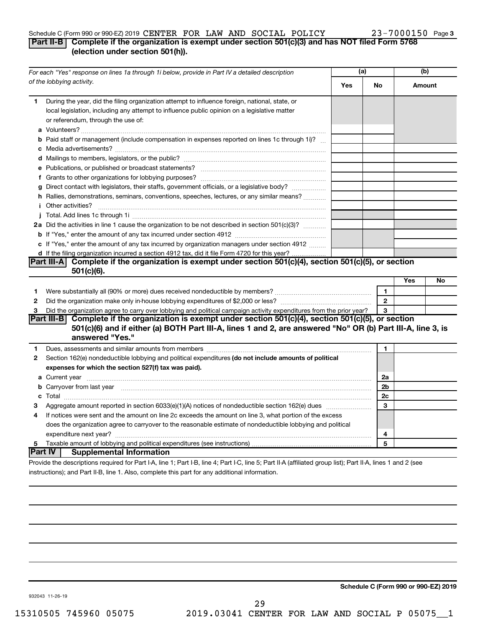# Schedule C (Form 990 or 990-EZ) 2019 CENTER FOR LAW AND SOCIAL POLICY  $23-7000150$  Page

# **Part II-B Complete if the organization is exempt under section 501(c)(3) and has NOT filed Form 5768 (election under section 501(h)).**

| For each "Yes" response on lines 1a through 1i below, provide in Part IV a detailed description |                                                                                                                                                                                                                                      |                | (a)          | (b) |        |
|-------------------------------------------------------------------------------------------------|--------------------------------------------------------------------------------------------------------------------------------------------------------------------------------------------------------------------------------------|----------------|--------------|-----|--------|
|                                                                                                 | of the lobbying activity.                                                                                                                                                                                                            | Yes            | No           |     | Amount |
| 1                                                                                               | During the year, did the filing organization attempt to influence foreign, national, state, or<br>local legislation, including any attempt to influence public opinion on a legislative matter<br>or referendum, through the use of: |                |              |     |        |
|                                                                                                 | <b>b</b> Paid staff or management (include compensation in expenses reported on lines 1c through 1i)?                                                                                                                                |                |              |     |        |
|                                                                                                 |                                                                                                                                                                                                                                      |                |              |     |        |
|                                                                                                 |                                                                                                                                                                                                                                      |                |              |     |        |
|                                                                                                 |                                                                                                                                                                                                                                      |                |              |     |        |
|                                                                                                 | g Direct contact with legislators, their staffs, government officials, or a legislative body?                                                                                                                                        |                |              |     |        |
|                                                                                                 | h Rallies, demonstrations, seminars, conventions, speeches, lectures, or any similar means?                                                                                                                                          |                |              |     |        |
|                                                                                                 | <b>i</b> Other activities?                                                                                                                                                                                                           |                |              |     |        |
|                                                                                                 |                                                                                                                                                                                                                                      |                |              |     |        |
|                                                                                                 | 2a Did the activities in line 1 cause the organization to be not described in section 501(c)(3)?                                                                                                                                     |                |              |     |        |
|                                                                                                 |                                                                                                                                                                                                                                      |                |              |     |        |
|                                                                                                 | c If "Yes," enter the amount of any tax incurred by organization managers under section 4912                                                                                                                                         |                |              |     |        |
|                                                                                                 | d If the filing organization incurred a section 4912 tax, did it file Form 4720 for this year?                                                                                                                                       |                |              |     |        |
|                                                                                                 | Part III-A Complete if the organization is exempt under section $501(c)(4)$ , section $501(c)(5)$ , or section                                                                                                                       |                |              |     |        |
|                                                                                                 | $501(c)(6)$ .                                                                                                                                                                                                                        |                |              |     |        |
|                                                                                                 |                                                                                                                                                                                                                                      |                |              | Yes | No     |
| 1                                                                                               |                                                                                                                                                                                                                                      |                | $\mathbf{1}$ |     |        |
| $\mathbf{2}$                                                                                    |                                                                                                                                                                                                                                      |                | $\mathbf{2}$ |     |        |
| 3                                                                                               | Did the organization agree to carry over lobbying and political campaign activity expenditures from the prior year?                                                                                                                  |                | 3            |     |        |
|                                                                                                 | Part III-B Complete if the organization is exempt under section 501(c)(4), section 501(c)(5), or section<br>501(c)(6) and if either (a) BOTH Part III-A, lines 1 and 2, are answered "No" OR (b) Part III-A, line 3, is              |                |              |     |        |
|                                                                                                 | answered "Yes."                                                                                                                                                                                                                      |                |              |     |        |
| 1.                                                                                              | Dues, assessments and similar amounts from members [111] Dues, assessments and similar members [11] Dues, assessments and similar amounts from members [11] Dues, assessments and similar amounts from members [11] Dues and S       |                | 1            |     |        |
| 2                                                                                               | Section 162(e) nondeductible lobbying and political expenditures (do not include amounts of political                                                                                                                                |                |              |     |        |
|                                                                                                 | expenses for which the section 527(f) tax was paid).                                                                                                                                                                                 |                |              |     |        |
|                                                                                                 |                                                                                                                                                                                                                                      | 2a             |              |     |        |
|                                                                                                 | b Carryover from last year manufactured and content to content the content of the content of the content of the content of the content of the content of the content of the content of the content of the content of the conte       | 2 <sub>b</sub> |              |     |        |
|                                                                                                 |                                                                                                                                                                                                                                      | 2c             |              |     |        |
| З                                                                                               |                                                                                                                                                                                                                                      |                | 3            |     |        |
| 4                                                                                               | If notices were sent and the amount on line 2c exceeds the amount on line 3, what portion of the excess                                                                                                                              |                |              |     |        |
|                                                                                                 | does the organization agree to carryover to the reasonable estimate of nondeductible lobbying and political                                                                                                                          |                |              |     |        |
|                                                                                                 |                                                                                                                                                                                                                                      |                | 4            |     |        |
| 5                                                                                               |                                                                                                                                                                                                                                      |                | 5            |     |        |
|                                                                                                 | ∣Part IV ⊺<br><b>Supplemental Information</b>                                                                                                                                                                                        |                |              |     |        |
|                                                                                                 | Provide the descriptions required for Part I-A, line 1; Part I-B, line 4; Part I-C, line 5; Part II-A (affiliated group list); Part II-A, lines 1 and 2 (see                                                                         |                |              |     |        |

instructions); and Part II-B, line 1. Also, complete this part for any additional information.

**Schedule C (Form 990 or 990-EZ) 2019**

932043 11-26-19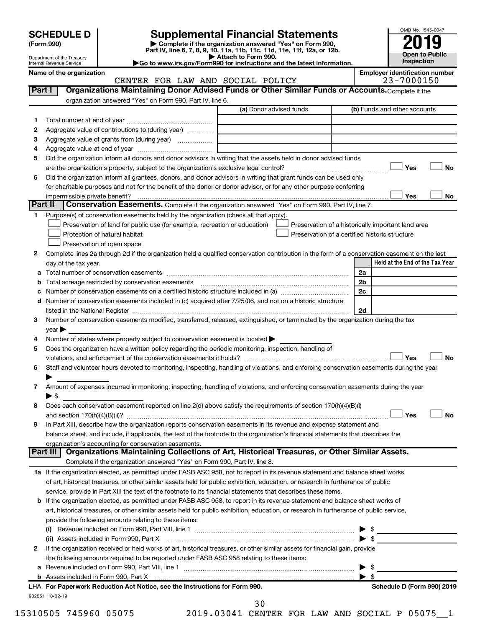Department of the Treasury Internal Revenue Service

| (Form 990) |  |
|------------|--|
|------------|--|

# **SCHEDULE D Supplemental Financial Statements**<br> **Form 990 2019**<br> **Part IV** line 6.7.8.9.10, 11a, 11b, 11d, 11d, 11d, 11d, 11d, 12a, 0r, 12b

**(Form 990) | Complete if the organization answered "Yes" on Form 990, Part IV, line 6, 7, 8, 9, 10, 11a, 11b, 11c, 11d, 11e, 11f, 12a, or 12b.**

**| Attach to Form 990. |Go to www.irs.gov/Form990 for instructions and the latest information.**



Name of the organization<br> **EMPLER FOR LAW AND SOCIAL POLICY** Employer identification number<br>
23-7000150 CENTER FOR LAW AND SOCIAL POLICY

| Part I       | Organizations Maintaining Donor Advised Funds or Other Similar Funds or Accounts. Complete if the                                                     |                                                |                         |                                                    |           |
|--------------|-------------------------------------------------------------------------------------------------------------------------------------------------------|------------------------------------------------|-------------------------|----------------------------------------------------|-----------|
|              | organization answered "Yes" on Form 990, Part IV, line 6.                                                                                             | (a) Donor advised funds                        |                         | (b) Funds and other accounts                       |           |
|              |                                                                                                                                                       |                                                |                         |                                                    |           |
| 1            |                                                                                                                                                       |                                                |                         |                                                    |           |
| $\mathbf{2}$ | Aggregate value of contributions to (during year)                                                                                                     |                                                |                         |                                                    |           |
| з            | Aggregate value of grants from (during year)                                                                                                          |                                                |                         |                                                    |           |
| 4            |                                                                                                                                                       |                                                |                         |                                                    |           |
| 5            | Did the organization inform all donors and donor advisors in writing that the assets held in donor advised funds                                      |                                                |                         |                                                    |           |
|              |                                                                                                                                                       |                                                |                         | Yes                                                | No        |
| 6            | Did the organization inform all grantees, donors, and donor advisors in writing that grant funds can be used only                                     |                                                |                         |                                                    |           |
|              | for charitable purposes and not for the benefit of the donor or donor advisor, or for any other purpose conferring                                    |                                                |                         |                                                    |           |
|              | impermissible private benefit?<br>Part II<br><b>Conservation Easements.</b> Complete if the organization answered "Yes" on Form 990, Part IV, line 7. |                                                |                         | Yes                                                | No        |
| 1.           | Purpose(s) of conservation easements held by the organization (check all that apply).                                                                 |                                                |                         |                                                    |           |
|              | Preservation of land for public use (for example, recreation or education)                                                                            |                                                |                         | Preservation of a historically important land area |           |
|              | Protection of natural habitat                                                                                                                         |                                                |                         | Preservation of a certified historic structure     |           |
|              | Preservation of open space                                                                                                                            |                                                |                         |                                                    |           |
| 2            | Complete lines 2a through 2d if the organization held a qualified conservation contribution in the form of a conservation easement on the last        |                                                |                         |                                                    |           |
|              | day of the tax year.                                                                                                                                  |                                                |                         | Held at the End of the Tax Year                    |           |
|              |                                                                                                                                                       |                                                | 2a                      |                                                    |           |
| b            | Total acreage restricted by conservation easements                                                                                                    |                                                | 2 <sub>b</sub>          |                                                    |           |
| с            | Number of conservation easements on a certified historic structure included in (a) manufacture included in (a)                                        |                                                | 2c                      |                                                    |           |
|              | d Number of conservation easements included in (c) acquired after 7/25/06, and not on a historic structure                                            |                                                |                         |                                                    |           |
|              |                                                                                                                                                       |                                                | 2d                      |                                                    |           |
|              | Number of conservation easements modified, transferred, released, extinguished, or terminated by the organization during the tax                      |                                                |                         |                                                    |           |
|              | $year \blacktriangleright$                                                                                                                            |                                                |                         |                                                    |           |
|              | Number of states where property subject to conservation easement is located >                                                                         |                                                |                         |                                                    |           |
| 4<br>5       | Does the organization have a written policy regarding the periodic monitoring, inspection, handling of                                                |                                                |                         |                                                    |           |
|              | violations, and enforcement of the conservation easements it holds?                                                                                   |                                                |                         | Yes                                                | <b>No</b> |
| 6            | Staff and volunteer hours devoted to monitoring, inspecting, handling of violations, and enforcing conservation easements during the year             |                                                |                         |                                                    |           |
|              |                                                                                                                                                       |                                                |                         |                                                    |           |
| 7            | Amount of expenses incurred in monitoring, inspecting, handling of violations, and enforcing conservation easements during the year                   |                                                |                         |                                                    |           |
|              | $\blacktriangleright$ \$                                                                                                                              |                                                |                         |                                                    |           |
| 8            | Does each conservation easement reported on line 2(d) above satisfy the requirements of section 170(h)(4)(B)(i)                                       |                                                |                         |                                                    |           |
|              |                                                                                                                                                       |                                                |                         | Yes                                                | <b>No</b> |
| 9            | In Part XIII, describe how the organization reports conservation easements in its revenue and expense statement and                                   |                                                |                         |                                                    |           |
|              | balance sheet, and include, if applicable, the text of the footnote to the organization's financial statements that describes the                     |                                                |                         |                                                    |           |
|              | organization's accounting for conservation easements.                                                                                                 |                                                |                         |                                                    |           |
|              | Organizations Maintaining Collections of Art, Historical Treasures, or Other Similar Assets.<br>Part III                                              |                                                |                         |                                                    |           |
|              | Complete if the organization answered "Yes" on Form 990, Part IV, line 8.                                                                             |                                                |                         |                                                    |           |
|              | 1a If the organization elected, as permitted under FASB ASC 958, not to report in its revenue statement and balance sheet works                       |                                                |                         |                                                    |           |
|              | of art, historical treasures, or other similar assets held for public exhibition, education, or research in furtherance of public                     |                                                |                         |                                                    |           |
|              | service, provide in Part XIII the text of the footnote to its financial statements that describes these items.                                        |                                                |                         |                                                    |           |
|              | b If the organization elected, as permitted under FASB ASC 958, to report in its revenue statement and balance sheet works of                         |                                                |                         |                                                    |           |
|              | art, historical treasures, or other similar assets held for public exhibition, education, or research in furtherance of public service,               |                                                |                         |                                                    |           |
|              | provide the following amounts relating to these items:                                                                                                |                                                |                         |                                                    |           |
|              |                                                                                                                                                       |                                                |                         |                                                    |           |
|              | (ii) Assets included in Form 990, Part X [11] Marson Marson Marson Marson Marson Marson Marson Marson Marson M                                        |                                                | $\blacktriangleright$ s |                                                    |           |
| 2            | If the organization received or held works of art, historical treasures, or other similar assets for financial gain, provide                          |                                                |                         |                                                    |           |
|              | the following amounts required to be reported under FASB ASC 958 relating to these items:                                                             |                                                |                         |                                                    |           |
|              |                                                                                                                                                       |                                                |                         |                                                    |           |
|              |                                                                                                                                                       |                                                | $\blacktriangleright$ s |                                                    |           |
|              | LHA For Paperwork Reduction Act Notice, see the Instructions for Form 990.                                                                            |                                                |                         | Schedule D (Form 990) 2019                         |           |
|              | 932051 10-02-19                                                                                                                                       |                                                |                         |                                                    |           |
|              |                                                                                                                                                       | 30                                             |                         |                                                    |           |
|              | 15310505 745960 05075                                                                                                                                 | 2019.03041 CENTER FOR LAW AND SOCIAL P 05075 1 |                         |                                                    |           |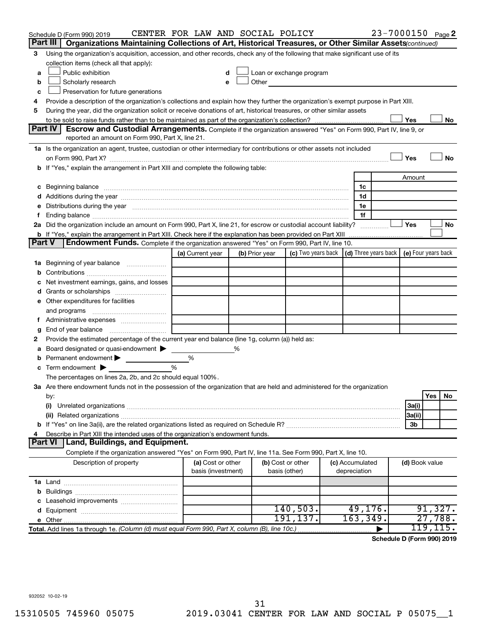|               | Schedule D (Form 990) 2019<br>Part III  <br>Organizations Maintaining Collections of Art, Historical Treasures, or Other Similar Assets(continued)                                                                             | CENTER FOR LAW AND SOCIAL POLICY |   |                |                                                                                                                                                                                                                                |                 | 23-7000150 Page 2 |                |           |    |
|---------------|--------------------------------------------------------------------------------------------------------------------------------------------------------------------------------------------------------------------------------|----------------------------------|---|----------------|--------------------------------------------------------------------------------------------------------------------------------------------------------------------------------------------------------------------------------|-----------------|-------------------|----------------|-----------|----|
|               |                                                                                                                                                                                                                                |                                  |   |                |                                                                                                                                                                                                                                |                 |                   |                |           |    |
| 3             | Using the organization's acquisition, accession, and other records, check any of the following that make significant use of its<br>collection items (check all that apply):                                                    |                                  |   |                |                                                                                                                                                                                                                                |                 |                   |                |           |    |
|               | Public exhibition                                                                                                                                                                                                              |                                  |   |                | Loan or exchange program                                                                                                                                                                                                       |                 |                   |                |           |    |
| a<br>b        | Scholarly research                                                                                                                                                                                                             | e                                |   |                | Other and the control of the control of the control of the control of the control of the control of the control of the control of the control of the control of the control of the control of the control of the control of th |                 |                   |                |           |    |
|               | Preservation for future generations                                                                                                                                                                                            |                                  |   |                |                                                                                                                                                                                                                                |                 |                   |                |           |    |
| с<br>4        | Provide a description of the organization's collections and explain how they further the organization's exempt purpose in Part XIII.                                                                                           |                                  |   |                |                                                                                                                                                                                                                                |                 |                   |                |           |    |
| 5             | During the year, did the organization solicit or receive donations of art, historical treasures, or other similar assets                                                                                                       |                                  |   |                |                                                                                                                                                                                                                                |                 |                   |                |           |    |
|               |                                                                                                                                                                                                                                |                                  |   |                |                                                                                                                                                                                                                                |                 |                   | Yes            |           | No |
|               | Part IV<br><b>Escrow and Custodial Arrangements.</b> Complete if the organization answered "Yes" on Form 990, Part IV, line 9, or                                                                                              |                                  |   |                |                                                                                                                                                                                                                                |                 |                   |                |           |    |
|               | reported an amount on Form 990, Part X, line 21.                                                                                                                                                                               |                                  |   |                |                                                                                                                                                                                                                                |                 |                   |                |           |    |
|               | 1a Is the organization an agent, trustee, custodian or other intermediary for contributions or other assets not included                                                                                                       |                                  |   |                |                                                                                                                                                                                                                                |                 |                   |                |           |    |
|               |                                                                                                                                                                                                                                |                                  |   |                |                                                                                                                                                                                                                                |                 |                   | Yes            |           | No |
|               | b If "Yes," explain the arrangement in Part XIII and complete the following table:                                                                                                                                             |                                  |   |                |                                                                                                                                                                                                                                |                 |                   |                |           |    |
|               |                                                                                                                                                                                                                                |                                  |   |                |                                                                                                                                                                                                                                |                 |                   | Amount         |           |    |
|               | c Beginning balance measurements and the contract of the contract of the contract of the contract of the contract of the contract of the contract of the contract of the contract of the contract of the contract of the contr |                                  |   |                |                                                                                                                                                                                                                                | 1c              |                   |                |           |    |
|               |                                                                                                                                                                                                                                |                                  |   |                |                                                                                                                                                                                                                                | 1d              |                   |                |           |    |
| е             | Distributions during the year manufactured and an account of the year manufactured and the year manufactured and the year manufactured and the year manufactured and the year manufactured and the year manufactured and the y |                                  |   |                |                                                                                                                                                                                                                                | 1e              |                   |                |           |    |
| f.            |                                                                                                                                                                                                                                |                                  |   |                |                                                                                                                                                                                                                                | 1f              |                   |                |           |    |
|               | 2a Did the organization include an amount on Form 990, Part X, line 21, for escrow or custodial account liability?                                                                                                             |                                  |   |                |                                                                                                                                                                                                                                |                 |                   | Yes            |           | No |
|               |                                                                                                                                                                                                                                |                                  |   |                |                                                                                                                                                                                                                                |                 |                   |                |           |    |
| <b>Part V</b> | Endowment Funds. Complete if the organization answered "Yes" on Form 990, Part IV, line 10.                                                                                                                                    |                                  |   |                |                                                                                                                                                                                                                                |                 |                   |                |           |    |
|               |                                                                                                                                                                                                                                | (a) Current year                 |   | (b) Prior year | (c) Two years back $\vert$ (d) Three years back $\vert$ (e) Four years back                                                                                                                                                    |                 |                   |                |           |    |
|               | <b>1a</b> Beginning of year balance                                                                                                                                                                                            |                                  |   |                |                                                                                                                                                                                                                                |                 |                   |                |           |    |
| b             |                                                                                                                                                                                                                                |                                  |   |                |                                                                                                                                                                                                                                |                 |                   |                |           |    |
| с             | Net investment earnings, gains, and losses                                                                                                                                                                                     |                                  |   |                |                                                                                                                                                                                                                                |                 |                   |                |           |    |
| d             | Grants or scholarships <i></i>                                                                                                                                                                                                 |                                  |   |                |                                                                                                                                                                                                                                |                 |                   |                |           |    |
|               | e Other expenditures for facilities                                                                                                                                                                                            |                                  |   |                |                                                                                                                                                                                                                                |                 |                   |                |           |    |
|               | and programs                                                                                                                                                                                                                   |                                  |   |                |                                                                                                                                                                                                                                |                 |                   |                |           |    |
|               | f Administrative expenses <i></i>                                                                                                                                                                                              |                                  |   |                |                                                                                                                                                                                                                                |                 |                   |                |           |    |
| g             | End of year balance <i>manually contained</i>                                                                                                                                                                                  |                                  |   |                |                                                                                                                                                                                                                                |                 |                   |                |           |    |
| 2             | Provide the estimated percentage of the current year end balance (line 1g, column (a)) held as:                                                                                                                                |                                  |   |                |                                                                                                                                                                                                                                |                 |                   |                |           |    |
| а             | Board designated or quasi-endowment                                                                                                                                                                                            |                                  | % |                |                                                                                                                                                                                                                                |                 |                   |                |           |    |
| b             | Permanent endowment                                                                                                                                                                                                            | %                                |   |                |                                                                                                                                                                                                                                |                 |                   |                |           |    |
| с             | Term endowment $\blacktriangleright$                                                                                                                                                                                           | %                                |   |                |                                                                                                                                                                                                                                |                 |                   |                |           |    |
|               | The percentages on lines 2a, 2b, and 2c should equal 100%.                                                                                                                                                                     |                                  |   |                |                                                                                                                                                                                                                                |                 |                   |                |           |    |
|               | 3a Are there endowment funds not in the possession of the organization that are held and administered for the organization                                                                                                     |                                  |   |                |                                                                                                                                                                                                                                |                 |                   |                |           |    |
|               | by:                                                                                                                                                                                                                            |                                  |   |                |                                                                                                                                                                                                                                |                 |                   |                | Yes       | No |
|               | (i)                                                                                                                                                                                                                            |                                  |   |                |                                                                                                                                                                                                                                |                 |                   | 3a(i)          |           |    |
|               |                                                                                                                                                                                                                                |                                  |   |                |                                                                                                                                                                                                                                |                 |                   | 3a(ii)         |           |    |
|               |                                                                                                                                                                                                                                |                                  |   |                |                                                                                                                                                                                                                                |                 |                   | 3b             |           |    |
| 4             | Describe in Part XIII the intended uses of the organization's endowment funds.                                                                                                                                                 |                                  |   |                |                                                                                                                                                                                                                                |                 |                   |                |           |    |
|               | Part VI   Land, Buildings, and Equipment.                                                                                                                                                                                      |                                  |   |                |                                                                                                                                                                                                                                |                 |                   |                |           |    |
|               | Complete if the organization answered "Yes" on Form 990, Part IV, line 11a. See Form 990, Part X, line 10.                                                                                                                     |                                  |   |                |                                                                                                                                                                                                                                |                 |                   |                |           |    |
|               | Description of property                                                                                                                                                                                                        | (a) Cost or other                |   |                | (b) Cost or other                                                                                                                                                                                                              | (c) Accumulated |                   | (d) Book value |           |    |
|               |                                                                                                                                                                                                                                | basis (investment)               |   |                | basis (other)                                                                                                                                                                                                                  | depreciation    |                   |                |           |    |
|               |                                                                                                                                                                                                                                |                                  |   |                |                                                                                                                                                                                                                                |                 |                   |                |           |    |
|               |                                                                                                                                                                                                                                |                                  |   |                |                                                                                                                                                                                                                                |                 |                   |                |           |    |
|               |                                                                                                                                                                                                                                |                                  |   |                |                                                                                                                                                                                                                                |                 |                   |                |           |    |
| d             |                                                                                                                                                                                                                                |                                  |   |                | 140,503.                                                                                                                                                                                                                       | 49, 176.        |                   |                | 91,327.   |    |
|               |                                                                                                                                                                                                                                |                                  |   |                | 191,137.                                                                                                                                                                                                                       | 163,349.        |                   |                | 27,788.   |    |
|               | Total. Add lines 1a through 1e. (Column (d) must equal Form 990, Part X, column (B), line 10c.)                                                                                                                                |                                  |   |                |                                                                                                                                                                                                                                |                 |                   |                | 119, 115. |    |
|               |                                                                                                                                                                                                                                |                                  |   |                |                                                                                                                                                                                                                                |                 |                   |                |           |    |

**Schedule D (Form 990) 2019**

932052 10-02-19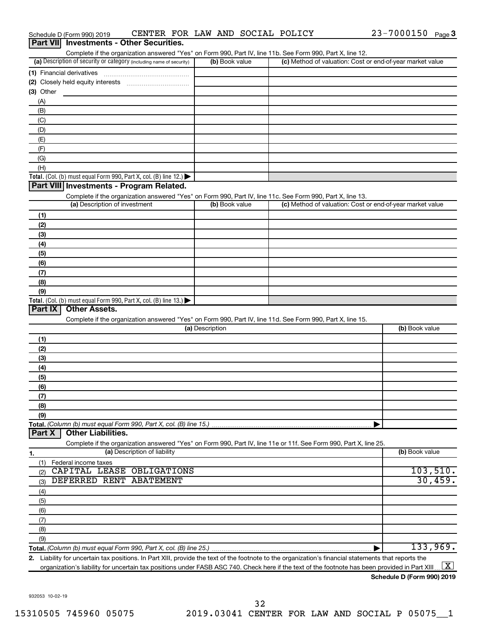|                  | Schedule D (Form 990) 2019                                                                                 |                              |                 |                | CENTER FOR LAW AND SOCIAL POLICY |                                                                                                                                                      | 23-7000150     | Page $3$ |
|------------------|------------------------------------------------------------------------------------------------------------|------------------------------|-----------------|----------------|----------------------------------|------------------------------------------------------------------------------------------------------------------------------------------------------|----------------|----------|
| <b>Part VIII</b> | <b>Investments - Other Securities.</b>                                                                     |                              |                 |                |                                  |                                                                                                                                                      |                |          |
|                  | Complete if the organization answered "Yes" on Form 990, Part IV, line 11b. See Form 990, Part X, line 12. |                              |                 |                |                                  |                                                                                                                                                      |                |          |
|                  | (a) Description of security or category (including name of security)                                       |                              |                 | (b) Book value |                                  | (c) Method of valuation: Cost or end-of-year market value                                                                                            |                |          |
|                  | (1) Financial derivatives                                                                                  |                              |                 |                |                                  |                                                                                                                                                      |                |          |
|                  |                                                                                                            |                              |                 |                |                                  |                                                                                                                                                      |                |          |
| (3) Other        |                                                                                                            |                              |                 |                |                                  |                                                                                                                                                      |                |          |
| (A)              |                                                                                                            |                              |                 |                |                                  |                                                                                                                                                      |                |          |
| (B)              |                                                                                                            |                              |                 |                |                                  |                                                                                                                                                      |                |          |
| (C)              |                                                                                                            |                              |                 |                |                                  |                                                                                                                                                      |                |          |
| (D)              |                                                                                                            |                              |                 |                |                                  |                                                                                                                                                      |                |          |
| (E)              |                                                                                                            |                              |                 |                |                                  |                                                                                                                                                      |                |          |
| (F)              |                                                                                                            |                              |                 |                |                                  |                                                                                                                                                      |                |          |
| (G)              |                                                                                                            |                              |                 |                |                                  |                                                                                                                                                      |                |          |
| (H)              |                                                                                                            |                              |                 |                |                                  |                                                                                                                                                      |                |          |
|                  | Total. (Col. (b) must equal Form 990, Part X, col. (B) line 12.)                                           |                              |                 |                |                                  |                                                                                                                                                      |                |          |
|                  | Part VIII Investments - Program Related.                                                                   |                              |                 |                |                                  |                                                                                                                                                      |                |          |
|                  | Complete if the organization answered "Yes" on Form 990, Part IV, line 11c. See Form 990, Part X, line 13. |                              |                 |                |                                  |                                                                                                                                                      |                |          |
|                  | (a) Description of investment                                                                              |                              |                 | (b) Book value |                                  | (c) Method of valuation: Cost or end-of-year market value                                                                                            |                |          |
| (1)              |                                                                                                            |                              |                 |                |                                  |                                                                                                                                                      |                |          |
| (2)              |                                                                                                            |                              |                 |                |                                  |                                                                                                                                                      |                |          |
| (3)              |                                                                                                            |                              |                 |                |                                  |                                                                                                                                                      |                |          |
| (4)              |                                                                                                            |                              |                 |                |                                  |                                                                                                                                                      |                |          |
| (5)              |                                                                                                            |                              |                 |                |                                  |                                                                                                                                                      |                |          |
| (6)              |                                                                                                            |                              |                 |                |                                  |                                                                                                                                                      |                |          |
| (7)              |                                                                                                            |                              |                 |                |                                  |                                                                                                                                                      |                |          |
| (8)              |                                                                                                            |                              |                 |                |                                  |                                                                                                                                                      |                |          |
| (9)              |                                                                                                            |                              |                 |                |                                  |                                                                                                                                                      |                |          |
|                  | Total. (Col. (b) must equal Form 990, Part X, col. (B) line 13.) $\blacktriangleright$                     |                              |                 |                |                                  |                                                                                                                                                      |                |          |
| Part IX          | <b>Other Assets.</b>                                                                                       |                              |                 |                |                                  |                                                                                                                                                      |                |          |
|                  | Complete if the organization answered "Yes" on Form 990, Part IV, line 11d. See Form 990, Part X, line 15. |                              |                 |                |                                  |                                                                                                                                                      |                |          |
|                  |                                                                                                            |                              | (a) Description |                |                                  |                                                                                                                                                      | (b) Book value |          |
| (1)              |                                                                                                            |                              |                 |                |                                  |                                                                                                                                                      |                |          |
| (2)              |                                                                                                            |                              |                 |                |                                  |                                                                                                                                                      |                |          |
| (3)              |                                                                                                            |                              |                 |                |                                  |                                                                                                                                                      |                |          |
|                  |                                                                                                            |                              |                 |                |                                  |                                                                                                                                                      |                |          |
| (4)              |                                                                                                            |                              |                 |                |                                  |                                                                                                                                                      |                |          |
| (5)              |                                                                                                            |                              |                 |                |                                  |                                                                                                                                                      |                |          |
| (6)              |                                                                                                            |                              |                 |                |                                  |                                                                                                                                                      |                |          |
| (7)              |                                                                                                            |                              |                 |                |                                  |                                                                                                                                                      |                |          |
| (8)              |                                                                                                            |                              |                 |                |                                  |                                                                                                                                                      |                |          |
| (9)              |                                                                                                            |                              |                 |                |                                  |                                                                                                                                                      |                |          |
| Part X           | Total. (Column (b) must equal Form 990, Part X, col. (B) line 15.)<br><b>Other Liabilities.</b>            |                              |                 |                |                                  |                                                                                                                                                      |                |          |
|                  |                                                                                                            |                              |                 |                |                                  |                                                                                                                                                      |                |          |
|                  |                                                                                                            | (a) Description of liability |                 |                |                                  | Complete if the organization answered "Yes" on Form 990, Part IV, line 11e or 11f. See Form 990, Part X, line 25.                                    | (b) Book value |          |
| 1.               |                                                                                                            |                              |                 |                |                                  |                                                                                                                                                      |                |          |
| (1)              | Federal income taxes<br>CAPITAL LEASE OBLIGATIONS                                                          |                              |                 |                |                                  |                                                                                                                                                      |                | 103,510. |
| (2)              | DEFERRED RENT ABATEMENT                                                                                    |                              |                 |                |                                  |                                                                                                                                                      |                | 30,459.  |
| (3)              |                                                                                                            |                              |                 |                |                                  |                                                                                                                                                      |                |          |
| (4)              |                                                                                                            |                              |                 |                |                                  |                                                                                                                                                      |                |          |
| (5)              |                                                                                                            |                              |                 |                |                                  |                                                                                                                                                      |                |          |
| (6)              |                                                                                                            |                              |                 |                |                                  |                                                                                                                                                      |                |          |
| (7)              |                                                                                                            |                              |                 |                |                                  |                                                                                                                                                      |                |          |
| (8)              |                                                                                                            |                              |                 |                |                                  |                                                                                                                                                      |                |          |
| (9)              |                                                                                                            |                              |                 |                |                                  |                                                                                                                                                      |                |          |
|                  |                                                                                                            |                              |                 |                |                                  |                                                                                                                                                      |                | 133,969. |
|                  |                                                                                                            |                              |                 |                |                                  | 2. Liability for uncertain tax positions. In Part XIII, provide the text of the footnote to the organization's financial statements that reports the |                |          |

organization's liability for uncertain tax positions under FASB ASC 740. Check here if the text of the footnote has been provided in Part XIII ...  $\fbox{\bf X}$ 

932053 10-02-19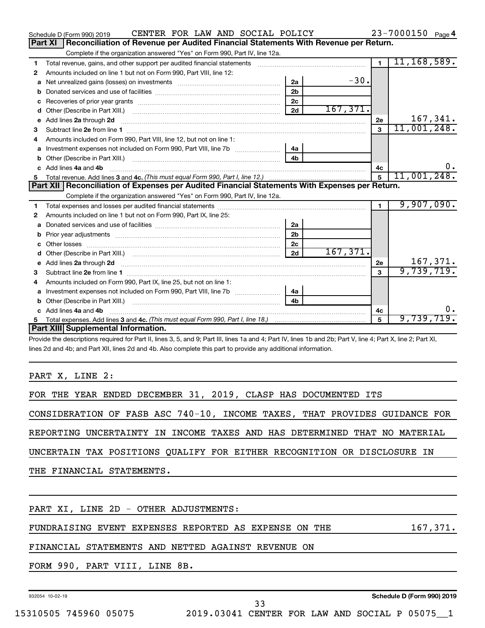|   | CENTER FOR LAW AND SOCIAL POLICY<br>Schedule D (Form 990) 2019                                                                                                                                                                      |                |          |                | $23 - 7000150$ Page 4 |
|---|-------------------------------------------------------------------------------------------------------------------------------------------------------------------------------------------------------------------------------------|----------------|----------|----------------|-----------------------|
|   | Part XI<br>Reconciliation of Revenue per Audited Financial Statements With Revenue per Return.                                                                                                                                      |                |          |                |                       |
|   | Complete if the organization answered "Yes" on Form 990, Part IV, line 12a.                                                                                                                                                         |                |          |                |                       |
| 1 | Total revenue, gains, and other support per audited financial statements                                                                                                                                                            |                |          | $\overline{1}$ | 11, 168, 589.         |
| 2 | Amounts included on line 1 but not on Form 990, Part VIII, line 12:                                                                                                                                                                 |                |          |                |                       |
| a |                                                                                                                                                                                                                                     | 2a             | $-30.$   |                |                       |
| b |                                                                                                                                                                                                                                     | 2 <sub>b</sub> |          |                |                       |
|   |                                                                                                                                                                                                                                     | 2 <sub>c</sub> |          |                |                       |
| d |                                                                                                                                                                                                                                     | 2d             | 167,371. |                |                       |
| e | Add lines 2a through 2d                                                                                                                                                                                                             |                |          | 2е             | 167,341.              |
| 3 |                                                                                                                                                                                                                                     |                |          | $\mathbf{3}$   | 11,001,248.           |
| 4 | Amounts included on Form 990, Part VIII, line 12, but not on line 1:                                                                                                                                                                |                |          |                |                       |
| a |                                                                                                                                                                                                                                     | 4a             |          |                |                       |
|   |                                                                                                                                                                                                                                     | 4 <sub>h</sub> |          |                |                       |
|   | c Add lines 4a and 4b                                                                                                                                                                                                               |                |          | 4с             | 0.                    |
|   |                                                                                                                                                                                                                                     |                |          | $5^{\circ}$    | 11,001,248.           |
|   | Part XII   Reconciliation of Expenses per Audited Financial Statements With Expenses per Return.                                                                                                                                    |                |          |                |                       |
|   | Complete if the organization answered "Yes" on Form 990, Part IV, line 12a.                                                                                                                                                         |                |          |                |                       |
| 1 |                                                                                                                                                                                                                                     |                |          |                |                       |
| 2 |                                                                                                                                                                                                                                     |                |          | $\blacksquare$ | 9,907,090.            |
|   | Amounts included on line 1 but not on Form 990, Part IX, line 25:                                                                                                                                                                   |                |          |                |                       |
| a |                                                                                                                                                                                                                                     | 2a             |          |                |                       |
| b |                                                                                                                                                                                                                                     | 2 <sub>b</sub> |          |                |                       |
|   | Prior year adjustments [1111] Prior year adjustments [111] Masseum Masseum Masseum Masseum Masseum Masseum Mas<br>Other losses                                                                                                      | 2 <sub>c</sub> |          |                |                       |
| d |                                                                                                                                                                                                                                     | 2d             | 167,371. |                |                       |
| e |                                                                                                                                                                                                                                     |                |          | 2e             | 167,371.              |
| з | Add lines 2a through 2d <b>contained a contained a contained a contained a</b> contained a contact the set of the set of the set of the set of the set of the set of the set of the set of the set of the set of the set of the set |                |          | 3              | 9,739,719.            |
|   | Amounts included on Form 990, Part IX, line 25, but not on line 1:                                                                                                                                                                  |                |          |                |                       |
| a |                                                                                                                                                                                                                                     | 4a             |          |                |                       |
| b |                                                                                                                                                                                                                                     | 4 <sub>b</sub> |          |                |                       |
|   | Add lines 4a and 4b                                                                                                                                                                                                                 |                |          | 4с             | о.                    |
| 5 |                                                                                                                                                                                                                                     |                |          | $\mathbf{5}$   | <u>9,739,719.</u>     |
|   | Part XIII Supplemental Information.                                                                                                                                                                                                 |                |          |                |                       |

Provide the descriptions required for Part II, lines 3, 5, and 9; Part III, lines 1a and 4; Part IV, lines 1b and 2b; Part V, line 4; Part X, line 2; Part XI, lines 2d and 4b; and Part XII, lines 2d and 4b. Also complete this part to provide any additional information.

PART X, LINE 2:

FOR THE YEAR ENDED DECEMBER 31, 2019, CLASP HAS DOCUMENTED ITS

CONSIDERATION OF FASB ASC 740-10, INCOME TAXES, THAT PROVIDES GUIDANCE FOR

REPORTING UNCERTAINTY IN INCOME TAXES AND HAS DETERMINED THAT NO MATERIAL

UNCERTAIN TAX POSITIONS QUALIFY FOR EITHER RECOGNITION OR DISCLOSURE IN

THE FINANCIAL STATEMENTS.

PART XI, LINE 2D - OTHER ADJUSTMENTS:

FUNDRAISING EVENT EXPENSES REPORTED AS EXPENSE ON THE 167,371.

FINANCIAL STATEMENTS AND NETTED AGAINST REVENUE ON

FORM 990, PART VIII, LINE 8B.

932054 10-02-19

33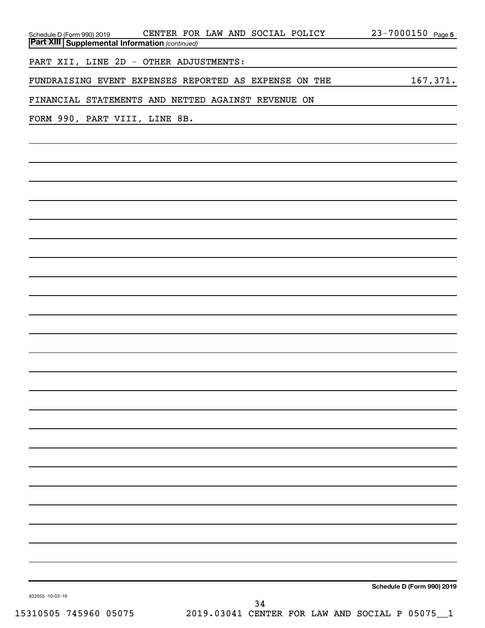| CENTER FOR LAW AND SOCIAL POLICY<br>Schedule D (Form 990) 2019 CENTER FOR<br><b>Part XIII</b> Supplemental Information (continued) | $23 - 7000150$ Page 5      |
|------------------------------------------------------------------------------------------------------------------------------------|----------------------------|
|                                                                                                                                    |                            |
| PART XII, LINE 2D - OTHER ADJUSTMENTS:                                                                                             |                            |
| FUNDRAISING EVENT EXPENSES REPORTED AS EXPENSE ON THE                                                                              | 167, 371.                  |
| FINANCIAL STATEMENTS AND NETTED AGAINST REVENUE ON                                                                                 |                            |
| FORM 990, PART VIII, LINE 8B.                                                                                                      |                            |
|                                                                                                                                    |                            |
|                                                                                                                                    |                            |
|                                                                                                                                    |                            |
|                                                                                                                                    |                            |
|                                                                                                                                    |                            |
|                                                                                                                                    |                            |
|                                                                                                                                    |                            |
|                                                                                                                                    |                            |
|                                                                                                                                    |                            |
|                                                                                                                                    |                            |
|                                                                                                                                    |                            |
|                                                                                                                                    |                            |
|                                                                                                                                    |                            |
|                                                                                                                                    |                            |
|                                                                                                                                    |                            |
|                                                                                                                                    |                            |
|                                                                                                                                    |                            |
|                                                                                                                                    |                            |
|                                                                                                                                    |                            |
|                                                                                                                                    |                            |
|                                                                                                                                    |                            |
|                                                                                                                                    |                            |
|                                                                                                                                    |                            |
|                                                                                                                                    |                            |
|                                                                                                                                    | Schedule D (Form 990) 2019 |
| 932055 10-02-19<br>34                                                                                                              |                            |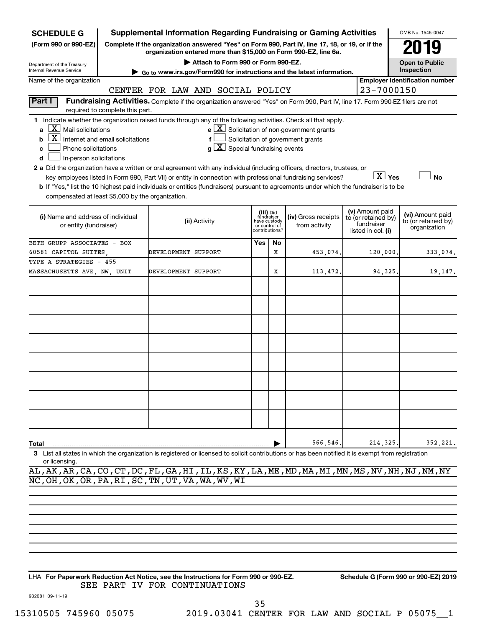| <b>SCHEDULE G</b>                                                                                                                                                                                                                                                                 |                                                                                                                                                                                                                                                                                                                                                                                                                                                                                                                                                                                                                                                                                                                                                                                                                                                                                                                                   |                                  |  |                                    |     |    | Supplemental Information Regarding Fundraising or Gaming Activities                                                                                                 |  |                                                         |  | OMB No. 1545-0047                     |
|-----------------------------------------------------------------------------------------------------------------------------------------------------------------------------------------------------------------------------------------------------------------------------------|-----------------------------------------------------------------------------------------------------------------------------------------------------------------------------------------------------------------------------------------------------------------------------------------------------------------------------------------------------------------------------------------------------------------------------------------------------------------------------------------------------------------------------------------------------------------------------------------------------------------------------------------------------------------------------------------------------------------------------------------------------------------------------------------------------------------------------------------------------------------------------------------------------------------------------------|----------------------------------|--|------------------------------------|-----|----|---------------------------------------------------------------------------------------------------------------------------------------------------------------------|--|---------------------------------------------------------|--|---------------------------------------|
| (Form 990 or 990-EZ)                                                                                                                                                                                                                                                              |                                                                                                                                                                                                                                                                                                                                                                                                                                                                                                                                                                                                                                                                                                                                                                                                                                                                                                                                   |                                  |  |                                    |     |    | Complete if the organization answered "Yes" on Form 990, Part IV, line 17, 18, or 19, or if the<br>organization entered more than \$15,000 on Form 990-EZ, line 6a. |  |                                                         |  |                                       |
| Department of the Treasury                                                                                                                                                                                                                                                        |                                                                                                                                                                                                                                                                                                                                                                                                                                                                                                                                                                                                                                                                                                                                                                                                                                                                                                                                   |                                  |  | Attach to Form 990 or Form 990-EZ. |     |    |                                                                                                                                                                     |  |                                                         |  | <b>Open to Public</b>                 |
| Internal Revenue Service                                                                                                                                                                                                                                                          |                                                                                                                                                                                                                                                                                                                                                                                                                                                                                                                                                                                                                                                                                                                                                                                                                                                                                                                                   |                                  |  |                                    |     |    | Go to www.irs.gov/Form990 for instructions and the latest information.                                                                                              |  |                                                         |  | Inspection                            |
| Name of the organization                                                                                                                                                                                                                                                          |                                                                                                                                                                                                                                                                                                                                                                                                                                                                                                                                                                                                                                                                                                                                                                                                                                                                                                                                   | CENTER FOR LAW AND SOCIAL POLICY |  |                                    |     |    |                                                                                                                                                                     |  | 23-7000150                                              |  | <b>Employer identification number</b> |
| Part I                                                                                                                                                                                                                                                                            |                                                                                                                                                                                                                                                                                                                                                                                                                                                                                                                                                                                                                                                                                                                                                                                                                                                                                                                                   |                                  |  |                                    |     |    | Fundraising Activities. Complete if the organization answered "Yes" on Form 990, Part IV, line 17. Form 990-EZ filers are not                                       |  |                                                         |  |                                       |
|                                                                                                                                                                                                                                                                                   | required to complete this part.                                                                                                                                                                                                                                                                                                                                                                                                                                                                                                                                                                                                                                                                                                                                                                                                                                                                                                   |                                  |  |                                    |     |    |                                                                                                                                                                     |  |                                                         |  |                                       |
| b<br>c<br>d                                                                                                                                                                                                                                                                       | 1 Indicate whether the organization raised funds through any of the following activities. Check all that apply.<br>$ \mathbf{X} $ Mail solicitations<br>$e$ $\boxed{\text{X}}$ Solicitation of non-government grants<br>$ \mathbf{X} $ Internet and email solicitations<br>Solicitation of government grants<br>f<br>$g\left[\frac{\mathbf{X}}{\mathbf{X}}\right]$ Special fundraising events<br>Phone solicitations<br>In-person solicitations<br>2 a Did the organization have a written or oral agreement with any individual (including officers, directors, trustees, or<br>$\boxed{\text{X}}$ Yes<br><b>No</b><br>key employees listed in Form 990, Part VII) or entity in connection with professional fundraising services?<br>b If "Yes," list the 10 highest paid individuals or entities (fundraisers) pursuant to agreements under which the fundraiser is to be<br>compensated at least \$5,000 by the organization. |                                  |  |                                    |     |    |                                                                                                                                                                     |  |                                                         |  |                                       |
| (v) Amount paid<br>(iii) Did<br>(i) Name and address of individual<br>(iv) Gross receipts<br>fundraiser<br>to (or retained by)<br>(ii) Activity<br>have custody<br>fundraiser<br>or entity (fundraiser)<br>from activity<br>or control of<br>contributions?<br>listed in col. (i) |                                                                                                                                                                                                                                                                                                                                                                                                                                                                                                                                                                                                                                                                                                                                                                                                                                                                                                                                   |                                  |  |                                    |     |    |                                                                                                                                                                     |  | (vi) Amount paid<br>to (or retained by)<br>organization |  |                                       |
| BETH GRUPP ASSOCIATES - BOX                                                                                                                                                                                                                                                       |                                                                                                                                                                                                                                                                                                                                                                                                                                                                                                                                                                                                                                                                                                                                                                                                                                                                                                                                   |                                  |  |                                    | Yes | No |                                                                                                                                                                     |  |                                                         |  |                                       |
| 60581 CAPITOL SUITES                                                                                                                                                                                                                                                              |                                                                                                                                                                                                                                                                                                                                                                                                                                                                                                                                                                                                                                                                                                                                                                                                                                                                                                                                   | DEVELOPMENT SUPPORT              |  |                                    |     | x  | 453,074.                                                                                                                                                            |  | 120,000                                                 |  | 333,074.                              |
| TYPE A STRATEGIES - 455                                                                                                                                                                                                                                                           |                                                                                                                                                                                                                                                                                                                                                                                                                                                                                                                                                                                                                                                                                                                                                                                                                                                                                                                                   |                                  |  |                                    |     |    |                                                                                                                                                                     |  |                                                         |  |                                       |
| MASSACHUSETTS AVE, NW, UNIT                                                                                                                                                                                                                                                       |                                                                                                                                                                                                                                                                                                                                                                                                                                                                                                                                                                                                                                                                                                                                                                                                                                                                                                                                   | DEVELOPMENT SUPPORT              |  |                                    |     | Х  | 113,472.                                                                                                                                                            |  | 94,325                                                  |  | 19,147.                               |
|                                                                                                                                                                                                                                                                                   |                                                                                                                                                                                                                                                                                                                                                                                                                                                                                                                                                                                                                                                                                                                                                                                                                                                                                                                                   |                                  |  |                                    |     |    |                                                                                                                                                                     |  |                                                         |  |                                       |
|                                                                                                                                                                                                                                                                                   |                                                                                                                                                                                                                                                                                                                                                                                                                                                                                                                                                                                                                                                                                                                                                                                                                                                                                                                                   |                                  |  |                                    |     |    |                                                                                                                                                                     |  |                                                         |  |                                       |
|                                                                                                                                                                                                                                                                                   |                                                                                                                                                                                                                                                                                                                                                                                                                                                                                                                                                                                                                                                                                                                                                                                                                                                                                                                                   |                                  |  |                                    |     |    |                                                                                                                                                                     |  |                                                         |  |                                       |
|                                                                                                                                                                                                                                                                                   |                                                                                                                                                                                                                                                                                                                                                                                                                                                                                                                                                                                                                                                                                                                                                                                                                                                                                                                                   |                                  |  |                                    |     |    |                                                                                                                                                                     |  |                                                         |  |                                       |
|                                                                                                                                                                                                                                                                                   |                                                                                                                                                                                                                                                                                                                                                                                                                                                                                                                                                                                                                                                                                                                                                                                                                                                                                                                                   |                                  |  |                                    |     |    |                                                                                                                                                                     |  |                                                         |  |                                       |
|                                                                                                                                                                                                                                                                                   |                                                                                                                                                                                                                                                                                                                                                                                                                                                                                                                                                                                                                                                                                                                                                                                                                                                                                                                                   |                                  |  |                                    |     |    |                                                                                                                                                                     |  |                                                         |  |                                       |
|                                                                                                                                                                                                                                                                                   |                                                                                                                                                                                                                                                                                                                                                                                                                                                                                                                                                                                                                                                                                                                                                                                                                                                                                                                                   |                                  |  |                                    |     |    |                                                                                                                                                                     |  |                                                         |  |                                       |
|                                                                                                                                                                                                                                                                                   |                                                                                                                                                                                                                                                                                                                                                                                                                                                                                                                                                                                                                                                                                                                                                                                                                                                                                                                                   |                                  |  |                                    |     |    |                                                                                                                                                                     |  |                                                         |  |                                       |
|                                                                                                                                                                                                                                                                                   |                                                                                                                                                                                                                                                                                                                                                                                                                                                                                                                                                                                                                                                                                                                                                                                                                                                                                                                                   |                                  |  |                                    |     |    |                                                                                                                                                                     |  |                                                         |  |                                       |
|                                                                                                                                                                                                                                                                                   |                                                                                                                                                                                                                                                                                                                                                                                                                                                                                                                                                                                                                                                                                                                                                                                                                                                                                                                                   |                                  |  |                                    |     |    |                                                                                                                                                                     |  |                                                         |  |                                       |
|                                                                                                                                                                                                                                                                                   |                                                                                                                                                                                                                                                                                                                                                                                                                                                                                                                                                                                                                                                                                                                                                                                                                                                                                                                                   |                                  |  |                                    |     |    |                                                                                                                                                                     |  |                                                         |  |                                       |
|                                                                                                                                                                                                                                                                                   |                                                                                                                                                                                                                                                                                                                                                                                                                                                                                                                                                                                                                                                                                                                                                                                                                                                                                                                                   |                                  |  |                                    |     |    |                                                                                                                                                                     |  |                                                         |  |                                       |
|                                                                                                                                                                                                                                                                                   |                                                                                                                                                                                                                                                                                                                                                                                                                                                                                                                                                                                                                                                                                                                                                                                                                                                                                                                                   |                                  |  |                                    |     |    |                                                                                                                                                                     |  |                                                         |  |                                       |
| Total                                                                                                                                                                                                                                                                             |                                                                                                                                                                                                                                                                                                                                                                                                                                                                                                                                                                                                                                                                                                                                                                                                                                                                                                                                   |                                  |  |                                    |     |    | 566,546.                                                                                                                                                            |  | 214,325                                                 |  | 352,221.                              |
| 3 List all states in which the organization is registered or licensed to solicit contributions or has been notified it is exempt from registration<br>or licensing.                                                                                                               |                                                                                                                                                                                                                                                                                                                                                                                                                                                                                                                                                                                                                                                                                                                                                                                                                                                                                                                                   |                                  |  |                                    |     |    |                                                                                                                                                                     |  |                                                         |  |                                       |

AL,AK,AR,CA,CO,CT,DC,FL,GA,HI,IL,KS,KY,LA,ME,MD,MA,MI,MN,MS,NV,NH,NJ,NM,NY NC,OH,OK,OR,PA,RI,SC,TN,UT,VA,WA,WV,WI

**For Paperwork Reduction Act Notice, see the Instructions for Form 990 or 990-EZ. Schedule G (Form 990 or 990-EZ) 2019** LHA SEE PART IV FOR CONTINUATIONS

932081 09-11-19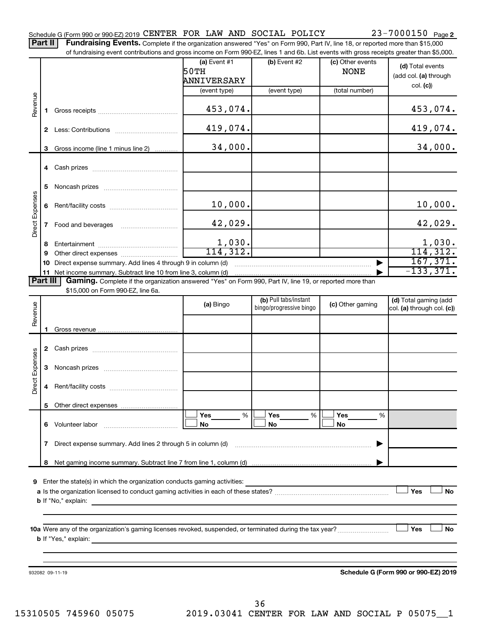Complete if the organization answered "Yes" on Form 990, Part IV, line 18, or reported more than \$15,000 of fundraising event contributions and gross income on Form 990-EZ, lines 1 and 6b. List events with gross receipts greater than \$5,000. **Part II Fundraising Events.**

|                        |              | of fundraising event contributions and gross income on Form 990-EZ, lines T and 6D. List events with gross receipts greater than \$5,000.                                                                                                 |                        |                                                  |                                 |                                                     |
|------------------------|--------------|-------------------------------------------------------------------------------------------------------------------------------------------------------------------------------------------------------------------------------------------|------------------------|--------------------------------------------------|---------------------------------|-----------------------------------------------------|
|                        |              |                                                                                                                                                                                                                                           | (a) Event $#1$<br>50TH | $(b)$ Event #2                                   | (c) Other events<br><b>NONE</b> | (d) Total events<br>(add col. (a) through           |
|                        |              |                                                                                                                                                                                                                                           | ANNIVERSARY            |                                                  | (total number)                  | col. (c)                                            |
|                        |              |                                                                                                                                                                                                                                           | (event type)           | (event type)                                     |                                 |                                                     |
| Revenue                |              |                                                                                                                                                                                                                                           | 453,074.               |                                                  |                                 | 453,074.                                            |
|                        |              |                                                                                                                                                                                                                                           | 419,074.               |                                                  |                                 | 419,074.                                            |
|                        | 3            | Gross income (line 1 minus line 2)                                                                                                                                                                                                        | 34,000.                |                                                  |                                 | 34,000.                                             |
|                        |              |                                                                                                                                                                                                                                           |                        |                                                  |                                 |                                                     |
|                        | 5            |                                                                                                                                                                                                                                           |                        |                                                  |                                 |                                                     |
|                        | 6.           |                                                                                                                                                                                                                                           | 10,000.                |                                                  |                                 | 10,000.                                             |
| Direct Expenses        | $\mathbf{7}$ | Food and beverages                                                                                                                                                                                                                        | 42,029.                |                                                  |                                 | 42,029.                                             |
|                        | 8            |                                                                                                                                                                                                                                           | 1,030.                 |                                                  |                                 | 1,030.                                              |
|                        | 9            |                                                                                                                                                                                                                                           | 114, 312.              |                                                  |                                 | 114, 312.                                           |
|                        |              | 10 Direct expense summary. Add lines 4 through 9 in column (d)                                                                                                                                                                            |                        |                                                  |                                 | 167,371.                                            |
| <b>Part III</b>        |              | 11 Net income summary. Subtract line 10 from line 3, column (d)<br>Gaming. Complete if the organization answered "Yes" on Form 990, Part IV, line 19, or reported more than                                                               |                        |                                                  |                                 | $-133, 371.$                                        |
|                        |              | \$15,000 on Form 990-EZ, line 6a.                                                                                                                                                                                                         |                        |                                                  |                                 |                                                     |
| Revenue                |              |                                                                                                                                                                                                                                           | (a) Bingo              | (b) Pull tabs/instant<br>bingo/progressive bingo | (c) Other gaming                | (d) Total gaming (add<br>col. (a) through col. (c)) |
|                        | 1.           |                                                                                                                                                                                                                                           |                        |                                                  |                                 |                                                     |
|                        |              |                                                                                                                                                                                                                                           |                        |                                                  |                                 |                                                     |
|                        | 3            |                                                                                                                                                                                                                                           |                        |                                                  |                                 |                                                     |
| <b>Direct Expenses</b> | 4            |                                                                                                                                                                                                                                           |                        |                                                  |                                 |                                                     |
|                        |              |                                                                                                                                                                                                                                           |                        |                                                  |                                 |                                                     |
|                        |              |                                                                                                                                                                                                                                           |                        |                                                  |                                 |                                                     |
|                        |              |                                                                                                                                                                                                                                           | Yes<br>%               | Yes<br>%                                         | Yes<br>%                        |                                                     |
|                        |              |                                                                                                                                                                                                                                           | No                     | No                                               | No                              |                                                     |
|                        | 7            | Direct expense summary. Add lines 2 through 5 in column (d)                                                                                                                                                                               |                        |                                                  |                                 |                                                     |
|                        | 8            |                                                                                                                                                                                                                                           |                        |                                                  |                                 |                                                     |
|                        |              |                                                                                                                                                                                                                                           |                        |                                                  |                                 |                                                     |
|                        |              | 9 Enter the state(s) in which the organization conducts gaming activities:                                                                                                                                                                |                        |                                                  |                                 |                                                     |
|                        |              |                                                                                                                                                                                                                                           |                        |                                                  |                                 | Yes<br>No                                           |
|                        |              | <b>b</b> If "No," explain: <u>And a set of the set of the set of the set of the set of the set of the set of the set of the set of the set of the set of the set of the set of the set of the set of the set of the set of the set of</u> |                        |                                                  |                                 |                                                     |
|                        |              |                                                                                                                                                                                                                                           |                        |                                                  |                                 |                                                     |
|                        |              | <b>b</b> If "Yes," explain: <u>All and the set of the set of the set of the set of the set of the set of the set of the set of the set of the set of the set of the set of the set of the set of the set of the set of the set of the</u> |                        |                                                  |                                 | Yes<br>No                                           |
|                        |              |                                                                                                                                                                                                                                           |                        |                                                  |                                 |                                                     |
|                        |              |                                                                                                                                                                                                                                           |                        |                                                  |                                 |                                                     |
|                        |              |                                                                                                                                                                                                                                           |                        |                                                  |                                 |                                                     |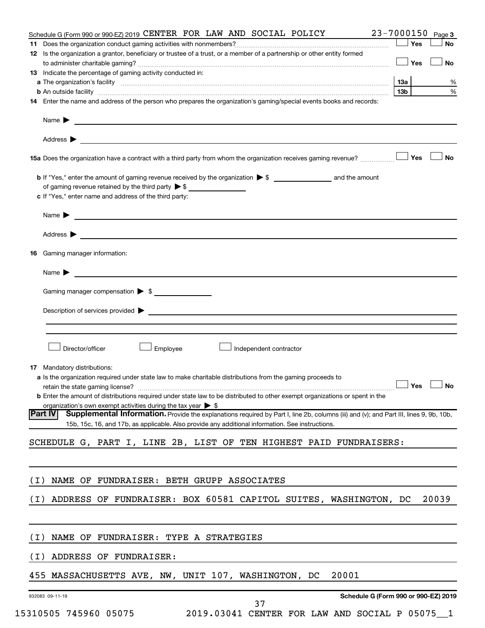|       | Schedule G (Form 990 or 990-EZ) 2019 CENTER FOR LAW AND SOCIAL POLICY                                                                                         | $23 - 7000150$ Page 3 |       |
|-------|---------------------------------------------------------------------------------------------------------------------------------------------------------------|-----------------------|-------|
|       |                                                                                                                                                               | ∣ Yes                 | No    |
|       | 12 Is the organization a grantor, beneficiary or trustee of a trust, or a member of a partnership or other entity formed                                      |                       |       |
|       |                                                                                                                                                               | — │ Yes               | No    |
|       | 13 Indicate the percentage of gaming activity conducted in:                                                                                                   |                       |       |
|       |                                                                                                                                                               | 1За                   | %     |
|       | <b>b</b> An outside facility <i>www.communicality www.communicality.communicality www.communicality www.communicality.communicality www.communicality.com</i> | 13b                   | $\%$  |
|       | 14 Enter the name and address of the person who prepares the organization's gaming/special events books and records:                                          |                       |       |
|       | Name $\blacktriangleright$<br><u> 1989 - Johann Stoff, amerikansk politiker (d. 1989)</u>                                                                     |                       |       |
|       | Address $\blacktriangleright$                                                                                                                                 |                       |       |
|       | 15a Does the organization have a contract with a third party from whom the organization receives gaming revenue?                                              | Yes                   | No    |
|       |                                                                                                                                                               |                       |       |
|       | of gaming revenue retained by the third party $\triangleright$ \$                                                                                             |                       |       |
|       | c If "Yes," enter name and address of the third party:                                                                                                        |                       |       |
|       | Name $\blacktriangleright$                                                                                                                                    |                       |       |
|       | Address $\blacktriangleright$                                                                                                                                 |                       |       |
| 16    | Gaming manager information:                                                                                                                                   |                       |       |
|       |                                                                                                                                                               |                       |       |
|       | Name $\blacktriangleright$<br><u> Anglický architekt (* 1858)</u>                                                                                             |                       |       |
|       | Gaming manager compensation > \$                                                                                                                              |                       |       |
|       |                                                                                                                                                               |                       |       |
|       |                                                                                                                                                               |                       |       |
|       |                                                                                                                                                               |                       |       |
|       | Director/officer<br>Employee<br>Independent contractor                                                                                                        |                       |       |
|       |                                                                                                                                                               |                       |       |
|       | 17 Mandatory distributions:                                                                                                                                   |                       |       |
|       | a Is the organization required under state law to make charitable distributions from the gaming proceeds to                                                   | $\Box$ Yes $\Box$ No  |       |
|       | <b>b</b> Enter the amount of distributions required under state law to be distributed to other exempt organizations or spent in the                           |                       |       |
|       | organization's own exempt activities during the tax year $\triangleright$ \$                                                                                  |                       |       |
|       | Part IV<br>Supplemental Information. Provide the explanations required by Part I, line 2b, columns (iii) and (v); and Part III, lines 9, 9b, 10b,             |                       |       |
|       | 15b, 15c, 16, and 17b, as applicable. Also provide any additional information. See instructions.                                                              |                       |       |
|       |                                                                                                                                                               |                       |       |
|       | SCHEDULE G, PART I, LINE 2B, LIST OF TEN HIGHEST PAID FUNDRAISERS:                                                                                            |                       |       |
|       |                                                                                                                                                               |                       |       |
| ( I ) | NAME OF FUNDRAISER: BETH GRUPP ASSOCIATES                                                                                                                     |                       |       |
|       |                                                                                                                                                               |                       |       |
| ( I ) | ADDRESS OF FUNDRAISER: BOX 60581 CAPITOL SUITES, WASHINGTON, DC                                                                                               |                       | 20039 |
|       |                                                                                                                                                               |                       |       |
| ( I ) | <b>NAME</b><br>OF FUNDRAISER: TYPE A STRATEGIES                                                                                                               |                       |       |
|       |                                                                                                                                                               |                       |       |
| ( I ) | ADDRESS OF FUNDRAISER:                                                                                                                                        |                       |       |
| 455   | 20001<br>MASSACHUSETTS AVE, NW, UNIT 107, WASHINGTON,<br>DC                                                                                                   |                       |       |
|       | Schedule G (Form 990 or 990-EZ) 2019<br>932083 09-11-19                                                                                                       |                       |       |
|       | 37                                                                                                                                                            |                       |       |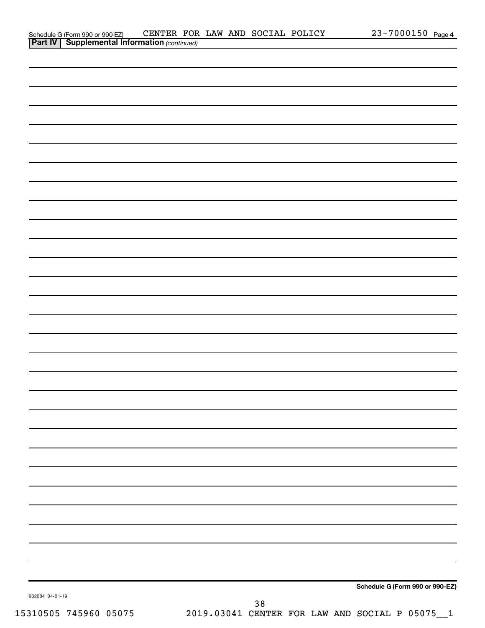|                | Schedule G (Form 990 or 990-EZ)             | CENTER | <b>FOR</b> | LAW | AND SOCIAL | POLICY | 7000150<br>- - | Page 4 |
|----------------|---------------------------------------------|--------|------------|-----|------------|--------|----------------|--------|
| <b>Part IV</b> | <b>Supplemental Information (continued)</b> |        |            |     |            |        |                |        |

|                 |    | Schedule G (Form 990 or 990-EZ) |
|-----------------|----|---------------------------------|
| 932084 04-01-19 | 20 |                                 |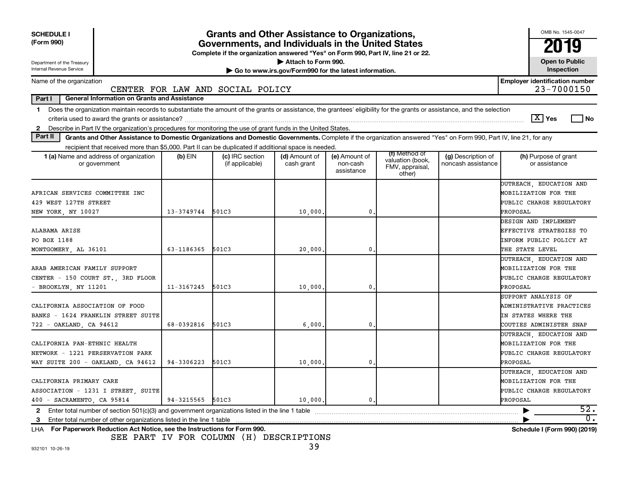| <b>SCHEDULE I</b><br>(Form 990)                                                                                                                                                                                                                                           |                  | <b>Grants and Other Assistance to Organizations,</b><br>Governments, and Individuals in the United States<br>Complete if the organization answered "Yes" on Form 990, Part IV, line 21 or 22. |                                                                              |                                         |                                                                |                                          | OMB No. 1545-0047<br>2019                                                                            |
|---------------------------------------------------------------------------------------------------------------------------------------------------------------------------------------------------------------------------------------------------------------------------|------------------|-----------------------------------------------------------------------------------------------------------------------------------------------------------------------------------------------|------------------------------------------------------------------------------|-----------------------------------------|----------------------------------------------------------------|------------------------------------------|------------------------------------------------------------------------------------------------------|
| Department of the Treasury<br>Internal Revenue Service                                                                                                                                                                                                                    |                  |                                                                                                                                                                                               | Attach to Form 990.<br>Go to www.irs.gov/Form990 for the latest information. |                                         |                                                                |                                          | <b>Open to Public</b><br>Inspection                                                                  |
| Name of the organization                                                                                                                                                                                                                                                  |                  | CENTER FOR LAW AND SOCIAL POLICY                                                                                                                                                              |                                                                              |                                         |                                                                |                                          | <b>Employer identification number</b><br>23-7000150                                                  |
| Part I<br><b>General Information on Grants and Assistance</b>                                                                                                                                                                                                             |                  |                                                                                                                                                                                               |                                                                              |                                         |                                                                |                                          |                                                                                                      |
| Does the organization maintain records to substantiate the amount of the grants or assistance, the grantees' eligibility for the grants or assistance, and the selection<br>1.                                                                                            |                  |                                                                                                                                                                                               |                                                                              |                                         |                                                                |                                          | $ \mathbf{X} $ Yes<br>l No                                                                           |
| Describe in Part IV the organization's procedures for monitoring the use of grant funds in the United States.<br>$\mathbf{2}$<br>Part II                                                                                                                                  |                  |                                                                                                                                                                                               |                                                                              |                                         |                                                                |                                          |                                                                                                      |
| Grants and Other Assistance to Domestic Organizations and Domestic Governments. Complete if the organization answered "Yes" on Form 990, Part IV, line 21, for any<br>recipient that received more than \$5,000. Part II can be duplicated if additional space is needed. |                  |                                                                                                                                                                                               |                                                                              |                                         |                                                                |                                          |                                                                                                      |
| 1 (a) Name and address of organization<br>or government                                                                                                                                                                                                                   | $(b)$ EIN        | (c) IRC section<br>(if applicable)                                                                                                                                                            | (d) Amount of<br>cash grant                                                  | (e) Amount of<br>non-cash<br>assistance | (f) Method of<br>valuation (book,<br>FMV, appraisal,<br>other) | (g) Description of<br>noncash assistance | (h) Purpose of grant<br>or assistance                                                                |
| AFRICAN SERVICES COMMITTEE INC<br>429 WEST 127TH STREET<br>NEW YORK, NY 10027                                                                                                                                                                                             | 13-3749744       | 501C3                                                                                                                                                                                         | 10,000                                                                       | 0                                       |                                                                |                                          | OUTREACH, EDUCATION AND<br>MOBILIZATION FOR THE<br>PUBLIC CHARGE REGULATORY<br>PROPOSAL              |
| ALABAMA ARISE<br>PO BOX 1188<br>MONTGOMERY, AL 36101                                                                                                                                                                                                                      | 63-1186365       | 501C3                                                                                                                                                                                         | 20,000,                                                                      | $\mathbf{0}$                            |                                                                |                                          | DESIGN AND IMPLEMENT<br><b>EFFECTIVE STRATEGIES TO</b><br>INFORM PUBLIC POLICY AT<br>THE STATE LEVEL |
| ARAB AMERICAN FAMILY SUPPORT<br>CENTER - 150 COURT ST., 3RD FLOOR<br>- BROOKLYN, NY 11201                                                                                                                                                                                 | $11 - 3167245$   | 501C3                                                                                                                                                                                         | 10,000                                                                       | 0                                       |                                                                |                                          | OUTREACH, EDUCATION AND<br>MOBILIZATION FOR THE<br>PUBLIC CHARGE REGULATORY<br>PROPOSAL              |
| CALIFORNIA ASSOCIATION OF FOOD<br>BANKS - 1624 FRANKLIN STREET SUITE<br>722 - OAKLAND, CA 94612                                                                                                                                                                           | 68-0392816       | 501C3                                                                                                                                                                                         | 6,000                                                                        | 0                                       |                                                                |                                          | SUPPORT ANALYSIS OF<br>ADMINISTRATIVE PRACTICES<br>IN STATES WHERE THE<br>COUTIES ADMINISTER SNAP    |
| CALIFORNIA PAN-ETHNIC HEALTH<br>NETWORK - 1221 PERSERVATION PARK<br>WAY SUITE 200 - OAKLAND, CA 94612                                                                                                                                                                     | 94-3306223       | 501C3                                                                                                                                                                                         | 10,000                                                                       | 0                                       |                                                                |                                          | <b>PUTREACH, EDUCATION AND</b><br>MOBILIZATION FOR THE<br>PUBLIC CHARGE REGULATORY<br>PROPOSAL       |
| CALIFORNIA PRIMARY CARE<br>ASSOCIATION - 1231 I STREET, SUITE<br>400 - SACRAMENTO, CA 95814                                                                                                                                                                               | 94-3215565 501C3 |                                                                                                                                                                                               | 10,000,                                                                      | 0.                                      |                                                                |                                          | OUTREACH, EDUCATION AND<br>MOBILIZATION FOR THE<br>PUBLIC CHARGE REGULATORY<br>PROPOSAL              |
| Enter total number of section 501(c)(3) and government organizations listed in the line 1 table<br>$\mathbf{2}$                                                                                                                                                           |                  |                                                                                                                                                                                               |                                                                              |                                         |                                                                |                                          | 52.                                                                                                  |
| Enter total number of other organizations listed in the line 1 table<br>3                                                                                                                                                                                                 |                  |                                                                                                                                                                                               |                                                                              |                                         |                                                                |                                          | 0.                                                                                                   |
| LHA For Paperwork Reduction Act Notice, see the Instructions for Form 990.                                                                                                                                                                                                |                  |                                                                                                                                                                                               |                                                                              |                                         |                                                                |                                          | Schedule I (Form 990) (2019)                                                                         |

SEE PART IV FOR COLUMN (H) DESCRIPTIONS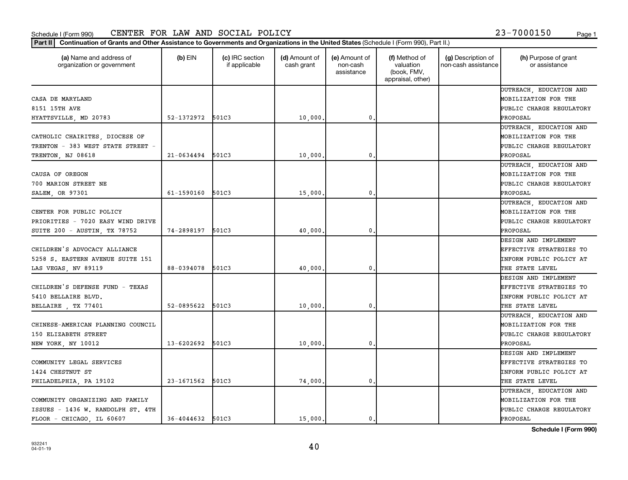Part II | Continuation of Grants and Other Assistance to Governments and Organizations in the United States (Schedule I (Form 990), Part II.)

| (a) Name and address of<br>organization or government | $(b)$ EIN        | (c) IRC section<br>if applicable | (d) Amount of<br>cash grant | (e) Amount of<br>non-cash<br>assistance | (f) Method of<br>valuation<br>(book, FMV,<br>appraisal, other) | (g) Description of<br>non-cash assistance | (h) Purpose of grant<br>or assistance |
|-------------------------------------------------------|------------------|----------------------------------|-----------------------------|-----------------------------------------|----------------------------------------------------------------|-------------------------------------------|---------------------------------------|
|                                                       |                  |                                  |                             |                                         |                                                                |                                           | OUTREACH, EDUCATION AND               |
| CASA DE MARYLAND                                      |                  |                                  |                             |                                         |                                                                |                                           | MOBILIZATION FOR THE                  |
| 8151 15TH AVE                                         |                  |                                  |                             |                                         |                                                                |                                           | PUBLIC CHARGE REGULATORY              |
| HYATTSVILLE, MD 20783                                 | 52-1372972       | 501C3                            | 10,000                      | 0.                                      |                                                                |                                           | PROPOSAL                              |
|                                                       |                  |                                  |                             |                                         |                                                                |                                           | OUTREACH, EDUCATION AND               |
| CATHOLIC CHAIRITES, DIOCESE OF                        |                  |                                  |                             |                                         |                                                                |                                           | MOBILIZATION FOR THE                  |
| TRENTON - 383 WEST STATE STREET                       |                  |                                  |                             |                                         |                                                                |                                           | PUBLIC CHARGE REGULATORY              |
| TRENTON, NJ 08618                                     | $21 - 0634494$   | 501C3                            | 10,000                      | $\mathbf 0$                             |                                                                |                                           | PROPOSAL                              |
|                                                       |                  |                                  |                             |                                         |                                                                |                                           | OUTREACH, EDUCATION AND               |
| CAUSA OF OREGON                                       |                  |                                  |                             |                                         |                                                                |                                           | MOBILIZATION FOR THE                  |
| 700 MARION STREET NE                                  |                  |                                  |                             |                                         |                                                                |                                           | PUBLIC CHARGE REGULATORY              |
| SALEM, OR 97301                                       | 61-1590160       | 501C3                            | 15,000                      | $\mathbf 0$                             |                                                                |                                           | PROPOSAL                              |
|                                                       |                  |                                  |                             |                                         |                                                                |                                           | OUTREACH, EDUCATION AND               |
| CENTER FOR PUBLIC POLICY                              |                  |                                  |                             |                                         |                                                                |                                           | MOBILIZATION FOR THE                  |
| PRIORITIES - 7020 EASY WIND DRIVE                     |                  |                                  |                             |                                         |                                                                |                                           | PUBLIC CHARGE REGULATORY              |
| SUITE 200 - AUSTIN, TX 78752                          | 74-2898197 501C3 |                                  | 40,000                      | 0.                                      |                                                                |                                           | PROPOSAL                              |
|                                                       |                  |                                  |                             |                                         |                                                                |                                           | DESIGN AND IMPLEMENT                  |
| CHILDREN'S ADVOCACY ALLIANCE                          |                  |                                  |                             |                                         |                                                                |                                           | EFFECTIVE STRATEGIES TO               |
| 5258 S. EASTERN AVENUE SUITE 151                      |                  |                                  |                             |                                         |                                                                |                                           | INFORM PUBLIC POLICY AT               |
| LAS VEGAS, NV 89119                                   | 88-0394078       | 501C3                            | 40,000                      | 0.                                      |                                                                |                                           | THE STATE LEVEL                       |
|                                                       |                  |                                  |                             |                                         |                                                                |                                           | DESIGN AND IMPLEMENT                  |
| CHILDREN'S DEFENSE FUND - TEXAS                       |                  |                                  |                             |                                         |                                                                |                                           | EFFECTIVE STRATEGIES TO               |
| 5410 BELLAIRE BLVD.                                   |                  |                                  |                             |                                         |                                                                |                                           | INFORM PUBLIC POLICY AT               |
| BELLAIRE , TX 77401                                   | 52-0895622       | 501C3                            | 10,000                      | $\mathbf{0}$                            |                                                                |                                           | THE STATE LEVEL                       |
|                                                       |                  |                                  |                             |                                         |                                                                |                                           | OUTREACH, EDUCATION AND               |
| CHINESE-AMERICAN PLANNING COUNCIL                     |                  |                                  |                             |                                         |                                                                |                                           | MOBILIZATION FOR THE                  |
| 150 ELIZABETH STREET                                  |                  |                                  |                             |                                         |                                                                |                                           | PUBLIC CHARGE REGULATORY              |
| NEW YORK, NY 10012                                    | 13-6202692       | 501C3                            | 10,000                      | 0.                                      |                                                                |                                           | PROPOSAL                              |
|                                                       |                  |                                  |                             |                                         |                                                                |                                           | DESIGN AND IMPLEMENT                  |
| COMMUNITY LEGAL SERVICES                              |                  |                                  |                             |                                         |                                                                |                                           | EFFECTIVE STRATEGIES TO               |
| 1424 CHESTNUT ST                                      |                  |                                  |                             |                                         |                                                                |                                           | INFORM PUBLIC POLICY AT               |
| PHILADELPHIA, PA 19102                                | 23-1671562       | 501C3                            | 74,000                      | 0.                                      |                                                                |                                           | THE STATE LEVEL                       |
|                                                       |                  |                                  |                             |                                         |                                                                |                                           | OUTREACH, EDUCATION AND               |
| COMMUNITY ORGANIZING AND FAMILY                       |                  |                                  |                             |                                         |                                                                |                                           | MOBILIZATION FOR THE                  |
| ISSUES - 1436 W. RANDOLPH ST. 4TH                     |                  |                                  |                             |                                         |                                                                |                                           | PUBLIC CHARGE REGULATORY              |
| FLOOR - CHICAGO, IL 60607                             | 36-4044632 501C3 |                                  | 15,000                      | 0.                                      |                                                                |                                           | PROPOSAL                              |

**Schedule I (Form 990)**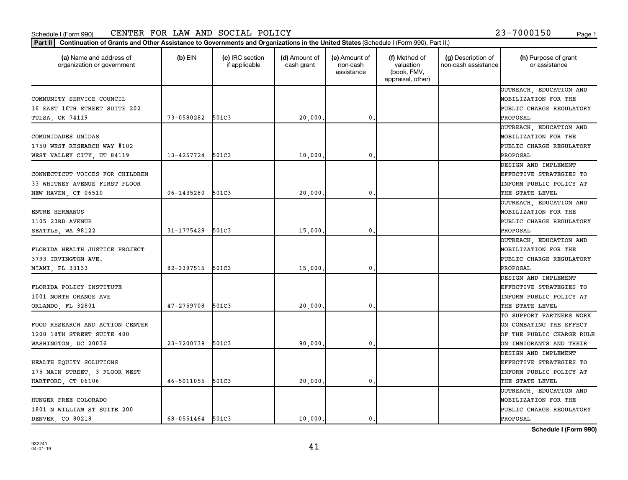$\mathbf{I}$ 

Part II | Continuation of Grants and Other Assistance to Governments and Organizations in the United States (Schedule I (Form 990), Part II.)

 $\mathbf{I}$ 

 $\mathbf{I}$ 

| (a) Name and address of<br>organization or government | $(b)$ EIN        | (c) IRC section<br>if applicable | (d) Amount of<br>cash grant | (e) Amount of<br>non-cash<br>assistance | (f) Method of<br>valuation<br>(book, FMV,<br>appraisal, other) | (g) Description of<br>non-cash assistance | (h) Purpose of grant<br>or assistance |
|-------------------------------------------------------|------------------|----------------------------------|-----------------------------|-----------------------------------------|----------------------------------------------------------------|-------------------------------------------|---------------------------------------|
|                                                       |                  |                                  |                             |                                         |                                                                |                                           | OUTREACH, EDUCATION AND               |
| COMMUNITY SERVICE COUNCIL                             |                  |                                  |                             |                                         |                                                                |                                           | MOBILIZATION FOR THE                  |
| 16 EAST 16TH STREET SUITE 202                         |                  |                                  |                             |                                         |                                                                |                                           | PUBLIC CHARGE REGULATORY              |
| TULSA, OK 74119                                       | 73-0580282       | 501C3                            | 20,000                      | 0.                                      |                                                                |                                           | PROPOSAL                              |
|                                                       |                  |                                  |                             |                                         |                                                                |                                           | OUTREACH, EDUCATION AND               |
| COMUNIDADES UNIDAS                                    |                  |                                  |                             |                                         |                                                                |                                           | MOBILIZATION FOR THE                  |
| 1750 WEST RESEARCH WAY #102                           |                  |                                  |                             |                                         |                                                                |                                           | PUBLIC CHARGE REGULATORY              |
| WEST VALLEY CITY, UT 84119                            | 13-4257724       | 501C3                            | 10,000                      | $\mathbf{0}$ .                          |                                                                |                                           | PROPOSAL                              |
|                                                       |                  |                                  |                             |                                         |                                                                |                                           | DESIGN AND IMPLEMENT                  |
| CONNECTICUT VOICES FOR CHILDREN                       |                  |                                  |                             |                                         |                                                                |                                           | EFFECTIVE STRATEGIES TO               |
| 33 WHITNEY AVENUE FIRST FLOOR                         |                  |                                  |                             |                                         |                                                                |                                           | INFORM PUBLIC POLICY AT               |
| NEW HAVEN, CT 06510                                   | 06-1435280       | 501C3                            | 20,000                      | 0                                       |                                                                |                                           | THE STATE LEVEL                       |
|                                                       |                  |                                  |                             |                                         |                                                                |                                           | OUTREACH, EDUCATION AND               |
| ENTRE HERMANOS                                        |                  |                                  |                             |                                         |                                                                |                                           | MOBILIZATION FOR THE                  |
| 1105 23RD AVENUE                                      |                  |                                  |                             |                                         |                                                                |                                           | PUBLIC CHARGE REGULATORY              |
| SEATTLE, WA 98122                                     | 31-1775429       | 501C3                            | 15,000                      | 0.                                      |                                                                |                                           | PROPOSAL                              |
|                                                       |                  |                                  |                             |                                         |                                                                |                                           | OUTREACH, EDUCATION AND               |
| FLORIDA HEALTH JUSTICE PROJECT                        |                  |                                  |                             |                                         |                                                                |                                           | MOBILIZATION FOR THE                  |
| 3793 IRVINGTON AVE.                                   |                  |                                  |                             |                                         |                                                                |                                           | PUBLIC CHARGE REGULATORY              |
| MIAMI, FL 33133                                       | 82-3397515       | 501C3                            | 15,000                      | $\mathbf{0}$ .                          |                                                                |                                           | PROPOSAL                              |
|                                                       |                  |                                  |                             |                                         |                                                                |                                           | DESIGN AND IMPLEMENT                  |
| FLORIDA POLICY INSTITUTE                              |                  |                                  |                             |                                         |                                                                |                                           | EFFECTIVE STRATEGIES TO               |
| 1001 NORTH ORANGE AVE                                 |                  |                                  |                             |                                         |                                                                |                                           | INFORM PUBLIC POLICY AT               |
| ORLANDO, FL 32801                                     | $47 - 2759708$   | 501C3                            | 20,000                      | $\mathbf 0$                             |                                                                |                                           | THE STATE LEVEL                       |
|                                                       |                  |                                  |                             |                                         |                                                                |                                           | TO SUPPORT PARTNERS WORK              |
| FOOD RESEARCH AND ACTION CENTER                       |                  |                                  |                             |                                         |                                                                |                                           | ON COMBATING THE EFFECT               |
| 1200 18TH STREET SUITE 400                            |                  |                                  |                             |                                         |                                                                |                                           | OF THE PUBLIC CHARGE RULE             |
| WASHINGTON, DC 20036                                  | 23-7200739       | 501C3                            | 90,000                      | $\mathbf{0}$ .                          |                                                                |                                           | ON IMMIGRANTS AND THEIR               |
|                                                       |                  |                                  |                             |                                         |                                                                |                                           | DESIGN AND IMPLEMENT                  |
| HEALTH EQUITY SOLUTIONS                               |                  |                                  |                             |                                         |                                                                |                                           | EFFECTIVE STRATEGIES TO               |
| 175 MAIN STREET, 3 FLOOR WEST                         |                  |                                  |                             |                                         |                                                                |                                           | INFORM PUBLIC POLICY AT               |
| HARTFORD, CT 06106                                    | 46-5011055       | 501C3                            | 20,000                      | $\mathbf{0}$ .                          |                                                                |                                           | THE STATE LEVEL                       |
|                                                       |                  |                                  |                             |                                         |                                                                |                                           | OUTREACH, EDUCATION AND               |
| HUNGER FREE COLORADO                                  |                  |                                  |                             |                                         |                                                                |                                           | <b>MOBILIZATION FOR THE</b>           |
| 1801 N WILLIAM ST SUITE 200                           |                  |                                  |                             |                                         |                                                                |                                           | PUBLIC CHARGE REGULATORY              |
| DENVER, CO 80218                                      | 68-0551464 501C3 |                                  | 10,000.                     | 0.                                      |                                                                |                                           | PROPOSAL                              |

Τ

 $\mathbf{I}$ 

**Schedule I (Form 990)**

Τ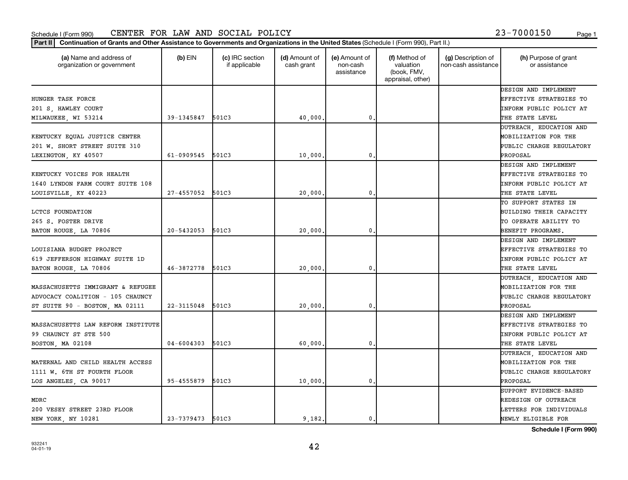organization or government

932241 04-01-19

**Schedule I (Form 990)**

|                                    |                  |       |         |             | DESIGN AND IMPLEMENT           |
|------------------------------------|------------------|-------|---------|-------------|--------------------------------|
| <b>HUNGER TASK FORCE</b>           |                  |       |         |             | EFFECTIVE STRATEGIES TO        |
| 201 S, HAWLEY COURT                |                  |       |         |             | INFORM PUBLIC POLICY AT        |
| MILWAUKEE, WI 53214                | 39-1345847 501C3 |       | 40,000  | 0.          | THE STATE LEVEL                |
|                                    |                  |       |         |             | OUTREACH, EDUCATION AND        |
| KENTUCKY EQUAL JUSTICE CENTER      |                  |       |         |             | MOBILIZATION FOR THE           |
| 201 W. SHORT STREET SUITE 310      |                  |       |         |             | PUBLIC CHARGE REGULATORY       |
| LEXINGTON, KY 40507                | 61-0909545 501C3 |       | 10,000  | $\mathbf 0$ | PROPOSAL                       |
|                                    |                  |       |         |             | DESIGN AND IMPLEMENT           |
| KENTUCKY VOICES FOR HEALTH         |                  |       |         |             | <b>EFFECTIVE STRATEGIES TO</b> |
| 1640 LYNDON FARM COURT SUITE 108   |                  |       |         |             | <b>INFORM PUBLIC POLICY AT</b> |
| LOUISVILLE, KY 40223               | 27-4557052 501C3 |       | 20,000  | 0.          | THE STATE LEVEL                |
|                                    |                  |       |         |             | TO SUPPORT STATES IN           |
| <b>LCTCS FOUNDATION</b>            |                  |       |         |             | BUILDING THEIR CAPACITY        |
| 265 S. FOSTER DRIVE                |                  |       |         |             | TO OPERATE ABILITY TO          |
| BATON ROUGE, LA 70806              | 20-5432053       | 501C3 | 20,000  | $\mathbf 0$ | BENEFIT PROGRAMS.              |
|                                    |                  |       |         |             | DESIGN AND IMPLEMENT           |
| LOUISIANA BUDGET PROJECT           |                  |       |         |             | <b>EFFECTIVE STRATEGIES TO</b> |
| 619 JEFFERSON HIGHWAY SUITE 1D     |                  |       |         |             | INFORM PUBLIC POLICY AT        |
| BATON ROUGE, LA 70806              | 46-3872778 501C3 |       | 20,000  | $\mathbf 0$ | THE STATE LEVEL                |
|                                    |                  |       |         |             | OUTREACH, EDUCATION AND        |
| MASSACHUSETTS IMMIGRANT & REFUGEE  |                  |       |         |             | MOBILIZATION FOR THE           |
| ADVOCACY COALITION - 105 CHAUNCY   |                  |       |         |             | PUBLIC CHARGE REGULATORY       |
| ST SUITE 90 - BOSTON, MA 02111     | 22-3115048 501C3 |       | 20,000  | $\mathbf 0$ | PROPOSAL                       |
|                                    |                  |       |         |             | DESIGN AND IMPLEMENT           |
| MASSACHUSETTS LAW REFORM INSTITUTE |                  |       |         |             | EFFECTIVE STRATEGIES TO        |
| 99 CHAUNCY ST STE 500              |                  |       |         |             | INFORM PUBLIC POLICY AT        |
| BOSTON, MA 02108                   | 04-6004303 501C3 |       | 60,000  | 0.          | THE STATE LEVEL                |
|                                    |                  |       |         |             | OUTREACH, EDUCATION AND        |
| MATERNAL AND CHILD HEALTH ACCESS   |                  |       |         |             | MOBILIZATION FOR THE           |
| 1111 W. 6TH ST FOURTH FLOOR        |                  |       |         |             | PUBLIC CHARGE REGULATORY       |
| LOS ANGELES, CA 90017              | 95-4555879 501C3 |       | 10,000. | 0.          | PROPOSAL                       |
|                                    |                  |       |         |             | SUPPORT EVIDENCE-BASED         |
| MDRC                               |                  |       |         |             | REDESIGN OF OUTREACH           |
| 200 VESEY STREET 23RD FLOOR        |                  |       |         |             | LETTERS FOR INDIVIDUALS        |
| <b>NEW YORK, NY 10281</b>          | 23-7379473 501C3 |       | 9,182.  | 0.          | NEWLY ELIGIBLE FOR             |

42

Part II | Continuation of Grants and Other Assistance to Governments and Organizations in the United States (Schedule I (Form 990), Part II.)

if applicable

 $(b)$  EIN  $(c)$  IRC section

**(a) (b) (c) (d) (e) (f) (g) (h)** Name and address of

(d) Amount of cash grant

(e) Amount of non-cash assistance

(f) Method of valuation (book, FMV, appraisal, other)

(g) Description of non-cash assistance

(h) Purpose of grant or assistance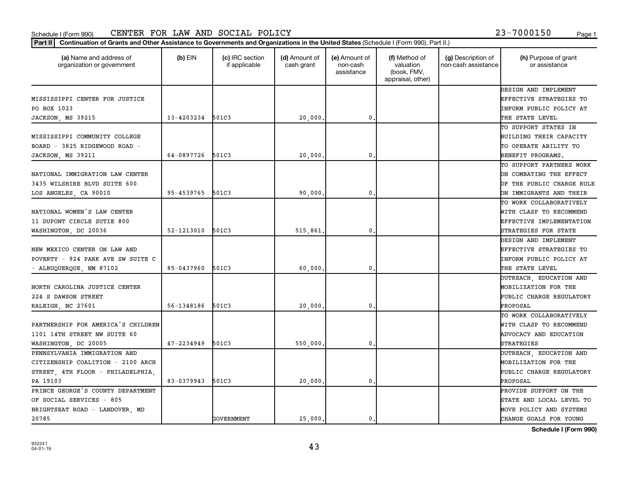Part II | Continuation of Grants and Other Assistance to Governments and Organizations in the United States (Schedule I (Form 990), Part II.)

┯

| (a) Name and address of<br>organization or government | $(b)$ EIN  | (c) IRC section<br>if applicable | (d) Amount of<br>cash grant | (e) Amount of<br>non-cash<br>assistance | (f) Method of<br>valuation<br>(book, FMV,<br>appraisal, other) | (g) Description of<br>non-cash assistance | (h) Purpose of grant<br>or assistance |
|-------------------------------------------------------|------------|----------------------------------|-----------------------------|-----------------------------------------|----------------------------------------------------------------|-------------------------------------------|---------------------------------------|
|                                                       |            |                                  |                             |                                         |                                                                |                                           | DESIGN AND IMPLEMENT                  |
| MISSISSIPPI CENTER FOR JUSTICE                        |            |                                  |                             |                                         |                                                                |                                           | EFFECTIVE STRATEGIES TO               |
| PO BOX 1023                                           |            |                                  |                             |                                         |                                                                |                                           | INFORM PUBLIC POLICY AT               |
| JACKSON, MS 39215                                     | 13-4203234 | 501C3                            | 20,000                      | $\mathbf 0$                             |                                                                |                                           | THE STATE LEVEL                       |
|                                                       |            |                                  |                             |                                         |                                                                |                                           | TO SUPPORT STATES IN                  |
| MISSISSIPPI COMMUNITY COLLEGE                         |            |                                  |                             |                                         |                                                                |                                           | BUILDING THEIR CAPACITY               |
| BOARD - 3825 RIDGEWOOD ROAD -                         |            |                                  |                             |                                         |                                                                |                                           | TO OPERATE ABILITY TO                 |
| JACKSON, MS 39211                                     | 64-0897726 | 501C3                            | 20,000                      | $\mathbf{0}$                            |                                                                |                                           | BENEFIT PROGRAMS,                     |
|                                                       |            |                                  |                             |                                         |                                                                |                                           | TO SUPPORT PARTNERS WORK              |
| NATIONAL IMMIGRATION LAW CENTER                       |            |                                  |                             |                                         |                                                                |                                           | ON COMBATING THE EFFECT               |
| 3435 WILSHIRE BLVD SUITE 600                          |            |                                  |                             |                                         |                                                                |                                           | OF THE PUBLIC CHARGE RULE             |
| LOS ANGELES, CA 90010                                 | 95-4539765 | 501C3                            | 90,000.                     | $\mathbf 0$                             |                                                                |                                           | ON IMMIGRANTS AND THEIR               |
|                                                       |            |                                  |                             |                                         |                                                                |                                           | TO WORK COLLABORATIVELY               |
| NATIONAL WOMEN'S LAW CENTER                           |            |                                  |                             |                                         |                                                                |                                           | WITH CLASP TO RECOMMEND               |
| 11 DUPONT CIRCLE SUTIE 800                            |            |                                  |                             |                                         |                                                                |                                           | EFFECTIVE IMPLEMENTATION              |
| WASHINGTON, DC 20036                                  | 52-1213010 | 501C3                            | 515,861,                    | 0                                       |                                                                |                                           | STRATEGIES FOR STATE                  |
|                                                       |            |                                  |                             |                                         |                                                                |                                           | DESIGN AND IMPLEMENT                  |
| NEW MEXICO CENTER ON LAW AND                          |            |                                  |                             |                                         |                                                                |                                           | EFFECTIVE STRATEGIES TO               |
| POVERTY - 924 PARK AVE SW SUITE C                     |            |                                  |                             |                                         |                                                                |                                           | INFORM PUBLIC POLICY AT               |
| - ALBUQUERQUE, NM 87102                               | 85-0437960 | 501C3                            | 60,000                      | $\mathbf{0}$                            |                                                                |                                           | THE STATE LEVEL                       |
|                                                       |            |                                  |                             |                                         |                                                                |                                           | OUTREACH, EDUCATION AND               |
| NORTH CAROLINA JUSTICE CENTER                         |            |                                  |                             |                                         |                                                                |                                           | MOBILIZATION FOR THE                  |
| 224 S DAWSON STREET                                   |            |                                  |                             |                                         |                                                                |                                           | PUBLIC CHARGE REGULATORY              |
| RALEIGH, NC 27601                                     | 56-1348186 | 501C3                            | 20,000                      | $\mathbf 0$                             |                                                                |                                           | PROPOSAL                              |
|                                                       |            |                                  |                             |                                         |                                                                |                                           | TO WORK COLLABORATIVELY               |
| PARTNERSHIP FOR AMERICA'S CHILDREN                    |            |                                  |                             |                                         |                                                                |                                           | WITH CLASP TO RECOMMEND               |
| 1101 14TH STREET NW SUITE 60                          |            |                                  |                             |                                         |                                                                |                                           | ADVOCACY AND EDUCATION                |
| WASHINGTON, DC 20005                                  | 47-2234949 | 501C3                            | 550,000.                    | $\mathbf 0$                             |                                                                |                                           | <b>STRATEGIES</b>                     |
| PENNSYLVANIA IMMIGRATION AND                          |            |                                  |                             |                                         |                                                                |                                           | <b>PUTREACH, EDUCATION AND</b>        |
| CITIZENSHIP COALITION - 2100 ARCH                     |            |                                  |                             |                                         |                                                                |                                           | MOBILIZATION FOR THE                  |
| STREET, 4TH FLOOR - PHILADELPHIA,                     |            |                                  |                             |                                         |                                                                |                                           | PUBLIC CHARGE REGULATORY              |
| PA 19103                                              | 83-0379943 | 501C3                            | 20,000                      | $\mathbf 0$                             |                                                                |                                           | PROPOSAL                              |
| PRINCE GEORGE'S COUNTY DEPARTMENT                     |            |                                  |                             |                                         |                                                                |                                           | PROVIDE SUPPORT ON THE                |
| OF SOCIAL SERVICES - 805                              |            |                                  |                             |                                         |                                                                |                                           | STATE AND LOCAL LEVEL TO              |
| BRIGHTSEAT ROAD - LANDOVER, MD                        |            |                                  |                             |                                         |                                                                |                                           | MOVE POLICY AND SYSTEMS               |
| 20785                                                 |            | GOVERNMENT                       | 25,000.                     | 0.                                      |                                                                |                                           | CHANGE GOALS FOR YOUNG                |

┯

**Schedule I (Form 990)**

Т

┱

43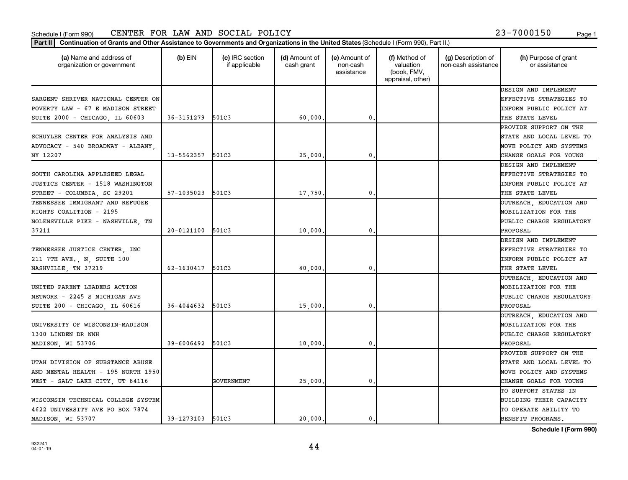Part II | Continuation of Grants and Other Assistance to Governments and Organizations in the United States (Schedule I (Form 990), Part II.)

| (a) Name and address of<br>organization or government | $(b)$ EIN      | (c) IRC section<br>if applicable | (d) Amount of<br>cash grant | (e) Amount of<br>non-cash<br>assistance | (f) Method of<br>valuation<br>(book, FMV,<br>appraisal, other) | (g) Description of<br>non-cash assistance | (h) Purpose of grant<br>or assistance |
|-------------------------------------------------------|----------------|----------------------------------|-----------------------------|-----------------------------------------|----------------------------------------------------------------|-------------------------------------------|---------------------------------------|
|                                                       |                |                                  |                             |                                         |                                                                |                                           | DESIGN AND IMPLEMENT                  |
| SARGENT SHRIVER NATIONAL CENTER ON                    |                |                                  |                             |                                         |                                                                |                                           | EFFECTIVE STRATEGIES TO               |
| POVERTY LAW - 67 E MADISON STREET                     |                |                                  |                             |                                         |                                                                |                                           | INFORM PUBLIC POLICY AT               |
| SUITE 2000 - CHICAGO, IL 60603                        | 36-3151279     | 501C3                            | 60,000                      | 0.                                      |                                                                |                                           | THE STATE LEVEL                       |
|                                                       |                |                                  |                             |                                         |                                                                |                                           | PROVIDE SUPPORT ON THE                |
| SCHUYLER CENTER FOR ANALYSIS AND                      |                |                                  |                             |                                         |                                                                |                                           | STATE AND LOCAL LEVEL TO              |
| ADVOCACY - 540 BROADWAY - ALBANY                      |                |                                  |                             |                                         |                                                                |                                           | MOVE POLICY AND SYSTEMS               |
| NY 12207                                              | 13-5562357     | 501C3                            | 25,000.                     | $\mathbf 0$ .                           |                                                                |                                           | CHANGE GOALS FOR YOUNG                |
|                                                       |                |                                  |                             |                                         |                                                                |                                           | DESIGN AND IMPLEMENT                  |
| SOUTH CAROLINA APPLESEED LEGAL                        |                |                                  |                             |                                         |                                                                |                                           | EFFECTIVE STRATEGIES TO               |
| JUSTICE CENTER - 1518 WASHINGTON                      |                |                                  |                             |                                         |                                                                |                                           | INFORM PUBLIC POLICY AT               |
| STREET - COLUMBIA, SC 29201                           | $57 - 1035023$ | 501C3                            | 17,750                      | $\mathbf 0$ .                           |                                                                |                                           | THE STATE LEVEL                       |
| TENNESSEE IMMIGRANT AND REFUGEE                       |                |                                  |                             |                                         |                                                                |                                           | OUTREACH, EDUCATION AND               |
| RIGHTS COALITION - 2195                               |                |                                  |                             |                                         |                                                                |                                           | MOBILIZATION FOR THE                  |
| NOLENSVILLE PIKE - NASHVILLE, TN                      |                |                                  |                             |                                         |                                                                |                                           | PUBLIC CHARGE REGULATORY              |
| 37211                                                 | 20-0121100     | 501C3                            | 10,000                      | 0                                       |                                                                |                                           | PROPOSAL                              |
|                                                       |                |                                  |                             |                                         |                                                                |                                           | DESIGN AND IMPLEMENT                  |
| TENNESSEE JUSTICE CENTER, INC                         |                |                                  |                             |                                         |                                                                |                                           | EFFECTIVE STRATEGIES TO               |
| 211 7TH AVE., N, SUITE 100                            |                |                                  |                             |                                         |                                                                |                                           | INFORM PUBLIC POLICY AT               |
| NASHVILLE, TN 37219                                   | 62-1630417     | 501C3                            | 40,000                      | 0                                       |                                                                |                                           | THE STATE LEVEL                       |
|                                                       |                |                                  |                             |                                         |                                                                |                                           | OUTREACH, EDUCATION AND               |
| UNITED PARENT LEADERS ACTION                          |                |                                  |                             |                                         |                                                                |                                           | MOBILIZATION FOR THE                  |
| NETWORK - 2245 S MICHIGAN AVE                         |                |                                  |                             |                                         |                                                                |                                           | PUBLIC CHARGE REGULATORY              |
| SUITE 200 - CHICAGO, IL 60616                         | 36-4044632     | 501C3                            | 15,000                      | 0                                       |                                                                |                                           | PROPOSAL                              |
|                                                       |                |                                  |                             |                                         |                                                                |                                           | OUTREACH, EDUCATION AND               |
| UNIVERSITY OF WISCONSIN-MADISON                       |                |                                  |                             |                                         |                                                                |                                           | MOBILIZATION FOR THE                  |
| 1300 LINDEN DR NNH                                    |                |                                  |                             |                                         |                                                                |                                           | PUBLIC CHARGE REGULATORY              |
| MADISON, WI 53706                                     | 39-6006492     | 501C3                            | 10,000                      | 0                                       |                                                                |                                           | PROPOSAL                              |
|                                                       |                |                                  |                             |                                         |                                                                |                                           | PROVIDE SUPPORT ON THE                |
| UTAH DIVISION OF SUBSTANCE ABUSE                      |                |                                  |                             |                                         |                                                                |                                           | STATE AND LOCAL LEVEL TO              |
| AND MENTAL HEALTH - 195 NORTH 1950                    |                |                                  |                             |                                         |                                                                |                                           | MOVE POLICY AND SYSTEMS               |
| WEST - SALT LAKE CITY, UT 84116                       |                | GOVERNMENT                       | 25,000                      | 0                                       |                                                                |                                           | CHANGE GOALS FOR YOUNG                |
|                                                       |                |                                  |                             |                                         |                                                                |                                           | TO SUPPORT STATES IN                  |
| WISCONSIN TECHNICAL COLLEGE SYSTEM                    |                |                                  |                             |                                         |                                                                |                                           | BUILDING THEIR CAPACITY               |
| 4622 UNIVERSITY AVE PO BOX 7874                       |                |                                  |                             |                                         |                                                                |                                           | TO OPERATE ABILITY TO                 |
| MADISON, WI 53707                                     | 39-1273103     | 501C3                            | 20,000                      | 0.                                      |                                                                |                                           | BENEFIT PROGRAMS.                     |

**Schedule I (Form 990)**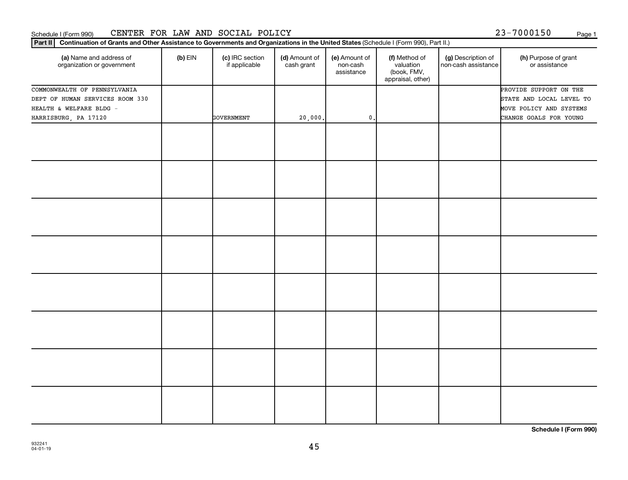Part II | Continuation of Grants and Other Assistance to Governments and Organizations in the United States (Schedule I (Form 990), Part II.)

| (a) Name and address of<br>organization or government | $(b)$ EIN | (c) IRC section<br>if applicable | (d) Amount of<br>cash grant | (e) Amount of<br>non-cash | (f) Method of<br>valuation       | (g) Description of<br>non-cash assistance | (h) Purpose of grant<br>or assistance |
|-------------------------------------------------------|-----------|----------------------------------|-----------------------------|---------------------------|----------------------------------|-------------------------------------------|---------------------------------------|
|                                                       |           |                                  |                             | assistance                | (book, FMV,<br>appraisal, other) |                                           |                                       |
| COMMONWEALTH OF PENNSYLVANIA                          |           |                                  |                             |                           |                                  |                                           | PROVIDE SUPPORT ON THE                |
| DEPT OF HUMAN SERVICES ROOM 330                       |           |                                  |                             |                           |                                  |                                           | STATE AND LOCAL LEVEL TO              |
| HEALTH & WELFARE BLDG -                               |           |                                  |                             |                           |                                  |                                           | MOVE POLICY AND SYSTEMS               |
| HARRISBURG, PA 17120                                  |           | <b>GOVERNMENT</b>                | 20,000.                     | $\mathbf{0}$ .            |                                  |                                           | CHANGE GOALS FOR YOUNG                |
|                                                       |           |                                  |                             |                           |                                  |                                           |                                       |
|                                                       |           |                                  |                             |                           |                                  |                                           |                                       |
|                                                       |           |                                  |                             |                           |                                  |                                           |                                       |
|                                                       |           |                                  |                             |                           |                                  |                                           |                                       |
|                                                       |           |                                  |                             |                           |                                  |                                           |                                       |
|                                                       |           |                                  |                             |                           |                                  |                                           |                                       |
|                                                       |           |                                  |                             |                           |                                  |                                           |                                       |
|                                                       |           |                                  |                             |                           |                                  |                                           |                                       |
|                                                       |           |                                  |                             |                           |                                  |                                           |                                       |
|                                                       |           |                                  |                             |                           |                                  |                                           |                                       |
|                                                       |           |                                  |                             |                           |                                  |                                           |                                       |
|                                                       |           |                                  |                             |                           |                                  |                                           |                                       |
|                                                       |           |                                  |                             |                           |                                  |                                           |                                       |
|                                                       |           |                                  |                             |                           |                                  |                                           |                                       |
|                                                       |           |                                  |                             |                           |                                  |                                           |                                       |
|                                                       |           |                                  |                             |                           |                                  |                                           |                                       |
|                                                       |           |                                  |                             |                           |                                  |                                           |                                       |
|                                                       |           |                                  |                             |                           |                                  |                                           |                                       |
|                                                       |           |                                  |                             |                           |                                  |                                           |                                       |
|                                                       |           |                                  |                             |                           |                                  |                                           |                                       |
|                                                       |           |                                  |                             |                           |                                  |                                           |                                       |
|                                                       |           |                                  |                             |                           |                                  |                                           |                                       |
|                                                       |           |                                  |                             |                           |                                  |                                           |                                       |
|                                                       |           |                                  |                             |                           |                                  |                                           |                                       |
|                                                       |           |                                  |                             |                           |                                  |                                           |                                       |
|                                                       |           |                                  |                             |                           |                                  |                                           |                                       |
|                                                       |           |                                  |                             |                           |                                  |                                           |                                       |
|                                                       |           |                                  |                             |                           |                                  |                                           |                                       |

**Schedule I (Form 990)**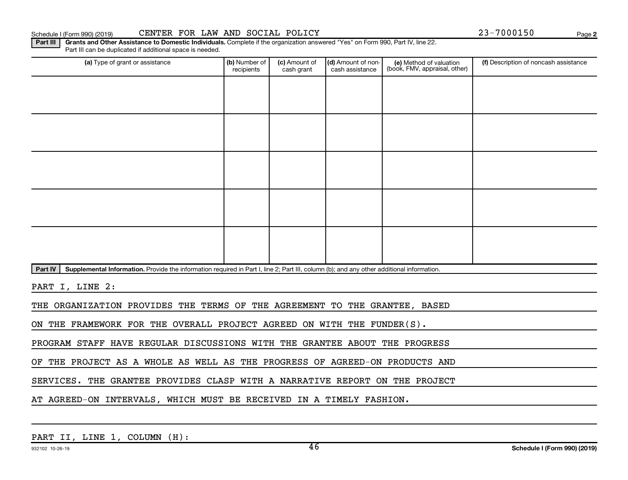Schedule I (Form 990) (2019) CENTER FOR LAW AND SOCIAL POLICY 23-7000150 Page

**2**

Part III | Grants and Other Assistance to Domestic Individuals. Complete if the organization answered "Yes" on Form 990, Part IV, line 22. Part III can be duplicated if additional space is needed.

| (a) Type of grant or assistance                                                                                                                      | (b) Number of<br>recipients | (c) Amount of<br>cash grant | (d) Amount of non-<br>cash assistance | (e) Method of valuation<br>(book, FMV, appraisal, other) | (f) Description of noncash assistance |  |  |  |  |
|------------------------------------------------------------------------------------------------------------------------------------------------------|-----------------------------|-----------------------------|---------------------------------------|----------------------------------------------------------|---------------------------------------|--|--|--|--|
|                                                                                                                                                      |                             |                             |                                       |                                                          |                                       |  |  |  |  |
|                                                                                                                                                      |                             |                             |                                       |                                                          |                                       |  |  |  |  |
|                                                                                                                                                      |                             |                             |                                       |                                                          |                                       |  |  |  |  |
|                                                                                                                                                      |                             |                             |                                       |                                                          |                                       |  |  |  |  |
|                                                                                                                                                      |                             |                             |                                       |                                                          |                                       |  |  |  |  |
|                                                                                                                                                      |                             |                             |                                       |                                                          |                                       |  |  |  |  |
|                                                                                                                                                      |                             |                             |                                       |                                                          |                                       |  |  |  |  |
|                                                                                                                                                      |                             |                             |                                       |                                                          |                                       |  |  |  |  |
|                                                                                                                                                      |                             |                             |                                       |                                                          |                                       |  |  |  |  |
|                                                                                                                                                      |                             |                             |                                       |                                                          |                                       |  |  |  |  |
| Supplemental Information. Provide the information required in Part I, line 2; Part III, column (b); and any other additional information.<br>Part IV |                             |                             |                                       |                                                          |                                       |  |  |  |  |
| PART I, LINE 2:                                                                                                                                      |                             |                             |                                       |                                                          |                                       |  |  |  |  |
| THE ORGANIZATION PROVIDES THE TERMS OF THE AGREEMENT TO THE GRANTEE, BASED                                                                           |                             |                             |                                       |                                                          |                                       |  |  |  |  |
| ON THE FRAMEWORK FOR THE OVERALL PROJECT AGREED ON WITH THE FUNDER(S).                                                                               |                             |                             |                                       |                                                          |                                       |  |  |  |  |

PROGRAM STAFF HAVE REGULAR DISCUSSIONS WITH THE GRANTEE ABOUT THE PROGRESS

OF THE PROJECT AS A WHOLE AS WELL AS THE PROGRESS OF AGREED-ON PRODUCTS AND

SERVICES. THE GRANTEE PROVIDES CLASP WITH A NARRATIVE REPORT ON THE PROJECT

AT AGREED-ON INTERVALS, WHICH MUST BE RECEIVED IN A TIMELY FASHION.

| PART II, LINE 1, COLUMN (H): |  |  |  |  |  |
|------------------------------|--|--|--|--|--|
|------------------------------|--|--|--|--|--|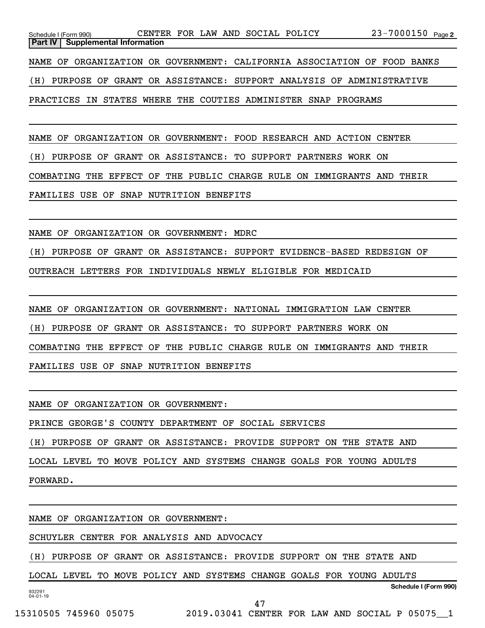| CENTER FOR LAW AND SOCIAL POLICY<br>Schedule I (Form 990)                | 23-7000150 Page 2 |
|--------------------------------------------------------------------------|-------------------|
| <b>Part IV   Supplemental Information</b>                                |                   |
| NAME OF ORGANIZATION OR GOVERNMENT: CALIFORNIA ASSOCIATION OF FOOD BANKS |                   |
| (H) PURPOSE OF GRANT OR ASSISTANCE: SUPPORT ANALYSIS OF ADMINISTRATIVE   |                   |
| PRACTICES IN STATES WHERE THE COUTIES ADMINISTER SNAP PROGRAMS           |                   |
|                                                                          |                   |
| NAME OF ORGANIZATION OR GOVERNMENT: FOOD RESEARCH AND ACTION CENTER      |                   |

(H) PURPOSE OF GRANT OR ASSISTANCE: TO SUPPORT PARTNERS WORK ON

COMBATING THE EFFECT OF THE PUBLIC CHARGE RULE ON IMMIGRANTS AND THEIR

FAMILIES USE OF SNAP NUTRITION BENEFITS

NAME OF ORGANIZATION OR GOVERNMENT: MDRC

(H) PURPOSE OF GRANT OR ASSISTANCE: SUPPORT EVIDENCE-BASED REDESIGN OF

OUTREACH LETTERS FOR INDIVIDUALS NEWLY ELIGIBLE FOR MEDICAID

NAME OF ORGANIZATION OR GOVERNMENT: NATIONAL IMMIGRATION LAW CENTER (H) PURPOSE OF GRANT OR ASSISTANCE: TO SUPPORT PARTNERS WORK ON COMBATING THE EFFECT OF THE PUBLIC CHARGE RULE ON IMMIGRANTS AND THEIR FAMILIES USE OF SNAP NUTRITION BENEFITS

NAME OF ORGANIZATION OR GOVERNMENT:

PRINCE GEORGE'S COUNTY DEPARTMENT OF SOCIAL SERVICES

(H) PURPOSE OF GRANT OR ASSISTANCE: PROVIDE SUPPORT ON THE STATE AND

LOCAL LEVEL TO MOVE POLICY AND SYSTEMS CHANGE GOALS FOR YOUNG ADULTS

FORWARD.

NAME OF ORGANIZATION OR GOVERNMENT:

SCHUYLER CENTER FOR ANALYSIS AND ADVOCACY

(H) PURPOSE OF GRANT OR ASSISTANCE: PROVIDE SUPPORT ON THE STATE AND

LOCAL LEVEL TO MOVE POLICY AND SYSTEMS CHANGE GOALS FOR YOUNG ADULTS

47

932291 04-01-19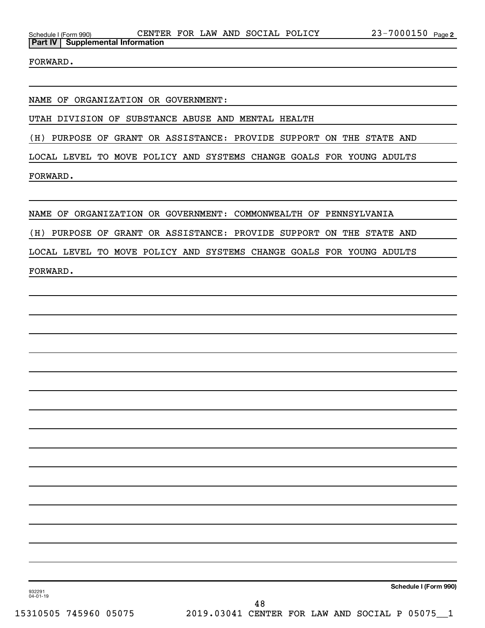FORWARD.

NAME OF ORGANIZATION OR GOVERNMENT:

UTAH DIVISION OF SUBSTANCE ABUSE AND MENTAL HEALTH

(H) PURPOSE OF GRANT OR ASSISTANCE: PROVIDE SUPPORT ON THE STATE AND

LOCAL LEVEL TO MOVE POLICY AND SYSTEMS CHANGE GOALS FOR YOUNG ADULTS

FORWARD.

NAME OF ORGANIZATION OR GOVERNMENT: COMMONWEALTH OF PENNSYLVANIA

(H) PURPOSE OF GRANT OR ASSISTANCE: PROVIDE SUPPORT ON THE STATE AND

LOCAL LEVEL TO MOVE POLICY AND SYSTEMS CHANGE GOALS FOR YOUNG ADULTS

FORWARD.

**Schedule I (Form 990)**

932291 04-01-19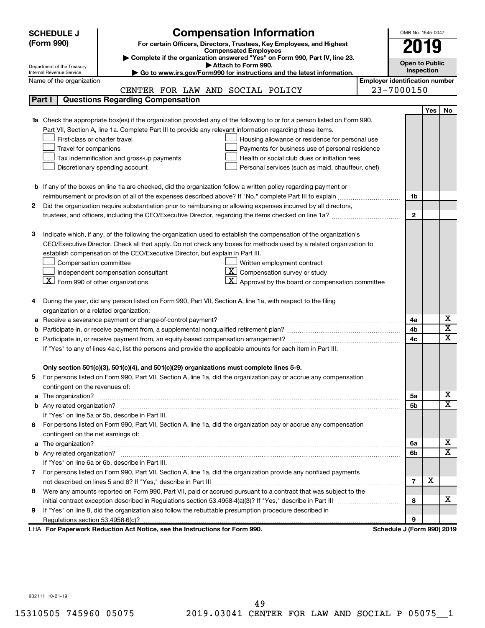| <b>Compensation Information</b><br>(Form 990)<br>For certain Officers, Directors, Trustees, Key Employees, and Highest<br>2019<br><b>Compensated Employees</b><br>Complete if the organization answered "Yes" on Form 990, Part IV, line 23.<br><b>Open to Public</b><br>Attach to Form 990.<br>Department of the Treasury<br>Inspection<br>Go to www.irs.gov/Form990 for instructions and the latest information.<br>Internal Revenue Service<br><b>Employer identification number</b><br>Name of the organization<br>23-7000150<br>CENTER FOR LAW AND SOCIAL POLICY<br>Part I<br><b>Questions Regarding Compensation</b> | No                      |  |  |  |  |  |
|----------------------------------------------------------------------------------------------------------------------------------------------------------------------------------------------------------------------------------------------------------------------------------------------------------------------------------------------------------------------------------------------------------------------------------------------------------------------------------------------------------------------------------------------------------------------------------------------------------------------------|-------------------------|--|--|--|--|--|
|                                                                                                                                                                                                                                                                                                                                                                                                                                                                                                                                                                                                                            |                         |  |  |  |  |  |
|                                                                                                                                                                                                                                                                                                                                                                                                                                                                                                                                                                                                                            |                         |  |  |  |  |  |
|                                                                                                                                                                                                                                                                                                                                                                                                                                                                                                                                                                                                                            |                         |  |  |  |  |  |
|                                                                                                                                                                                                                                                                                                                                                                                                                                                                                                                                                                                                                            |                         |  |  |  |  |  |
|                                                                                                                                                                                                                                                                                                                                                                                                                                                                                                                                                                                                                            |                         |  |  |  |  |  |
|                                                                                                                                                                                                                                                                                                                                                                                                                                                                                                                                                                                                                            |                         |  |  |  |  |  |
|                                                                                                                                                                                                                                                                                                                                                                                                                                                                                                                                                                                                                            |                         |  |  |  |  |  |
| <b>Yes</b>                                                                                                                                                                                                                                                                                                                                                                                                                                                                                                                                                                                                                 |                         |  |  |  |  |  |
| Check the appropriate box(es) if the organization provided any of the following to or for a person listed on Form 990,<br>1a                                                                                                                                                                                                                                                                                                                                                                                                                                                                                               |                         |  |  |  |  |  |
| Part VII, Section A, line 1a. Complete Part III to provide any relevant information regarding these items.                                                                                                                                                                                                                                                                                                                                                                                                                                                                                                                 |                         |  |  |  |  |  |
| First-class or charter travel<br>Housing allowance or residence for personal use                                                                                                                                                                                                                                                                                                                                                                                                                                                                                                                                           |                         |  |  |  |  |  |
| Travel for companions<br>Payments for business use of personal residence                                                                                                                                                                                                                                                                                                                                                                                                                                                                                                                                                   |                         |  |  |  |  |  |
| Health or social club dues or initiation fees<br>Tax indemnification and gross-up payments                                                                                                                                                                                                                                                                                                                                                                                                                                                                                                                                 |                         |  |  |  |  |  |
| Discretionary spending account<br>Personal services (such as maid, chauffeur, chef)                                                                                                                                                                                                                                                                                                                                                                                                                                                                                                                                        |                         |  |  |  |  |  |
|                                                                                                                                                                                                                                                                                                                                                                                                                                                                                                                                                                                                                            |                         |  |  |  |  |  |
| <b>b</b> If any of the boxes on line 1a are checked, did the organization follow a written policy regarding payment or                                                                                                                                                                                                                                                                                                                                                                                                                                                                                                     |                         |  |  |  |  |  |
| 1b                                                                                                                                                                                                                                                                                                                                                                                                                                                                                                                                                                                                                         |                         |  |  |  |  |  |
| Did the organization require substantiation prior to reimbursing or allowing expenses incurred by all directors,<br>2                                                                                                                                                                                                                                                                                                                                                                                                                                                                                                      |                         |  |  |  |  |  |
| $\mathbf{2}$                                                                                                                                                                                                                                                                                                                                                                                                                                                                                                                                                                                                               |                         |  |  |  |  |  |
|                                                                                                                                                                                                                                                                                                                                                                                                                                                                                                                                                                                                                            |                         |  |  |  |  |  |
| З<br>Indicate which, if any, of the following the organization used to establish the compensation of the organization's                                                                                                                                                                                                                                                                                                                                                                                                                                                                                                    |                         |  |  |  |  |  |
| CEO/Executive Director. Check all that apply. Do not check any boxes for methods used by a related organization to                                                                                                                                                                                                                                                                                                                                                                                                                                                                                                         |                         |  |  |  |  |  |
| establish compensation of the CEO/Executive Director, but explain in Part III.                                                                                                                                                                                                                                                                                                                                                                                                                                                                                                                                             |                         |  |  |  |  |  |
| Compensation committee<br>Written employment contract                                                                                                                                                                                                                                                                                                                                                                                                                                                                                                                                                                      |                         |  |  |  |  |  |
| $ \mathbf{X} $ Compensation survey or study<br>Independent compensation consultant                                                                                                                                                                                                                                                                                                                                                                                                                                                                                                                                         |                         |  |  |  |  |  |
| $\lfloor x \rfloor$ Form 990 of other organizations<br>$ \mathbf{X} $ Approval by the board or compensation committee                                                                                                                                                                                                                                                                                                                                                                                                                                                                                                      |                         |  |  |  |  |  |
|                                                                                                                                                                                                                                                                                                                                                                                                                                                                                                                                                                                                                            |                         |  |  |  |  |  |
| During the year, did any person listed on Form 990, Part VII, Section A, line 1a, with respect to the filing<br>4                                                                                                                                                                                                                                                                                                                                                                                                                                                                                                          |                         |  |  |  |  |  |
| organization or a related organization:                                                                                                                                                                                                                                                                                                                                                                                                                                                                                                                                                                                    |                         |  |  |  |  |  |
| Receive a severance payment or change-of-control payment?<br>4a<br>а                                                                                                                                                                                                                                                                                                                                                                                                                                                                                                                                                       | х                       |  |  |  |  |  |
| 4b<br>b                                                                                                                                                                                                                                                                                                                                                                                                                                                                                                                                                                                                                    | $\overline{\textbf{x}}$ |  |  |  |  |  |
| 4c<br>c                                                                                                                                                                                                                                                                                                                                                                                                                                                                                                                                                                                                                    | X                       |  |  |  |  |  |
| If "Yes" to any of lines 4a-c, list the persons and provide the applicable amounts for each item in Part III.                                                                                                                                                                                                                                                                                                                                                                                                                                                                                                              |                         |  |  |  |  |  |
|                                                                                                                                                                                                                                                                                                                                                                                                                                                                                                                                                                                                                            |                         |  |  |  |  |  |
| Only section 501(c)(3), 501(c)(4), and 501(c)(29) organizations must complete lines 5-9.                                                                                                                                                                                                                                                                                                                                                                                                                                                                                                                                   |                         |  |  |  |  |  |
| For persons listed on Form 990, Part VII, Section A, line 1a, did the organization pay or accrue any compensation                                                                                                                                                                                                                                                                                                                                                                                                                                                                                                          |                         |  |  |  |  |  |
| contingent on the revenues of:                                                                                                                                                                                                                                                                                                                                                                                                                                                                                                                                                                                             | х                       |  |  |  |  |  |
| 5a                                                                                                                                                                                                                                                                                                                                                                                                                                                                                                                                                                                                                         | X                       |  |  |  |  |  |
| 5b<br>If "Yes" on line 5a or 5b, describe in Part III.                                                                                                                                                                                                                                                                                                                                                                                                                                                                                                                                                                     |                         |  |  |  |  |  |
|                                                                                                                                                                                                                                                                                                                                                                                                                                                                                                                                                                                                                            |                         |  |  |  |  |  |
| For persons listed on Form 990, Part VII, Section A, line 1a, did the organization pay or accrue any compensation<br>6.                                                                                                                                                                                                                                                                                                                                                                                                                                                                                                    |                         |  |  |  |  |  |
| contingent on the net earnings of:                                                                                                                                                                                                                                                                                                                                                                                                                                                                                                                                                                                         | х                       |  |  |  |  |  |
| 6a                                                                                                                                                                                                                                                                                                                                                                                                                                                                                                                                                                                                                         | $\overline{\mathbf{X}}$ |  |  |  |  |  |
| 6b<br>If "Yes" on line 6a or 6b, describe in Part III.                                                                                                                                                                                                                                                                                                                                                                                                                                                                                                                                                                     |                         |  |  |  |  |  |
| 7 For persons listed on Form 990, Part VII, Section A, line 1a, did the organization provide any nonfixed payments                                                                                                                                                                                                                                                                                                                                                                                                                                                                                                         |                         |  |  |  |  |  |
| X<br>$\overline{7}$                                                                                                                                                                                                                                                                                                                                                                                                                                                                                                                                                                                                        |                         |  |  |  |  |  |
| Were any amounts reported on Form 990, Part VII, paid or accrued pursuant to a contract that was subject to the                                                                                                                                                                                                                                                                                                                                                                                                                                                                                                            |                         |  |  |  |  |  |
| 8<br>8                                                                                                                                                                                                                                                                                                                                                                                                                                                                                                                                                                                                                     | x                       |  |  |  |  |  |
| If "Yes" on line 8, did the organization also follow the rebuttable presumption procedure described in<br>9                                                                                                                                                                                                                                                                                                                                                                                                                                                                                                                |                         |  |  |  |  |  |
| 9                                                                                                                                                                                                                                                                                                                                                                                                                                                                                                                                                                                                                          |                         |  |  |  |  |  |
| LHA For Paperwork Reduction Act Notice, see the Instructions for Form 990.<br>Schedule J (Form 990) 2019                                                                                                                                                                                                                                                                                                                                                                                                                                                                                                                   |                         |  |  |  |  |  |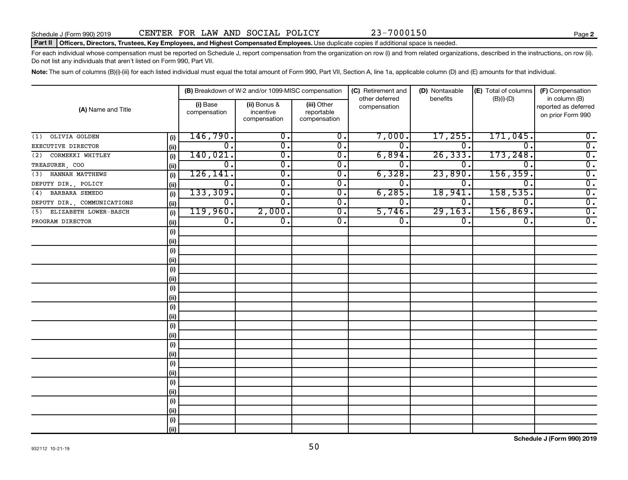#### Part II | Officers, Directors, Trustees, Key Employees, and Highest Compensated Employees. Use duplicate copies if additional space is needed.

For each individual whose compensation must be reported on Schedule J, report compensation from the organization on row (i) and from related organizations, described in the instructions, on row (ii). Do not list any individuals that aren't listed on Form 990, Part VII.

Note: The sum of columns (B)(i)-(iii) for each listed individual must equal the total amount of Form 990, Part VII, Section A, line 1a, applicable column (D) and (E) amounts for that individual.

|                              |      |                          | (B) Breakdown of W-2 and/or 1099-MISC compensation |                                           | (C) Retirement and             | (D) Nontaxable   | (E) Total of columns        | (F) Compensation                                           |
|------------------------------|------|--------------------------|----------------------------------------------------|-------------------------------------------|--------------------------------|------------------|-----------------------------|------------------------------------------------------------|
| (A) Name and Title           |      | (i) Base<br>compensation | (ii) Bonus &<br>incentive<br>compensation          | (iii) Other<br>reportable<br>compensation | other deferred<br>compensation | benefits         | $(B)(i)$ - $(D)$            | in column (B)<br>reported as deferred<br>on prior Form 990 |
| OLIVIA GOLDEN<br>(1)         | (i)  | 146,790.                 | 0.                                                 | 0.                                        | 7,000.                         | 17,255.          | 171,045.                    | $0$ .                                                      |
| EXECUTIVE DIRECTOR           | (ii) | 0.                       | $\overline{\mathbf{0}}$ .                          | $\overline{0}$ .                          | $\overline{0}$ .               | 0                | $\Omega$ .                  | $\overline{0}$ .                                           |
| CORMEKKI WHITLEY<br>(2)      | (i)  | 140,021.                 | $\overline{\mathbf{0}}$ .                          | $\overline{0}$ .                          | 6,894.                         | 26, 333.         | 173, 248.                   | $\overline{0}$ .                                           |
| TREASURER, COO               | (ii) | $\overline{0}$ .         | $\overline{\mathbf{0}}$ .                          | $\overline{0}$ .                          | 0 <sub>1</sub>                 | 0                | $\mathbf 0$ .               | $\overline{0}$ .                                           |
| HANNAH MATTHEWS<br>(3)       | (i)  | 126, 141.                | $\overline{\mathbf{0}}$ .                          | $\overline{0}$ .                          | 6,328.                         | 23,890           | 156, 359.                   | $\overline{0}$ .                                           |
| DEPUTY DIR., POLICY          | (ii) | 0.                       | $\overline{0}$ .                                   | 0.                                        | $0 \, .$                       | $0$ .            | $\mathbf 0$ .               | $\overline{0}$ .                                           |
| BARBARA SEMEDO<br>(4)        | (i)  | 133,309.                 | $\overline{\mathbf{0}}$ .                          | $\overline{0}$ .                          | 6, 285.                        | 18,941           | 158, 535.                   | $\overline{0}$ .                                           |
| DEPUTY DIR., COMMUNICATIONS  | (ii) | $\overline{0}$ .         | 0.                                                 | $\overline{0}$ .                          | $0 \, .$                       | $\overline{0}$ . | 0.                          | $\overline{0}$ .                                           |
| ELIZABETH LOWER-BASCH<br>(5) | (i)  | 119,960.                 | 2,000.                                             | $\overline{0}$ .                          | 5,746.                         | 29, 163.         | 156,869.                    | $\overline{0}$ .                                           |
| PROGRAM DIRECTOR             | (ii) | $\overline{0}$ .         | $\overline{\mathbf{0}}$ .                          | $\overline{0}$ .                          | $\overline{0}$ .               | $\overline{0}$ . | $\overline{\mathfrak{o}}$ . | $\overline{0}$ .                                           |
|                              | (i)  |                          |                                                    |                                           |                                |                  |                             |                                                            |
|                              | (ii) |                          |                                                    |                                           |                                |                  |                             |                                                            |
|                              | (i)  |                          |                                                    |                                           |                                |                  |                             |                                                            |
|                              | (ii) |                          |                                                    |                                           |                                |                  |                             |                                                            |
|                              | (i)  |                          |                                                    |                                           |                                |                  |                             |                                                            |
|                              | (ii) |                          |                                                    |                                           |                                |                  |                             |                                                            |
|                              | (i)  |                          |                                                    |                                           |                                |                  |                             |                                                            |
|                              | (ii) |                          |                                                    |                                           |                                |                  |                             |                                                            |
|                              | (i)  |                          |                                                    |                                           |                                |                  |                             |                                                            |
|                              | (ii) |                          |                                                    |                                           |                                |                  |                             |                                                            |
|                              | (i)  |                          |                                                    |                                           |                                |                  |                             |                                                            |
|                              | (ii) |                          |                                                    |                                           |                                |                  |                             |                                                            |
|                              | (i)  |                          |                                                    |                                           |                                |                  |                             |                                                            |
|                              | (ii) |                          |                                                    |                                           |                                |                  |                             |                                                            |
|                              | (i)  |                          |                                                    |                                           |                                |                  |                             |                                                            |
|                              | (ii) |                          |                                                    |                                           |                                |                  |                             |                                                            |
|                              | (i)  |                          |                                                    |                                           |                                |                  |                             |                                                            |
|                              | (ii) |                          |                                                    |                                           |                                |                  |                             |                                                            |
|                              | (i)  |                          |                                                    |                                           |                                |                  |                             |                                                            |
|                              | (ii) |                          |                                                    |                                           |                                |                  |                             |                                                            |
|                              | (i)  |                          |                                                    |                                           |                                |                  |                             |                                                            |
|                              | (ii) |                          |                                                    |                                           |                                |                  |                             |                                                            |

**Schedule J (Form 990) 2019**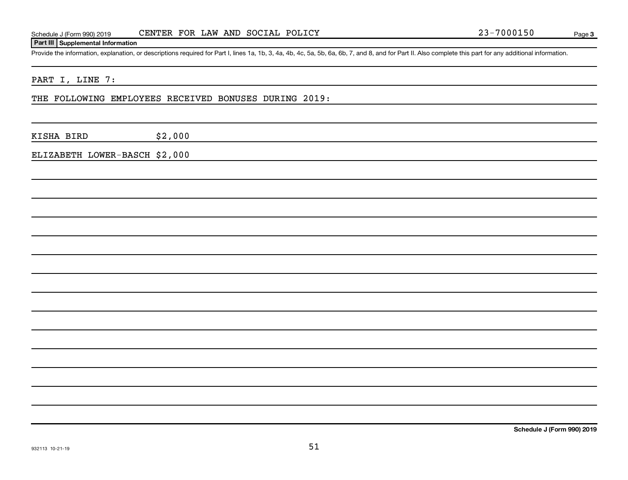# Schedule J (Form 990) 2019 CENTER FOR LAW AND SOCIAL POLICY 23-7000150 Page

# **Part III Supplemental Information**

Provide the information, explanation, or descriptions required for Part I, lines 1a, 1b, 3, 4a, 4b, 4c, 5a, 5b, 6a, 6b, 7, and 8, and for Part II. Also complete this part for any additional information.

# PART I, LINE 7:

# THE FOLLOWING EMPLOYEES RECEIVED BONUSES DURING 2019:

KISHA BIRD \$2,000

ELIZABETH LOWER-BASCH \$2,000

**Schedule J (Form 990) 2019**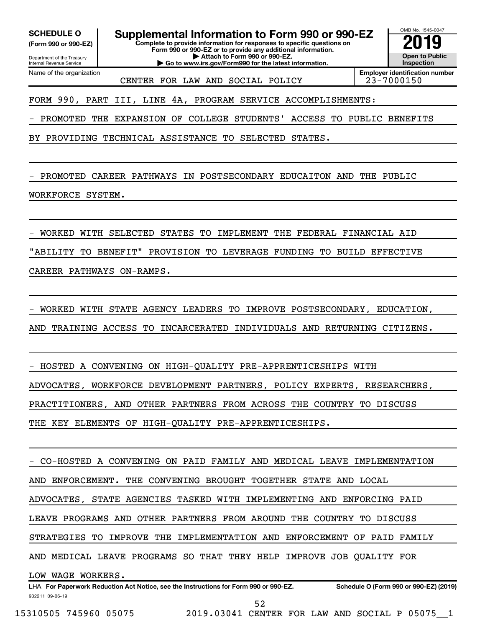Department of the Treasury **(Form 990 or 990-EZ)**

Name of the organization

Internal Revenue Service

**SCHEDULE O Supplemental Information to Form 990 or 990-EZ 2019** 

**Complete to provide information for responses to specific questions on Form 990 or 990-EZ or to provide any additional information. | Attach to Form 990 or 990-EZ.**

**| Go to www.irs.gov/Form990 for the latest information.**

OMB No. 1545-0047 **Open to Public Inspection**

CENTER FOR LAW AND SOCIAL POLICY 23-7000150

**Employer identification number**

FORM 990, PART III, LINE 4A, PROGRAM SERVICE ACCOMPLISHMENTS:

- PROMOTED THE EXPANSION OF COLLEGE STUDENTS' ACCESS TO PUBLIC BENEFITS

BY PROVIDING TECHNICAL ASSISTANCE TO SELECTED STATES.

PROMOTED CAREER PATHWAYS IN POSTSECONDARY EDUCAITON AND THE PUBLIC

WORKFORCE SYSTEM.

- WORKED WITH SELECTED STATES TO IMPLEMENT THE FEDERAL FINANCIAL AID

"ABILITY TO BENEFIT" PROVISION TO LEVERAGE FUNDING TO BUILD EFFECTIVE

CAREER PATHWAYS ON-RAMPS.

- WORKED WITH STATE AGENCY LEADERS TO IMPROVE POSTSECONDARY, EDUCATION,

AND TRAINING ACCESS TO INCARCERATED INDIVIDUALS AND RETURNING CITIZENS.

- HOSTED A CONVENING ON HIGH-QUALITY PRE-APPRENTICESHIPS WITH ADVOCATES, WORKFORCE DEVELOPMENT PARTNERS, POLICY EXPERTS, RESEARCHERS, PRACTITIONERS, AND OTHER PARTNERS FROM ACROSS THE COUNTRY TO DISCUSS THE KEY ELEMENTS OF HIGH-QUALITY PRE-APPRENTICESHIPS.

- CO-HOSTED A CONVENING ON PAID FAMILY AND MEDICAL LEAVE IMPLEMENTATION

AND ENFORCEMENT. THE CONVENING BROUGHT TOGETHER STATE AND LOCAL

ADVOCATES, STATE AGENCIES TASKED WITH IMPLEMENTING AND ENFORCING PAID

LEAVE PROGRAMS AND OTHER PARTNERS FROM AROUND THE COUNTRY TO DISCUSS

STRATEGIES TO IMPROVE THE IMPLEMENTATION AND ENFORCEMENT OF PAID FAMILY

AND MEDICAL LEAVE PROGRAMS SO THAT THEY HELP IMPROVE JOB QUALITY FOR

LOW WAGE WORKERS.

932211 09-06-19 LHA For Paperwork Reduction Act Notice, see the Instructions for Form 990 or 990-EZ. Schedule O (Form 990 or 990-EZ) (2019) 52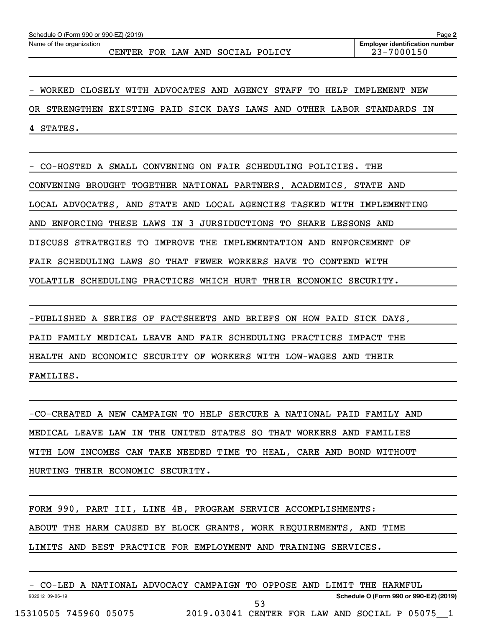CENTER FOR LAW AND SOCIAL POLICY 23-7000150

- WORKED CLOSELY WITH ADVOCATES AND AGENCY STAFF TO HELP IMPLEMENT NEW OR STRENGTHEN EXISTING PAID SICK DAYS LAWS AND OTHER LABOR STANDARDS IN 4 STATES.

- CO-HOSTED A SMALL CONVENING ON FAIR SCHEDULING POLICIES. THE CONVENING BROUGHT TOGETHER NATIONAL PARTNERS, ACADEMICS, STATE AND LOCAL ADVOCATES, AND STATE AND LOCAL AGENCIES TASKED WITH IMPLEMENTING AND ENFORCING THESE LAWS IN 3 JURSIDUCTIONS TO SHARE LESSONS AND DISCUSS STRATEGIES TO IMPROVE THE IMPLEMENTATION AND ENFORCEMENT OF FAIR SCHEDULING LAWS SO THAT FEWER WORKERS HAVE TO CONTEND WITH VOLATILE SCHEDULING PRACTICES WHICH HURT THEIR ECONOMIC SECURITY.

-PUBLISHED A SERIES OF FACTSHEETS AND BRIEFS ON HOW PAID SICK DAYS, PAID FAMILY MEDICAL LEAVE AND FAIR SCHEDULING PRACTICES IMPACT THE HEALTH AND ECONOMIC SECURITY OF WORKERS WITH LOW-WAGES AND THEIR FAMILIES.

-CO-CREATED A NEW CAMPAIGN TO HELP SERCURE A NATIONAL PAID FAMILY AND MEDICAL LEAVE LAW IN THE UNITED STATES SO THAT WORKERS AND FAMILIES WITH LOW INCOMES CAN TAKE NEEDED TIME TO HEAL, CARE AND BOND WITHOUT HURTING THEIR ECONOMIC SECURITY.

FORM 990, PART III, LINE 4B, PROGRAM SERVICE ACCOMPLISHMENTS: ABOUT THE HARM CAUSED BY BLOCK GRANTS, WORK REQUIREMENTS, AND TIME LIMITS AND BEST PRACTICE FOR EMPLOYMENT AND TRAINING SERVICES.

932212 09-06-19 **Schedule O (Form 990 or 990-EZ) (2019)** - CO-LED A NATIONAL ADVOCACY CAMPAIGN TO OPPOSE AND LIMIT THE HARMFUL 15310505 745960 05075 2019.03041 CENTER FOR LAW AND SOCIAL P 05075\_\_1 53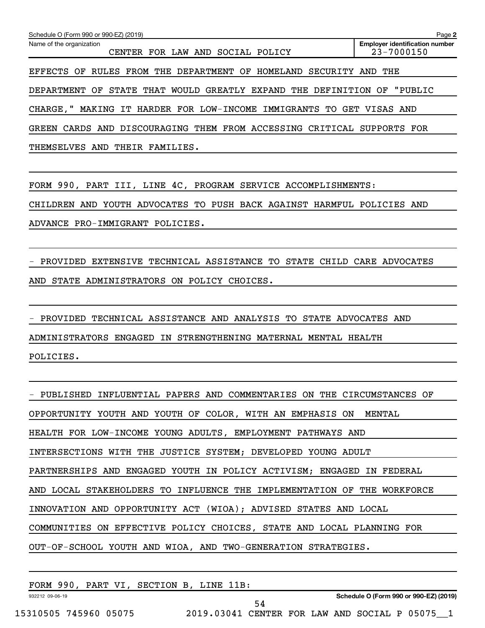| Schedule O (Form 990 or 990-EZ) (2019)                               | Page 2                                              |
|----------------------------------------------------------------------|-----------------------------------------------------|
| Name of the organization<br>CENTER FOR LAW AND<br>SOCIAL POLICY      | <b>Employer identification number</b><br>23-7000150 |
| RULES FROM THE DEPARTMENT OF HOMELAND<br>EFFECTS OF<br>SECURITY AND  | THE                                                 |
| DEPARTMENT OF STATE THAT WOULD GREATLY EXPAND THE DEFINITION OF      | "PUBLIC                                             |
| CHARGE," MAKING IT HARDER FOR LOW-INCOME IMMIGRANTS TO GET VISAS AND |                                                     |
| GREEN CARDS AND DISCOURAGING THEM FROM ACCESSING CRITICAL            | SUPPORTS FOR                                        |
| THEMSELVES AND<br>THEIR FAMILIES.                                    |                                                     |

FORM 990, PART III, LINE 4C, PROGRAM SERVICE ACCOMPLISHMENTS: CHILDREN AND YOUTH ADVOCATES TO PUSH BACK AGAINST HARMFUL POLICIES AND

ADVANCE PRO-IMMIGRANT POLICIES.

- PROVIDED EXTENSIVE TECHNICAL ASSISTANCE TO STATE CHILD CARE ADVOCATES AND STATE ADMINISTRATORS ON POLICY CHOICES.

- PROVIDED TECHNICAL ASSISTANCE AND ANALYSIS TO STATE ADVOCATES AND ADMINISTRATORS ENGAGED IN STRENGTHENING MATERNAL MENTAL HEALTH POLICIES.

| - PUBLISHED INFLUENTIAL PAPERS AND COMMENTARIES ON THE CIRCUMSTANCES OF |  |  |  |  |  |  |  |  |  |  |
|-------------------------------------------------------------------------|--|--|--|--|--|--|--|--|--|--|
| OPPORTUNITY YOUTH AND YOUTH OF COLOR, WITH AN EMPHASIS ON MENTAL        |  |  |  |  |  |  |  |  |  |  |
| HEALTH FOR LOW-INCOME YOUNG ADULTS, EMPLOYMENT PATHWAYS AND             |  |  |  |  |  |  |  |  |  |  |
| INTERSECTIONS WITH THE JUSTICE SYSTEM; DEVELOPED YOUNG ADULT            |  |  |  |  |  |  |  |  |  |  |
| PARTNERSHIPS AND ENGAGED YOUTH IN POLICY ACTIVISM; ENGAGED IN FEDERAL   |  |  |  |  |  |  |  |  |  |  |
| AND LOCAL STAKEHOLDERS TO INFLUENCE THE IMPLEMENTATION OF THE WORKFORCE |  |  |  |  |  |  |  |  |  |  |
| INNOVATION AND OPPORTUNITY ACT (WIOA); ADVISED STATES AND LOCAL         |  |  |  |  |  |  |  |  |  |  |
| COMMUNITIES ON EFFECTIVE POLICY CHOICES, STATE AND LOCAL PLANNING FOR   |  |  |  |  |  |  |  |  |  |  |
| OUT-OF-SCHOOL YOUTH AND WIOA, AND TWO-GENERATION STRATEGIES.            |  |  |  |  |  |  |  |  |  |  |
|                                                                         |  |  |  |  |  |  |  |  |  |  |

| FORM            | 990, | PART | 7 VI. . | SECTION B, | LINE 11B: |                                        |
|-----------------|------|------|---------|------------|-----------|----------------------------------------|
| 932212 09-06-19 |      |      |         |            |           | Schedule O (Form 990 or 990-EZ) (2019) |
|                 |      |      |         |            |           |                                        |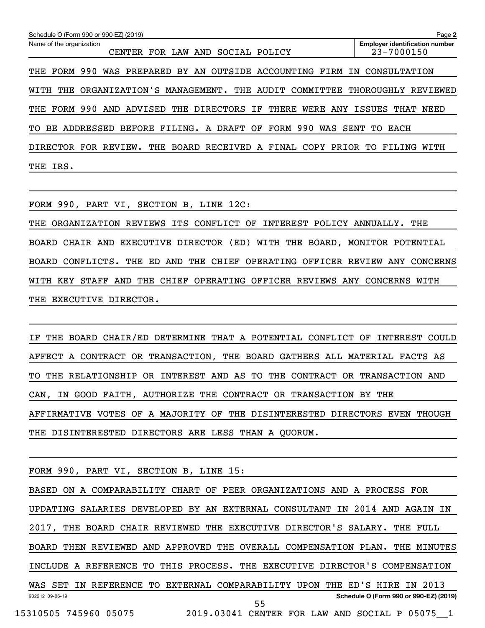| Schedule O (Form 990 or 990-EZ) (2019)<br>Page 2                      |                                                     |  |  |  |  |  |  |  |  |  |
|-----------------------------------------------------------------------|-----------------------------------------------------|--|--|--|--|--|--|--|--|--|
| Name of the organization<br>FOR LAW AND<br>SOCIAL<br>CENTER<br>POLICY | <b>Employer identification number</b><br>23-7000150 |  |  |  |  |  |  |  |  |  |
| THE FORM 990 WAS PREPARED BY AN OUTSIDE ACCOUNTING FIRM IN            | CONSULTATION                                        |  |  |  |  |  |  |  |  |  |
| ORGANIZATION'S MANAGEMENT. THE AUDIT COMMITTEE<br>WITH<br>THE         | THOROUGHLY REVIEWED                                 |  |  |  |  |  |  |  |  |  |
| THE FORM 990 AND ADVISED THE DIRECTORS IF THERE<br>WERE ANY ISSUES    | THAT NEED                                           |  |  |  |  |  |  |  |  |  |
| BEFORE FILING. A DRAFT OF FORM 990<br>TO.<br>BE ADDRESSED             | WAS SENT TO EACH                                    |  |  |  |  |  |  |  |  |  |
| DIRECTOR FOR REVIEW.<br>THE BOARD RECEIVED A FINAL COPY PRIOR TO      | FILING WITH                                         |  |  |  |  |  |  |  |  |  |
| THE IRS.                                                              |                                                     |  |  |  |  |  |  |  |  |  |

FORM 990, PART VI, SECTION B, LINE 12C:

THE ORGANIZATION REVIEWS ITS CONFLICT OF INTEREST POLICY ANNUALLY. THE BOARD CHAIR AND EXECUTIVE DIRECTOR (ED) WITH THE BOARD, MONITOR POTENTIAL BOARD CONFLICTS. THE ED AND THE CHIEF OPERATING OFFICER REVIEW ANY CONCERNS WITH KEY STAFF AND THE CHIEF OPERATING OFFICER REVIEWS ANY CONCERNS WITH THE EXECUTIVE DIRECTOR.

IF THE BOARD CHAIR/ED DETERMINE THAT A POTENTIAL CONFLICT OF INTEREST COULD AFFECT A CONTRACT OR TRANSACTION, THE BOARD GATHERS ALL MATERIAL FACTS AS TO THE RELATIONSHIP OR INTEREST AND AS TO THE CONTRACT OR TRANSACTION AND CAN, IN GOOD FAITH, AUTHORIZE THE CONTRACT OR TRANSACTION BY THE AFFIRMATIVE VOTES OF A MAJORITY OF THE DISINTERESTED DIRECTORS EVEN THOUGH THE DISINTERESTED DIRECTORS ARE LESS THAN A QUORUM.

FORM 990, PART VI, SECTION B, LINE 15:

932212 09-06-19 **Schedule O (Form 990 or 990-EZ) (2019)** BASED ON A COMPARABILITY CHART OF PEER ORGANIZATIONS AND A PROCESS FOR UPDATING SALARIES DEVELOPED BY AN EXTERNAL CONSULTANT IN 2014 AND AGAIN IN 2017, THE BOARD CHAIR REVIEWED THE EXECUTIVE DIRECTOR'S SALARY. THE FULL BOARD THEN REVIEWED AND APPROVED THE OVERALL COMPENSATION PLAN. THE MINUTES INCLUDE A REFERENCE TO THIS PROCESS. THE EXECUTIVE DIRECTOR'S COMPENSATION WAS SET IN REFERENCE TO EXTERNAL COMPARABILITY UPON THE ED'S HIRE IN 2013 55